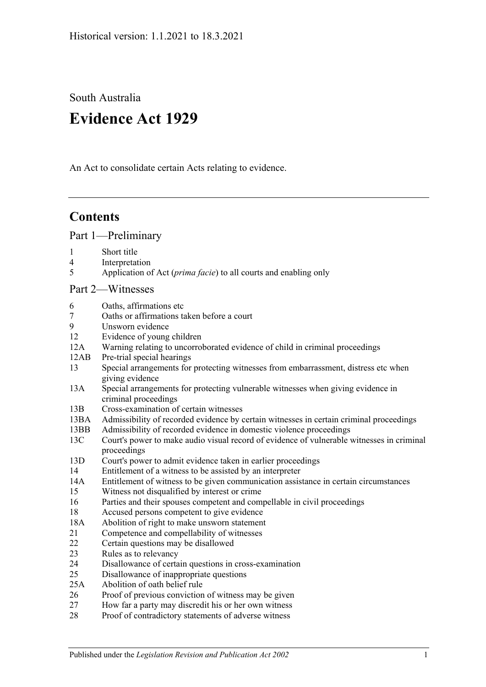South Australia

# **Evidence Act 1929**

An Act to consolidate certain Acts relating to evidence.

## **Contents**

[Part 1—Preliminary](#page-6-0)

- 1 [Short title](#page-6-1)
- 4 [Interpretation](#page-6-2)
- 5 Application of Act (*prima facie*[\) to all courts and enabling only](#page-8-0)

#### [Part 2—Witnesses](#page-10-0)

- 6 [Oaths, affirmations etc](#page-10-1)
- 7 [Oaths or affirmations taken before a court](#page-10-2)
- [Unsworn evidence](#page-10-3)
- 12 [Evidence of young children](#page-11-0)
- 12A [Warning relating to uncorroborated evidence of child in criminal proceedings](#page-11-1)
- 12AB [Pre-trial special hearings](#page-12-0)
- 13 [Special arrangements for protecting witnesses from embarrassment, distress etc when](#page-15-0)  [giving evidence](#page-15-0)
- 13A [Special arrangements for protecting vulnerable witnesses when giving evidence in](#page-16-0)  [criminal proceedings](#page-16-0)
- 13B [Cross-examination of certain witnesses](#page-19-0)
- 13BA [Admissibility of recorded evidence by certain witnesses in certain criminal proceedings](#page-20-0)
- 13BB [Admissibility of recorded evidence in domestic violence proceedings](#page-21-0)
- 13C [Court's power to make audio visual record of evidence of vulnerable witnesses in criminal](#page-24-0)  [proceedings](#page-24-0)
- 13D [Court's power to admit evidence taken in earlier proceedings](#page-24-1)
- 14 [Entitlement of a witness to be assisted by an interpreter](#page-25-0)
- 14A [Entitlement of witness to be given communication assistance in certain circumstances](#page-25-1)
- 15 [Witness not disqualified by interest or](#page-26-0) crime
- 16 [Parties and their spouses competent and compellable in civil proceedings](#page-26-1)
- 18 [Accused persons competent to give evidence](#page-26-2)
- 18A [Abolition of right to make unsworn statement](#page-27-0)
- 21 [Competence and compellability of witnesses](#page-28-0)
- 22 [Certain questions may be disallowed](#page-29-0)
- 23 [Rules as to relevancy](#page-29-1)
- 24 [Disallowance of certain questions in cross-examination](#page-29-2)
- 25 [Disallowance of inappropriate questions](#page-29-3)
- 25A [Abolition of oath belief rule](#page-30-0)
- 26 [Proof of previous conviction of witness may be given](#page-31-0)
- 27 [How far a party may discredit his or her own witness](#page-31-1)
- 28 [Proof of contradictory statements of adverse witness](#page-31-2)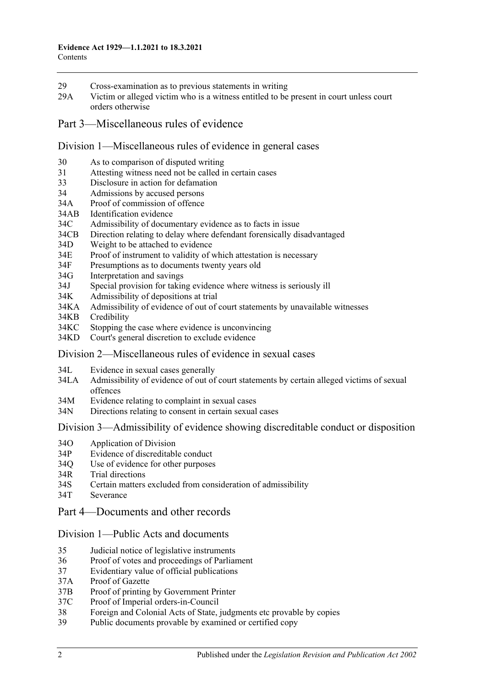- 29 [Cross-examination as to previous statements in writing](#page-31-3)
- 29A [Victim or alleged victim who is a witness entitled to be present in court unless](#page-31-4) court [orders otherwise](#page-31-4)
- [Part 3—Miscellaneous rules of evidence](#page-32-0)

#### [Division 1—Miscellaneous rules of evidence in general cases](#page-32-1)

- 30 [As to comparison of disputed writing](#page-32-2)
- 31 [Attesting witness need not be called in certain cases](#page-32-3)
- 33 [Disclosure in action for defamation](#page-32-4)
- 34 [Admissions by accused persons](#page-32-5)
- 34A [Proof of commission of offence](#page-32-6)
- 34AB [Identification evidence](#page-32-7)
- 34C [Admissibility of documentary evidence as to facts in issue](#page-33-0)
- 34CB [Direction relating to delay where defendant forensically disadvantaged](#page-34-0)
- 34D [Weight to be attached to evidence](#page-35-0)
- 34E [Proof of instrument to validity of which attestation is necessary](#page-35-1)
- 34F [Presumptions as to documents twenty years old](#page-35-2)
- 34G [Interpretation and savings](#page-35-3)
- 34J [Special provision for taking evidence where witness is seriously ill](#page-36-0)
- 34K [Admissibility of depositions at trial](#page-36-1)
- 34KA [Admissibility of evidence of out of court statements by unavailable witnesses](#page-36-2)
- 34KB [Credibility](#page-38-0)
- 34KC [Stopping the case where evidence is unconvincing](#page-38-1)
- 34KD [Court's general discretion to exclude evidence](#page-39-0)

#### [Division 2—Miscellaneous rules of evidence in sexual cases](#page-39-1)

- 34L [Evidence in sexual cases generally](#page-39-2)
- 34LA [Admissibility of evidence of out of court statements by certain alleged victims of sexual](#page-40-0)  [offences](#page-40-0)
- 34M [Evidence relating to complaint in sexual cases](#page-41-0)
- 34N [Directions relating to consent in certain sexual cases](#page-42-0)

Division [3—Admissibility of evidence showing discreditable conduct or disposition](#page-42-1)

- 34O [Application of Division](#page-42-2)
- 34P [Evidence of discreditable conduct](#page-43-0)
- 34Q [Use of evidence for other purposes](#page-43-1)
- 34R [Trial directions](#page-43-2)
- 34S [Certain matters excluded from consideration of admissibility](#page-44-0)
- 34T [Severance](#page-44-1)

#### [Part 4—Documents and other records](#page-46-0)

#### [Division 1—Public Acts and documents](#page-46-1)

- 35 [Judicial notice of legislative instruments](#page-46-2)
- 36 [Proof of votes and proceedings of Parliament](#page-46-3)
- 37 [Evidentiary value of official publications](#page-46-4)
- 37A [Proof of Gazette](#page-46-5)
- 37B [Proof of printing by Government Printer](#page-47-0)
- 37C [Proof of Imperial orders-in-Council](#page-47-1)
- 38 [Foreign and Colonial Acts of State, judgments etc provable by copies](#page-47-2)
- 39 [Public documents provable by examined or certified copy](#page-48-0)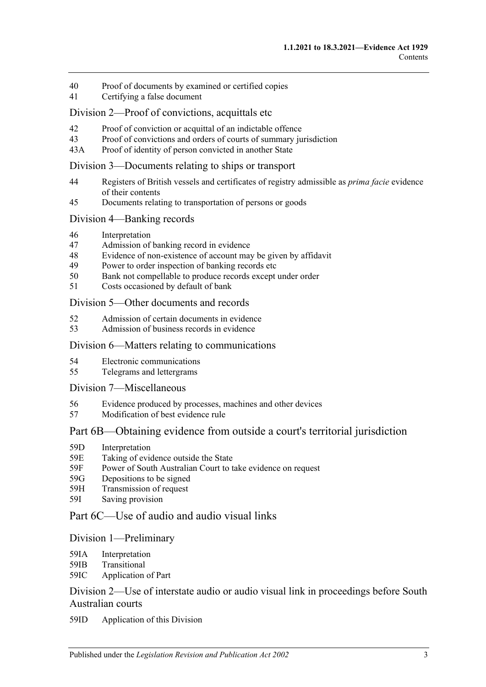- 40 [Proof of documents by examined or certified copies](#page-48-1)
- 41 [Certifying a false document](#page-48-2)

#### [Division 2—Proof of convictions, acquittals etc](#page-48-3)

- 42 [Proof of conviction or acquittal of an indictable offence](#page-48-4)<br>43 Proof of convictions and orders of courts of summary iu
- [Proof of convictions and orders of courts of summary jurisdiction](#page-49-0)
- 43A [Proof of identity of person convicted in another State](#page-49-1)

#### [Division 3—Documents relating to ships or transport](#page-49-2)

- 44 [Registers of British vessels and certificates of registry admissible as](#page-49-3) *prima facie* evidence [of their contents](#page-49-3)
- 45 [Documents relating to transportation of persons or goods](#page-50-0)

#### [Division 4—Banking records](#page-50-1)

- 46 [Interpretation](#page-50-2)
- 47 [Admission of banking record in evidence](#page-51-0)
- 48 [Evidence of non-existence of account may be given by affidavit](#page-51-1)
- 49 [Power to order inspection of banking records etc](#page-51-2)
- 50 [Bank not compellable to produce records except under order](#page-52-0)
- 51 [Costs occasioned by default of bank](#page-53-0)

#### Division [5—Other documents and records](#page-53-1)

- 52 [Admission of certain documents in evidence](#page-53-2)
- 53 [Admission of business records in evidence](#page-53-3)

#### [Division 6—Matters relating to communications](#page-54-0)

- 54 [Electronic communications](#page-54-1)
- 55 [Telegrams and lettergrams](#page-55-0)

#### [Division 7—Miscellaneous](#page-55-1)

- 56 [Evidence produced by processes, machines and other devices](#page-55-2)
- 57 [Modification of best evidence rule](#page-56-0)

## [Part 6B—Obtaining evidence from outside a court's territorial jurisdiction](#page-58-0)

- 59D [Interpretation](#page-58-1)
- 59E [Taking of evidence outside the State](#page-58-2)
- 59F [Power of South Australian Court to take evidence on request](#page-59-0)
- 59G [Depositions to be signed](#page-59-1)
- 59H [Transmission of request](#page-59-2)
- 59I [Saving provision](#page-60-0)

## [Part 6C—Use of audio and audio visual links](#page-62-0)

#### [Division 1—Preliminary](#page-62-1)

- 59IA [Interpretation](#page-62-2)
- 59IB [Transitional](#page-62-3)
- 59IC [Application of Part](#page-62-4)

## [Division 2—Use of interstate audio or audio visual link in proceedings before South](#page-63-0)  [Australian courts](#page-63-0)

59ID [Application of this Division](#page-63-1)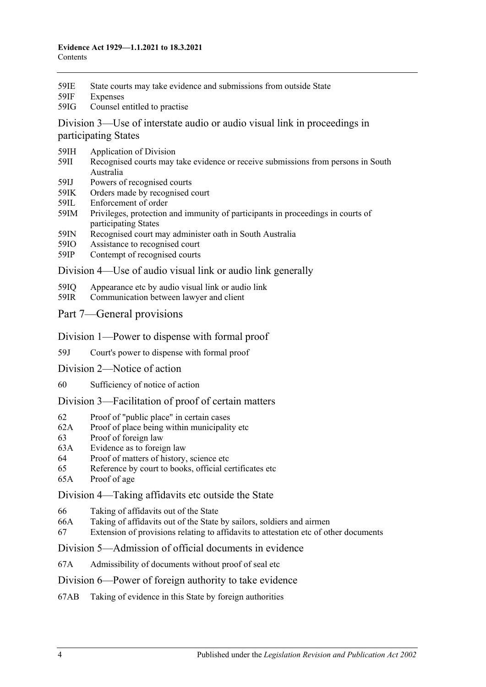- 59IE [State courts may take evidence and submissions from outside State](#page-63-2)
- 59IF [Expenses](#page-63-3)
- 59IG [Counsel entitled to practise](#page-63-4)

[Division 3—Use of interstate audio or audio visual link in proceedings in](#page-64-0)  [participating States](#page-64-0)

- 59IH [Application of Division](#page-64-1)
- 59II [Recognised courts may take evidence or receive submissions from persons in South](#page-64-2)  [Australia](#page-64-2)
- 59IJ [Powers of recognised courts](#page-64-3)
- 59IK [Orders made by recognised court](#page-64-4)
- 59IL [Enforcement of order](#page-64-5)
- 59IM [Privileges, protection and immunity of participants in proceedings in courts of](#page-65-0)  [participating States](#page-65-0)
- 59IN [Recognised court may administer oath in South Australia](#page-65-1)
- 59IO [Assistance to recognised court](#page-65-2)
- 59IP [Contempt of recognised courts](#page-65-3)

[Division 4—Use of audio visual link or audio link generally](#page-66-0)

- 59IQ [Appearance etc by audio visual link or audio link](#page-66-1)
- 59IR [Communication between lawyer and client](#page-67-0)
- [Part 7—General provisions](#page-68-0)
- [Division 1—Power to dispense with formal proof](#page-68-1)
- 59J [Court's power to dispense with formal proof](#page-68-2)
- [Division 2—Notice of action](#page-68-3)
- 60 [Sufficiency of notice of action](#page-68-4)

[Division 3—Facilitation of proof of certain matters](#page-68-5)

- 62 [Proof of "public place" in certain cases](#page-68-6)
- 62A [Proof of place being within municipality etc](#page-68-7)
- 63 [Proof of foreign law](#page-69-0)
- 63A [Evidence as to foreign law](#page-69-1)
- 64 [Proof of matters of history, science etc](#page-69-2)
- 65 [Reference by court to books, official certificates etc](#page-69-3)
- 65A [Proof of age](#page-70-0)

[Division 4—Taking affidavits etc outside the State](#page-70-1)

- 66 [Taking of affidavits out of the State](#page-70-2)
- 66A [Taking of affidavits out of the State by sailors, soldiers and airmen](#page-71-0)
- 67 [Extension of provisions relating to affidavits to attestation etc of other documents](#page-72-0)

[Division 5—Admission of official documents in evidence](#page-72-1)

- 67A [Admissibility of documents without proof of seal etc](#page-72-2)
- [Division 6—Power of foreign authority to take evidence](#page-73-0)
- 67AB [Taking of evidence in this State by foreign authorities](#page-73-1)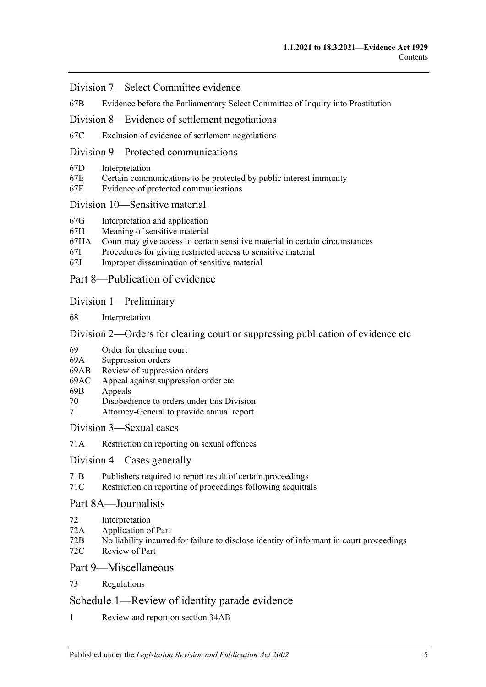[Division 7—Select Committee evidence](#page-73-2)

67B [Evidence before the Parliamentary Select Committee of Inquiry into Prostitution](#page-73-3)

[Division 8—Evidence of settlement negotiations](#page-74-0)

67C [Exclusion of evidence of settlement negotiations](#page-74-1)

## [Division 9—Protected communications](#page-75-0)

- 67D [Interpretation](#page-75-1)
- 67E [Certain communications to be protected by public interest immunity](#page-75-2)
- 67F [Evidence of protected communications](#page-76-0)

#### [Division 10—Sensitive material](#page-77-0)

- 67G [Interpretation and application](#page-77-1)
- 67H [Meaning of sensitive material](#page-79-0)
- 67HA [Court may give access to certain sensitive material in certain circumstances](#page-79-1)
- 67I [Procedures for giving restricted access to sensitive material](#page-80-0)
- 67J [Improper dissemination of sensitive material](#page-81-0)

#### [Part 8—Publication of evidence](#page-82-0)

#### [Division 1—Preliminary](#page-82-1)

68 [Interpretation](#page-82-2)

#### [Division 2—Orders for clearing court or suppressing publication of evidence etc](#page-82-3)

- 69 [Order for clearing court](#page-82-4)
- 69A [Suppression orders](#page-83-0)
- 69AB [Review of suppression orders](#page-85-0)
- 69AC [Appeal against suppression order etc](#page-86-0)
- 69B [Appeals](#page-87-0)
- 70 [Disobedience to orders under this Division](#page-87-1)
- 71 [Attorney-General to provide annual report](#page-88-0)

[Division 3—Sexual cases](#page-88-1)

71A [Restriction on reporting on sexual offences](#page-88-2)

#### [Division 4—Cases](#page-89-0) generally

- 71B [Publishers required to report result of certain proceedings](#page-89-1)
- 71C [Restriction on reporting of proceedings following acquittals](#page-90-0)

#### [Part 8A—Journalists](#page-92-0)

- 72 [Interpretation](#page-92-1)
- 72A [Application of Part](#page-92-2)
- 72B [No liability incurred for failure to disclose identity of informant in court proceedings](#page-92-3)
- 72C [Review of Part](#page-93-0)

## [Part 9—Miscellaneous](#page-94-0)

73 [Regulations](#page-94-1)

## [Schedule 1—Review of identity parade evidence](#page-96-0)

1 [Review and report on section](#page-96-1) 34AB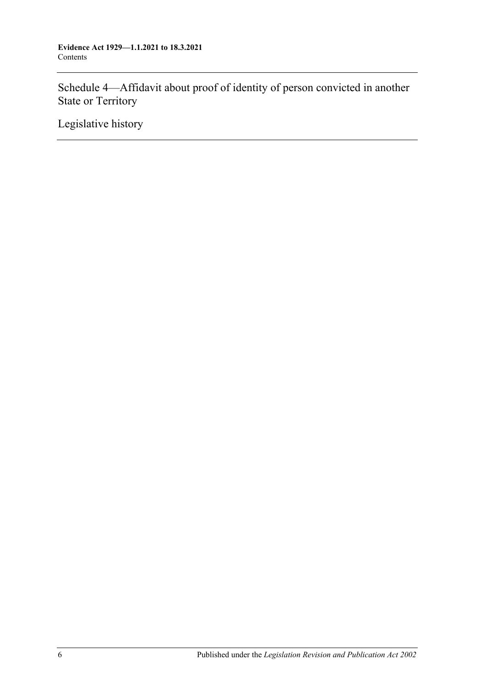[Schedule 4—Affidavit about proof of identity of person convicted in another](#page-97-0)  [State or Territory](#page-97-0)

[Legislative history](#page-98-0)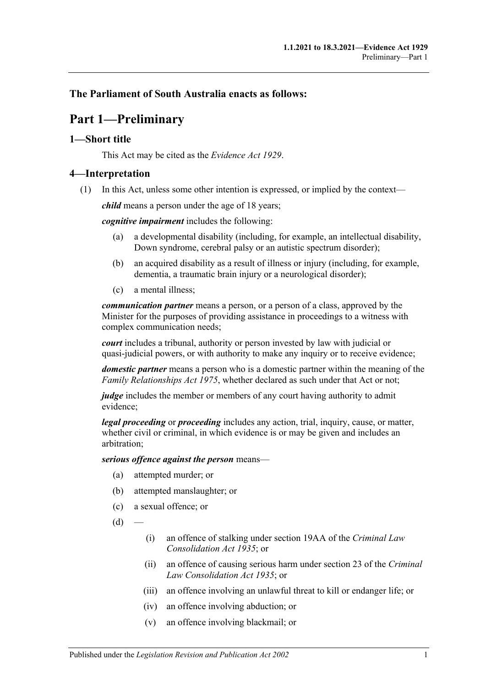## <span id="page-6-0"></span>**The Parliament of South Australia enacts as follows:**

## **Part 1—Preliminary**

## <span id="page-6-1"></span>**1—Short title**

This Act may be cited as the *Evidence Act 1929*.

## <span id="page-6-2"></span>**4—Interpretation**

(1) In this Act, unless some other intention is expressed, or implied by the context—

*child* means a person under the age of 18 years;

*cognitive impairment* includes the following:

- (a) a developmental disability (including, for example, an intellectual disability, Down syndrome, cerebral palsy or an autistic spectrum disorder);
- (b) an acquired disability as a result of illness or injury (including, for example, dementia, a traumatic brain injury or a neurological disorder);
- (c) a mental illness;

*communication partner* means a person, or a person of a class, approved by the Minister for the purposes of providing assistance in proceedings to a witness with complex communication needs;

*court* includes a tribunal, authority or person invested by law with judicial or quasi-judicial powers, or with authority to make any inquiry or to receive evidence;

*domestic partner* means a person who is a domestic partner within the meaning of the *[Family Relationships Act](http://www.legislation.sa.gov.au/index.aspx?action=legref&type=act&legtitle=Family%20Relationships%20Act%201975) 1975*, whether declared as such under that Act or not;

*judge* includes the member or members of any court having authority to admit evidence;

*legal proceeding* or *proceeding* includes any action, trial, inquiry, cause, or matter, whether civil or criminal, in which evidence is or may be given and includes an arbitration;

*serious offence against the person* means—

- (a) attempted murder; or
- (b) attempted manslaughter; or
- (c) a sexual offence; or
- $(d)$ 
	- (i) an offence of stalking under section 19AA of the *[Criminal Law](http://www.legislation.sa.gov.au/index.aspx?action=legref&type=act&legtitle=Criminal%20Law%20Consolidation%20Act%201935)  [Consolidation Act](http://www.legislation.sa.gov.au/index.aspx?action=legref&type=act&legtitle=Criminal%20Law%20Consolidation%20Act%201935) 1935*; or
	- (ii) an offence of causing serious harm under section 23 of the *[Criminal](http://www.legislation.sa.gov.au/index.aspx?action=legref&type=act&legtitle=Criminal%20Law%20Consolidation%20Act%201935)  [Law Consolidation Act](http://www.legislation.sa.gov.au/index.aspx?action=legref&type=act&legtitle=Criminal%20Law%20Consolidation%20Act%201935) 1935*; or
	- (iii) an offence involving an unlawful threat to kill or endanger life; or
	- (iv) an offence involving abduction; or
	- (v) an offence involving blackmail; or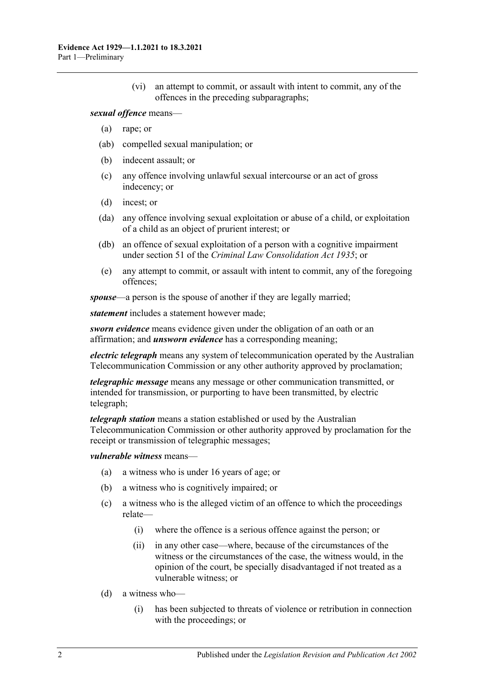(vi) an attempt to commit, or assault with intent to commit, any of the offences in the preceding subparagraphs;

*sexual offence* means—

- (a) rape; or
- (ab) compelled sexual manipulation; or
- (b) indecent assault; or
- (c) any offence involving unlawful sexual intercourse or an act of gross indecency; or
- (d) incest; or
- (da) any offence involving sexual exploitation or abuse of a child, or exploitation of a child as an object of prurient interest; or
- (db) an offence of sexual exploitation of a person with a cognitive impairment under section 51 of the *[Criminal Law Consolidation Act](http://www.legislation.sa.gov.au/index.aspx?action=legref&type=act&legtitle=Criminal%20Law%20Consolidation%20Act%201935) 1935*; or
- (e) any attempt to commit, or assault with intent to commit, any of the foregoing offences;

*spouse*—a person is the spouse of another if they are legally married;

*statement* includes a statement however made;

*sworn evidence* means evidence given under the obligation of an oath or an affirmation; and *unsworn evidence* has a corresponding meaning;

*electric telegraph* means any system of telecommunication operated by the Australian Telecommunication Commission or any other authority approved by proclamation;

*telegraphic message* means any message or other communication transmitted, or intended for transmission, or purporting to have been transmitted, by electric telegraph;

*telegraph station* means a station established or used by the Australian Telecommunication Commission or other authority approved by proclamation for the receipt or transmission of telegraphic messages;

#### *vulnerable witness* means—

- (a) a witness who is under 16 years of age; or
- (b) a witness who is cognitively impaired; or
- (c) a witness who is the alleged victim of an offence to which the proceedings relate—
	- (i) where the offence is a serious offence against the person; or
	- (ii) in any other case—where, because of the circumstances of the witness or the circumstances of the case, the witness would, in the opinion of the court, be specially disadvantaged if not treated as a vulnerable witness; or
- (d) a witness who—
	- (i) has been subjected to threats of violence or retribution in connection with the proceedings; or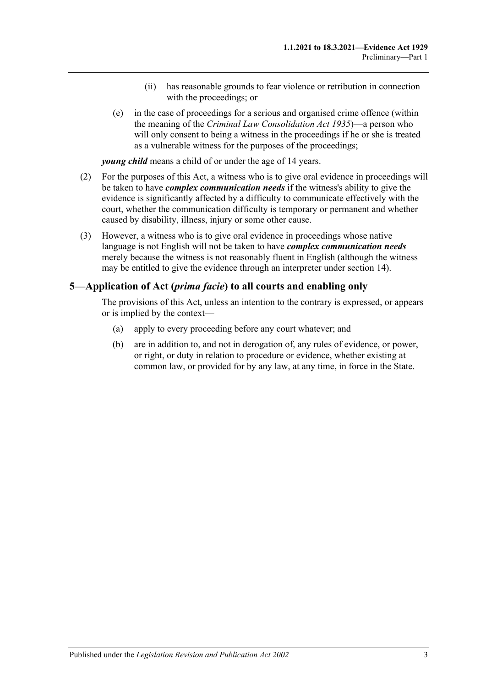- (ii) has reasonable grounds to fear violence or retribution in connection with the proceedings; or
- (e) in the case of proceedings for a serious and organised crime offence (within the meaning of the *[Criminal Law Consolidation Act](http://www.legislation.sa.gov.au/index.aspx?action=legref&type=act&legtitle=Criminal%20Law%20Consolidation%20Act%201935) 1935*)—a person who will only consent to being a witness in the proceedings if he or she is treated as a vulnerable witness for the purposes of the proceedings;

*young child* means a child of or under the age of 14 years.

- (2) For the purposes of this Act, a witness who is to give oral evidence in proceedings will be taken to have *complex communication needs* if the witness's ability to give the evidence is significantly affected by a difficulty to communicate effectively with the court, whether the communication difficulty is temporary or permanent and whether caused by disability, illness, injury or some other cause.
- (3) However, a witness who is to give oral evidence in proceedings whose native language is not English will not be taken to have *complex communication needs* merely because the witness is not reasonably fluent in English (although the witness may be entitled to give the evidence through an interpreter under [section](#page-25-0) 14).

#### <span id="page-8-0"></span>**5—Application of Act (***prima facie***) to all courts and enabling only**

The provisions of this Act, unless an intention to the contrary is expressed, or appears or is implied by the context—

- (a) apply to every proceeding before any court whatever; and
- (b) are in addition to, and not in derogation of, any rules of evidence, or power, or right, or duty in relation to procedure or evidence, whether existing at common law, or provided for by any law, at any time, in force in the State.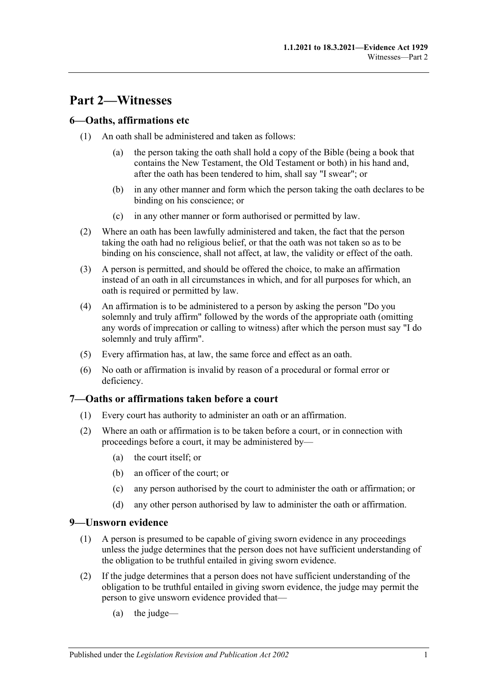## <span id="page-10-0"></span>**Part 2—Witnesses**

## <span id="page-10-1"></span>**6—Oaths, affirmations etc**

- (1) An oath shall be administered and taken as follows:
	- (a) the person taking the oath shall hold a copy of the Bible (being a book that contains the New Testament, the Old Testament or both) in his hand and, after the oath has been tendered to him, shall say "I swear"; or
	- (b) in any other manner and form which the person taking the oath declares to be binding on his conscience; or
	- (c) in any other manner or form authorised or permitted by law.
- (2) Where an oath has been lawfully administered and taken, the fact that the person taking the oath had no religious belief, or that the oath was not taken so as to be binding on his conscience, shall not affect, at law, the validity or effect of the oath.
- (3) A person is permitted, and should be offered the choice, to make an affirmation instead of an oath in all circumstances in which, and for all purposes for which, an oath is required or permitted by law.
- (4) An affirmation is to be administered to a person by asking the person "Do you solemnly and truly affirm" followed by the words of the appropriate oath (omitting any words of imprecation or calling to witness) after which the person must say "I do solemnly and truly affirm".
- (5) Every affirmation has, at law, the same force and effect as an oath.
- (6) No oath or affirmation is invalid by reason of a procedural or formal error or deficiency.

## <span id="page-10-2"></span>**7—Oaths or affirmations taken before a court**

- (1) Every court has authority to administer an oath or an affirmation.
- (2) Where an oath or affirmation is to be taken before a court, or in connection with proceedings before a court, it may be administered by—
	- (a) the court itself; or
	- (b) an officer of the court; or
	- (c) any person authorised by the court to administer the oath or affirmation; or
	- (d) any other person authorised by law to administer the oath or affirmation.

## <span id="page-10-3"></span>**9—Unsworn evidence**

- (1) A person is presumed to be capable of giving sworn evidence in any proceedings unless the judge determines that the person does not have sufficient understanding of the obligation to be truthful entailed in giving sworn evidence.
- (2) If the judge determines that a person does not have sufficient understanding of the obligation to be truthful entailed in giving sworn evidence, the judge may permit the person to give unsworn evidence provided that—
	- (a) the judge—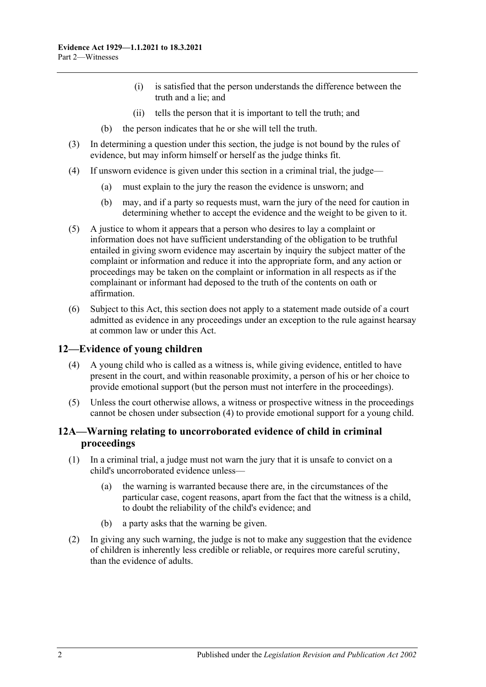- (i) is satisfied that the person understands the difference between the truth and a lie; and
- (ii) tells the person that it is important to tell the truth; and
- (b) the person indicates that he or she will tell the truth.
- (3) In determining a question under this section, the judge is not bound by the rules of evidence, but may inform himself or herself as the judge thinks fit.
- (4) If unsworn evidence is given under this section in a criminal trial, the judge—
	- (a) must explain to the jury the reason the evidence is unsworn; and
	- (b) may, and if a party so requests must, warn the jury of the need for caution in determining whether to accept the evidence and the weight to be given to it.
- (5) A justice to whom it appears that a person who desires to lay a complaint or information does not have sufficient understanding of the obligation to be truthful entailed in giving sworn evidence may ascertain by inquiry the subject matter of the complaint or information and reduce it into the appropriate form, and any action or proceedings may be taken on the complaint or information in all respects as if the complainant or informant had deposed to the truth of the contents on oath or affirmation.
- (6) Subject to this Act, this section does not apply to a statement made outside of a court admitted as evidence in any proceedings under an exception to the rule against hearsay at common law or under this Act.

## <span id="page-11-2"></span><span id="page-11-0"></span>**12—Evidence of young children**

- (4) A young child who is called as a witness is, while giving evidence, entitled to have present in the court, and within reasonable proximity, a person of his or her choice to provide emotional support (but the person must not interfere in the proceedings).
- (5) Unless the court otherwise allows, a witness or prospective witness in the proceedings cannot be chosen under [subsection](#page-11-2) (4) to provide emotional support for a young child.

## <span id="page-11-1"></span>**12A—Warning relating to uncorroborated evidence of child in criminal proceedings**

- (1) In a criminal trial, a judge must not warn the jury that it is unsafe to convict on a child's uncorroborated evidence unless—
	- (a) the warning is warranted because there are, in the circumstances of the particular case, cogent reasons, apart from the fact that the witness is a child, to doubt the reliability of the child's evidence; and
	- (b) a party asks that the warning be given.
- (2) In giving any such warning, the judge is not to make any suggestion that the evidence of children is inherently less credible or reliable, or requires more careful scrutiny, than the evidence of adults.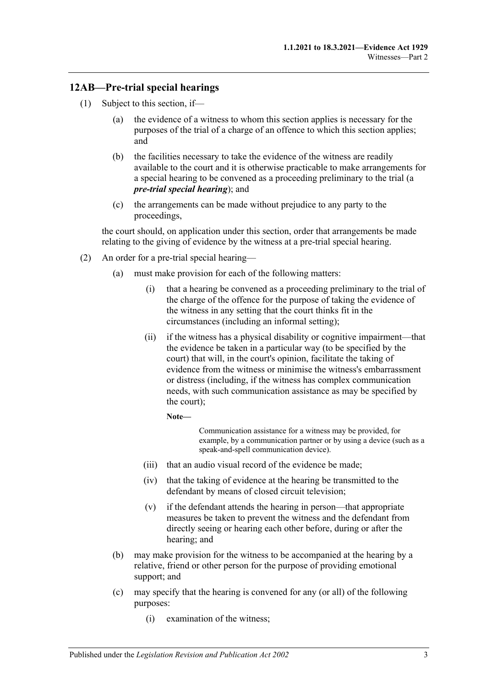## <span id="page-12-0"></span>**12AB—Pre-trial special hearings**

- <span id="page-12-1"></span>(1) Subject to this section, if—
	- (a) the evidence of a witness to whom this section applies is necessary for the purposes of the trial of a charge of an offence to which this section applies; and
	- (b) the facilities necessary to take the evidence of the witness are readily available to the court and it is otherwise practicable to make arrangements for a special hearing to be convened as a proceeding preliminary to the trial (a *pre-trial special hearing*); and
	- (c) the arrangements can be made without prejudice to any party to the proceedings,

<span id="page-12-2"></span>the court should, on application under this section, order that arrangements be made relating to the giving of evidence by the witness at a pre-trial special hearing.

- <span id="page-12-3"></span>(2) An order for a pre-trial special hearing—
	- (a) must make provision for each of the following matters:
		- (i) that a hearing be convened as a proceeding preliminary to the trial of the charge of the offence for the purpose of taking the evidence of the witness in any setting that the court thinks fit in the circumstances (including an informal setting);
		- (ii) if the witness has a physical disability or cognitive impairment—that the evidence be taken in a particular way (to be specified by the court) that will, in the court's opinion, facilitate the taking of evidence from the witness or minimise the witness's embarrassment or distress (including, if the witness has complex communication needs, with such communication assistance as may be specified by the court);

**Note—**

Communication assistance for a witness may be provided, for example, by a communication partner or by using a device (such as a speak-and-spell communication device).

- (iii) that an audio visual record of the evidence be made;
- (iv) that the taking of evidence at the hearing be transmitted to the defendant by means of closed circuit television;
- (v) if the defendant attends the hearing in person—that appropriate measures be taken to prevent the witness and the defendant from directly seeing or hearing each other before, during or after the hearing; and
- (b) may make provision for the witness to be accompanied at the hearing by a relative, friend or other person for the purpose of providing emotional support; and
- (c) may specify that the hearing is convened for any (or all) of the following purposes:
	- (i) examination of the witness;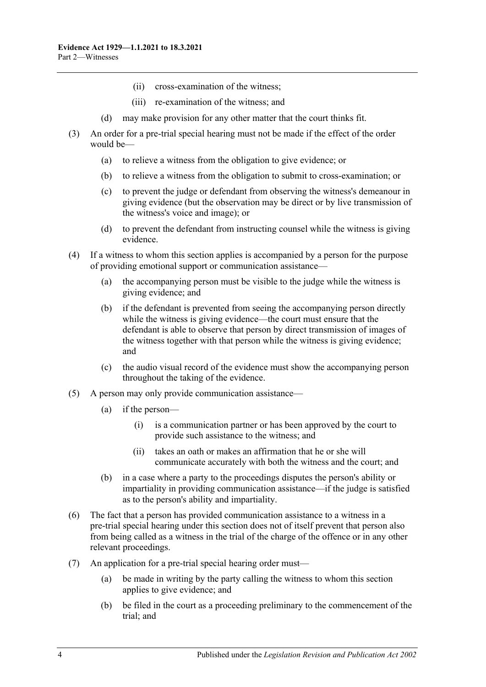- (ii) cross-examination of the witness;
- (iii) re-examination of the witness; and
- (d) may make provision for any other matter that the court thinks fit.
- (3) An order for a pre-trial special hearing must not be made if the effect of the order would be—
	- (a) to relieve a witness from the obligation to give evidence; or
	- (b) to relieve a witness from the obligation to submit to cross-examination; or
	- (c) to prevent the judge or defendant from observing the witness's demeanour in giving evidence (but the observation may be direct or by live transmission of the witness's voice and image); or
	- (d) to prevent the defendant from instructing counsel while the witness is giving evidence.
- (4) If a witness to whom this section applies is accompanied by a person for the purpose of providing emotional support or communication assistance—
	- (a) the accompanying person must be visible to the judge while the witness is giving evidence; and
	- (b) if the defendant is prevented from seeing the accompanying person directly while the witness is giving evidence—the court must ensure that the defendant is able to observe that person by direct transmission of images of the witness together with that person while the witness is giving evidence; and
	- (c) the audio visual record of the evidence must show the accompanying person throughout the taking of the evidence.
- (5) A person may only provide communication assistance—
	- (a) if the person—
		- (i) is a communication partner or has been approved by the court to provide such assistance to the witness; and
		- (ii) takes an oath or makes an affirmation that he or she will communicate accurately with both the witness and the court; and
	- (b) in a case where a party to the proceedings disputes the person's ability or impartiality in providing communication assistance—if the judge is satisfied as to the person's ability and impartiality.
- (6) The fact that a person has provided communication assistance to a witness in a pre-trial special hearing under this section does not of itself prevent that person also from being called as a witness in the trial of the charge of the offence or in any other relevant proceedings.
- (7) An application for a pre-trial special hearing order must—
	- (a) be made in writing by the party calling the witness to whom this section applies to give evidence; and
	- (b) be filed in the court as a proceeding preliminary to the commencement of the trial; and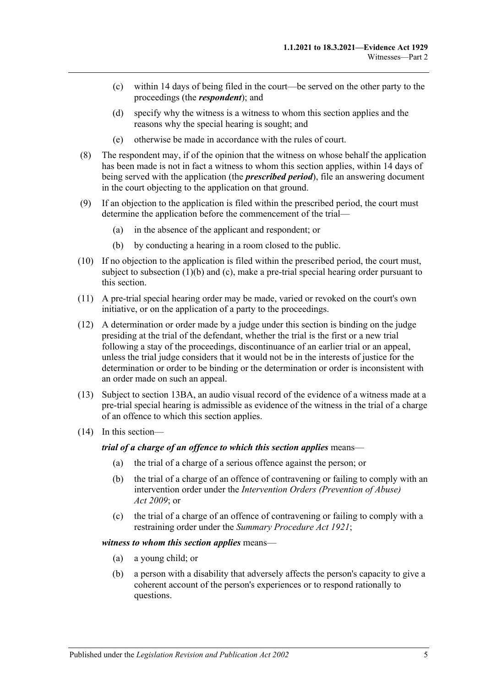- (c) within 14 days of being filed in the court—be served on the other party to the proceedings (the *respondent*); and
- (d) specify why the witness is a witness to whom this section applies and the reasons why the special hearing is sought; and
- (e) otherwise be made in accordance with the rules of court.
- (8) The respondent may, if of the opinion that the witness on whose behalf the application has been made is not in fact a witness to whom this section applies, within 14 days of being served with the application (the *prescribed period*), file an answering document in the court objecting to the application on that ground.
- (9) If an objection to the application is filed within the prescribed period, the court must determine the application before the commencement of the trial—
	- (a) in the absence of the applicant and respondent; or
	- (b) by conducting a hearing in a room closed to the public.
- (10) If no objection to the application is filed within the prescribed period, the court must, subject to [subsection](#page-12-1) (1)(b) and [\(c\),](#page-12-2) make a pre-trial special hearing order pursuant to this section.
- (11) A pre-trial special hearing order may be made, varied or revoked on the court's own initiative, or on the application of a party to the proceedings.
- (12) A determination or order made by a judge under this section is binding on the judge presiding at the trial of the defendant, whether the trial is the first or a new trial following a stay of the proceedings, discontinuance of an earlier trial or an appeal, unless the trial judge considers that it would not be in the interests of justice for the determination or order to be binding or the determination or order is inconsistent with an order made on such an appeal.
- (13) Subject to [section](#page-20-0) 13BA, an audio visual record of the evidence of a witness made at a pre-trial special hearing is admissible as evidence of the witness in the trial of a charge of an offence to which this section applies.
- (14) In this section—

*trial of a charge of an offence to which this section applies* means—

- (a) the trial of a charge of a serious offence against the person; or
- (b) the trial of a charge of an offence of contravening or failing to comply with an intervention order under the *[Intervention Orders \(Prevention of Abuse\)](http://www.legislation.sa.gov.au/index.aspx?action=legref&type=act&legtitle=Intervention%20Orders%20(Prevention%20of%20Abuse)%20Act%202009)  Act [2009](http://www.legislation.sa.gov.au/index.aspx?action=legref&type=act&legtitle=Intervention%20Orders%20(Prevention%20of%20Abuse)%20Act%202009)*; or
- (c) the trial of a charge of an offence of contravening or failing to comply with a restraining order under the *[Summary Procedure Act](http://www.legislation.sa.gov.au/index.aspx?action=legref&type=act&legtitle=Summary%20Procedure%20Act%201921) 1921*;

#### *witness to whom this section applies* means—

- (a) a young child; or
- (b) a person with a disability that adversely affects the person's capacity to give a coherent account of the person's experiences or to respond rationally to questions.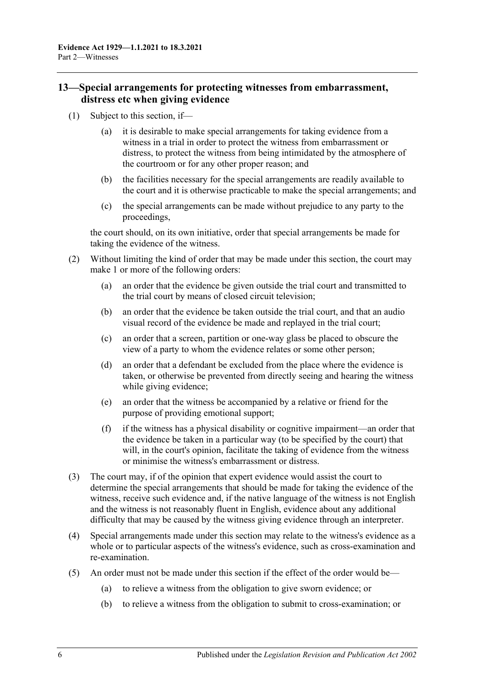## <span id="page-15-0"></span>**13—Special arrangements for protecting witnesses from embarrassment, distress etc when giving evidence**

- (1) Subject to this section, if—
	- (a) it is desirable to make special arrangements for taking evidence from a witness in a trial in order to protect the witness from embarrassment or distress, to protect the witness from being intimidated by the atmosphere of the courtroom or for any other proper reason; and
	- (b) the facilities necessary for the special arrangements are readily available to the court and it is otherwise practicable to make the special arrangements; and
	- (c) the special arrangements can be made without prejudice to any party to the proceedings,

the court should, on its own initiative, order that special arrangements be made for taking the evidence of the witness.

- (2) Without limiting the kind of order that may be made under this section, the court may make 1 or more of the following orders:
	- (a) an order that the evidence be given outside the trial court and transmitted to the trial court by means of closed circuit television;
	- (b) an order that the evidence be taken outside the trial court, and that an audio visual record of the evidence be made and replayed in the trial court;
	- (c) an order that a screen, partition or one-way glass be placed to obscure the view of a party to whom the evidence relates or some other person;
	- (d) an order that a defendant be excluded from the place where the evidence is taken, or otherwise be prevented from directly seeing and hearing the witness while giving evidence;
	- (e) an order that the witness be accompanied by a relative or friend for the purpose of providing emotional support;
	- (f) if the witness has a physical disability or cognitive impairment—an order that the evidence be taken in a particular way (to be specified by the court) that will, in the court's opinion, facilitate the taking of evidence from the witness or minimise the witness's embarrassment or distress.
- (3) The court may, if of the opinion that expert evidence would assist the court to determine the special arrangements that should be made for taking the evidence of the witness, receive such evidence and, if the native language of the witness is not English and the witness is not reasonably fluent in English, evidence about any additional difficulty that may be caused by the witness giving evidence through an interpreter.
- (4) Special arrangements made under this section may relate to the witness's evidence as a whole or to particular aspects of the witness's evidence, such as cross-examination and re-examination.
- (5) An order must not be made under this section if the effect of the order would be—
	- (a) to relieve a witness from the obligation to give sworn evidence; or
	- (b) to relieve a witness from the obligation to submit to cross-examination; or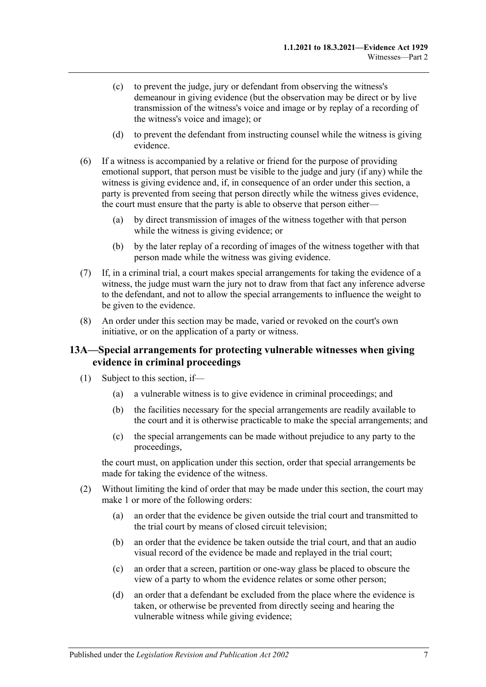- (c) to prevent the judge, jury or defendant from observing the witness's demeanour in giving evidence (but the observation may be direct or by live transmission of the witness's voice and image or by replay of a recording of the witness's voice and image); or
- (d) to prevent the defendant from instructing counsel while the witness is giving evidence.
- (6) If a witness is accompanied by a relative or friend for the purpose of providing emotional support, that person must be visible to the judge and jury (if any) while the witness is giving evidence and, if, in consequence of an order under this section, a party is prevented from seeing that person directly while the witness gives evidence, the court must ensure that the party is able to observe that person either—
	- (a) by direct transmission of images of the witness together with that person while the witness is giving evidence; or
	- (b) by the later replay of a recording of images of the witness together with that person made while the witness was giving evidence.
- (7) If, in a criminal trial, a court makes special arrangements for taking the evidence of a witness, the judge must warn the jury not to draw from that fact any inference adverse to the defendant, and not to allow the special arrangements to influence the weight to be given to the evidence.
- (8) An order under this section may be made, varied or revoked on the court's own initiative, or on the application of a party or witness.

## <span id="page-16-0"></span>**13A—Special arrangements for protecting vulnerable witnesses when giving evidence in criminal proceedings**

- (1) Subject to this section, if—
	- (a) a vulnerable witness is to give evidence in criminal proceedings; and
	- (b) the facilities necessary for the special arrangements are readily available to the court and it is otherwise practicable to make the special arrangements; and
	- (c) the special arrangements can be made without prejudice to any party to the proceedings,

the court must, on application under this section, order that special arrangements be made for taking the evidence of the witness.

- <span id="page-16-1"></span>(2) Without limiting the kind of order that may be made under this section, the court may make 1 or more of the following orders:
	- (a) an order that the evidence be given outside the trial court and transmitted to the trial court by means of closed circuit television;
	- (b) an order that the evidence be taken outside the trial court, and that an audio visual record of the evidence be made and replayed in the trial court;
	- (c) an order that a screen, partition or one-way glass be placed to obscure the view of a party to whom the evidence relates or some other person;
	- (d) an order that a defendant be excluded from the place where the evidence is taken, or otherwise be prevented from directly seeing and hearing the vulnerable witness while giving evidence;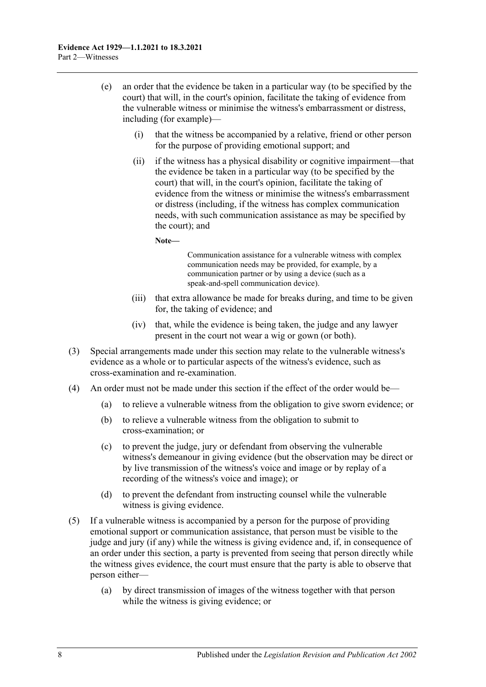- (e) an order that the evidence be taken in a particular way (to be specified by the court) that will, in the court's opinion, facilitate the taking of evidence from the vulnerable witness or minimise the witness's embarrassment or distress, including (for example)—
	- (i) that the witness be accompanied by a relative, friend or other person for the purpose of providing emotional support; and
	- (ii) if the witness has a physical disability or cognitive impairment—that the evidence be taken in a particular way (to be specified by the court) that will, in the court's opinion, facilitate the taking of evidence from the witness or minimise the witness's embarrassment or distress (including, if the witness has complex communication needs, with such communication assistance as may be specified by the court); and

**Note—**

Communication assistance for a vulnerable witness with complex communication needs may be provided, for example, by a communication partner or by using a device (such as a speak-and-spell communication device).

- (iii) that extra allowance be made for breaks during, and time to be given for, the taking of evidence; and
- (iv) that, while the evidence is being taken, the judge and any lawyer present in the court not wear a wig or gown (or both).
- (3) Special arrangements made under this section may relate to the vulnerable witness's evidence as a whole or to particular aspects of the witness's evidence, such as cross-examination and re-examination.
- (4) An order must not be made under this section if the effect of the order would be—
	- (a) to relieve a vulnerable witness from the obligation to give sworn evidence; or
	- (b) to relieve a vulnerable witness from the obligation to submit to cross-examination; or
	- (c) to prevent the judge, jury or defendant from observing the vulnerable witness's demeanour in giving evidence (but the observation may be direct or by live transmission of the witness's voice and image or by replay of a recording of the witness's voice and image); or
	- (d) to prevent the defendant from instructing counsel while the vulnerable witness is giving evidence.
- (5) If a vulnerable witness is accompanied by a person for the purpose of providing emotional support or communication assistance, that person must be visible to the judge and jury (if any) while the witness is giving evidence and, if, in consequence of an order under this section, a party is prevented from seeing that person directly while the witness gives evidence, the court must ensure that the party is able to observe that person either—
	- (a) by direct transmission of images of the witness together with that person while the witness is giving evidence; or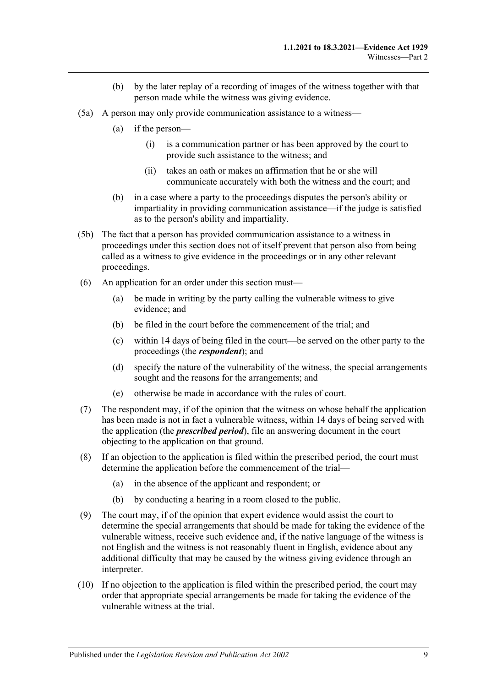- (b) by the later replay of a recording of images of the witness together with that person made while the witness was giving evidence.
- (5a) A person may only provide communication assistance to a witness—
	- (a) if the person—
		- (i) is a communication partner or has been approved by the court to provide such assistance to the witness; and
		- (ii) takes an oath or makes an affirmation that he or she will communicate accurately with both the witness and the court; and
	- (b) in a case where a party to the proceedings disputes the person's ability or impartiality in providing communication assistance—if the judge is satisfied as to the person's ability and impartiality.
- (5b) The fact that a person has provided communication assistance to a witness in proceedings under this section does not of itself prevent that person also from being called as a witness to give evidence in the proceedings or in any other relevant proceedings.
- (6) An application for an order under this section must—
	- (a) be made in writing by the party calling the vulnerable witness to give evidence; and
	- (b) be filed in the court before the commencement of the trial; and
	- (c) within 14 days of being filed in the court—be served on the other party to the proceedings (the *respondent*); and
	- (d) specify the nature of the vulnerability of the witness, the special arrangements sought and the reasons for the arrangements; and
	- (e) otherwise be made in accordance with the rules of court.
- (7) The respondent may, if of the opinion that the witness on whose behalf the application has been made is not in fact a vulnerable witness, within 14 days of being served with the application (the *prescribed period*), file an answering document in the court objecting to the application on that ground.
- (8) If an objection to the application is filed within the prescribed period, the court must determine the application before the commencement of the trial—
	- (a) in the absence of the applicant and respondent; or
	- (b) by conducting a hearing in a room closed to the public.
- (9) The court may, if of the opinion that expert evidence would assist the court to determine the special arrangements that should be made for taking the evidence of the vulnerable witness, receive such evidence and, if the native language of the witness is not English and the witness is not reasonably fluent in English, evidence about any additional difficulty that may be caused by the witness giving evidence through an interpreter.
- (10) If no objection to the application is filed within the prescribed period, the court may order that appropriate special arrangements be made for taking the evidence of the vulnerable witness at the trial.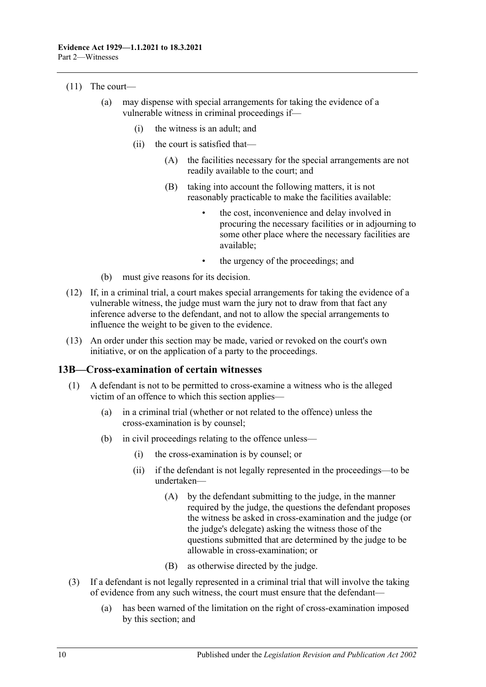#### (11) The court—

- (a) may dispense with special arrangements for taking the evidence of a vulnerable witness in criminal proceedings if—
	- (i) the witness is an adult; and
	- (ii) the court is satisfied that—
		- (A) the facilities necessary for the special arrangements are not readily available to the court; and
		- (B) taking into account the following matters, it is not reasonably practicable to make the facilities available:
			- the cost, inconvenience and delay involved in procuring the necessary facilities or in adjourning to some other place where the necessary facilities are available;
			- the urgency of the proceedings; and
- (b) must give reasons for its decision.
- (12) If, in a criminal trial, a court makes special arrangements for taking the evidence of a vulnerable witness, the judge must warn the jury not to draw from that fact any inference adverse to the defendant, and not to allow the special arrangements to influence the weight to be given to the evidence.
- (13) An order under this section may be made, varied or revoked on the court's own initiative, or on the application of a party to the proceedings.

#### <span id="page-19-0"></span>**13B—Cross-examination of certain witnesses**

- (1) A defendant is not to be permitted to cross-examine a witness who is the alleged victim of an offence to which this section applies—
	- (a) in a criminal trial (whether or not related to the offence) unless the cross-examination is by counsel;
	- (b) in civil proceedings relating to the offence unless—
		- (i) the cross-examination is by counsel; or
		- (ii) if the defendant is not legally represented in the proceedings—to be undertaken—
			- (A) by the defendant submitting to the judge, in the manner required by the judge, the questions the defendant proposes the witness be asked in cross-examination and the judge (or the judge's delegate) asking the witness those of the questions submitted that are determined by the judge to be allowable in cross-examination; or
			- (B) as otherwise directed by the judge.
- (3) If a defendant is not legally represented in a criminal trial that will involve the taking of evidence from any such witness, the court must ensure that the defendant—
	- (a) has been warned of the limitation on the right of cross-examination imposed by this section; and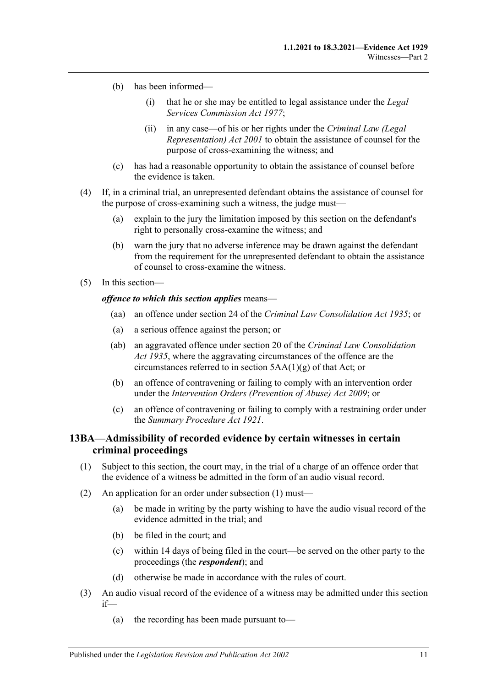- (b) has been informed—
	- (i) that he or she may be entitled to legal assistance under the *[Legal](http://www.legislation.sa.gov.au/index.aspx?action=legref&type=act&legtitle=Legal%20Services%20Commission%20Act%201977)  [Services Commission Act](http://www.legislation.sa.gov.au/index.aspx?action=legref&type=act&legtitle=Legal%20Services%20Commission%20Act%201977) 1977*;
	- (ii) in any case—of his or her rights under the *[Criminal Law \(Legal](http://www.legislation.sa.gov.au/index.aspx?action=legref&type=act&legtitle=Criminal%20Law%20(Legal%20Representation)%20Act%202001)  [Representation\) Act](http://www.legislation.sa.gov.au/index.aspx?action=legref&type=act&legtitle=Criminal%20Law%20(Legal%20Representation)%20Act%202001) 2001* to obtain the assistance of counsel for the purpose of cross-examining the witness; and
- (c) has had a reasonable opportunity to obtain the assistance of counsel before the evidence is taken.
- (4) If, in a criminal trial, an unrepresented defendant obtains the assistance of counsel for the purpose of cross-examining such a witness, the judge must—
	- (a) explain to the jury the limitation imposed by this section on the defendant's right to personally cross-examine the witness; and
	- (b) warn the jury that no adverse inference may be drawn against the defendant from the requirement for the unrepresented defendant to obtain the assistance of counsel to cross-examine the witness.
- (5) In this section—

#### *offence to which this section applies* means—

- (aa) an offence under section 24 of the *[Criminal Law Consolidation Act](http://www.legislation.sa.gov.au/index.aspx?action=legref&type=act&legtitle=Criminal%20Law%20Consolidation%20Act%201935) 1935*; or
- (a) a serious offence against the person; or
- (ab) an aggravated offence under section 20 of the *[Criminal Law Consolidation](http://www.legislation.sa.gov.au/index.aspx?action=legref&type=act&legtitle=Criminal%20Law%20Consolidation%20Act%201935)  Act [1935](http://www.legislation.sa.gov.au/index.aspx?action=legref&type=act&legtitle=Criminal%20Law%20Consolidation%20Act%201935)*, where the aggravating circumstances of the offence are the circumstances referred to in section  $5AA(1)(g)$  of that Act; or
- (b) an offence of contravening or failing to comply with an intervention order under the *[Intervention Orders \(Prevention of Abuse\) Act](http://www.legislation.sa.gov.au/index.aspx?action=legref&type=act&legtitle=Intervention%20Orders%20(Prevention%20of%20Abuse)%20Act%202009) 2009*; or
- (c) an offence of contravening or failing to comply with a restraining order under the *[Summary Procedure Act](http://www.legislation.sa.gov.au/index.aspx?action=legref&type=act&legtitle=Summary%20Procedure%20Act%201921) 1921*.

## <span id="page-20-0"></span>**13BA—Admissibility of recorded evidence by certain witnesses in certain criminal proceedings**

- <span id="page-20-1"></span>(1) Subject to this section, the court may, in the trial of a charge of an offence order that the evidence of a witness be admitted in the form of an audio visual record.
- (2) An application for an order under [subsection](#page-20-1) (1) must—
	- (a) be made in writing by the party wishing to have the audio visual record of the evidence admitted in the trial; and
	- (b) be filed in the court; and
	- (c) within 14 days of being filed in the court—be served on the other party to the proceedings (the *respondent*); and
	- (d) otherwise be made in accordance with the rules of court.
- <span id="page-20-2"></span>(3) An audio visual record of the evidence of a witness may be admitted under this section if—
	- (a) the recording has been made pursuant to—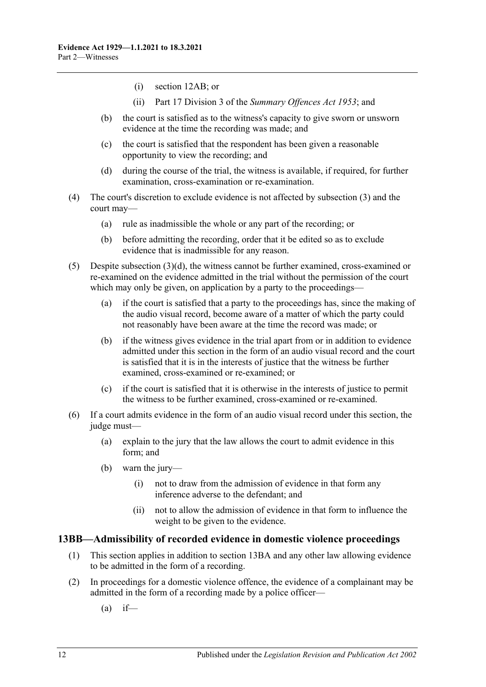- (i) [section](#page-12-0) 12AB; or
- (ii) Part 17 Division 3 of the *[Summary Offences Act](http://www.legislation.sa.gov.au/index.aspx?action=legref&type=act&legtitle=Summary%20Offences%20Act%201953) 1953*; and
- (b) the court is satisfied as to the witness's capacity to give sworn or unsworn evidence at the time the recording was made; and
- (c) the court is satisfied that the respondent has been given a reasonable opportunity to view the recording; and
- (d) during the course of the trial, the witness is available, if required, for further examination, cross-examination or re-examination.
- <span id="page-21-1"></span>(4) The court's discretion to exclude evidence is not affected by [subsection](#page-20-2) (3) and the court may—
	- (a) rule as inadmissible the whole or any part of the recording; or
	- (b) before admitting the recording, order that it be edited so as to exclude evidence that is inadmissible for any reason.
- (5) Despite [subsection](#page-21-1)  $(3)(d)$ , the witness cannot be further examined, cross-examined or re-examined on the evidence admitted in the trial without the permission of the court which may only be given, on application by a party to the proceedings—
	- (a) if the court is satisfied that a party to the proceedings has, since the making of the audio visual record, become aware of a matter of which the party could not reasonably have been aware at the time the record was made; or
	- (b) if the witness gives evidence in the trial apart from or in addition to evidence admitted under this section in the form of an audio visual record and the court is satisfied that it is in the interests of justice that the witness be further examined, cross-examined or re-examined; or
	- (c) if the court is satisfied that it is otherwise in the interests of justice to permit the witness to be further examined, cross-examined or re-examined.
- (6) If a court admits evidence in the form of an audio visual record under this section, the judge must—
	- (a) explain to the jury that the law allows the court to admit evidence in this form; and
	- (b) warn the jury—
		- (i) not to draw from the admission of evidence in that form any inference adverse to the defendant; and
		- (ii) not to allow the admission of evidence in that form to influence the weight to be given to the evidence.

#### <span id="page-21-0"></span>**13BB—Admissibility of recorded evidence in domestic violence proceedings**

- (1) This section applies in addition to [section](#page-20-0) 13BA and any other law allowing evidence to be admitted in the form of a recording.
- <span id="page-21-2"></span>(2) In proceedings for a domestic violence offence, the evidence of a complainant may be admitted in the form of a recording made by a police officer—
	- $(a)$  if—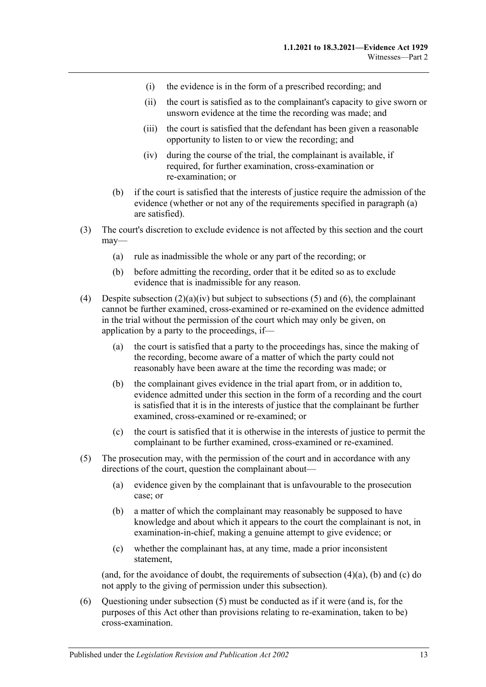- (i) the evidence is in the form of a prescribed recording; and
- (ii) the court is satisfied as to the complainant's capacity to give sworn or unsworn evidence at the time the recording was made; and
- (iii) the court is satisfied that the defendant has been given a reasonable opportunity to listen to or view the recording; and
- (iv) during the course of the trial, the complainant is available, if required, for further examination, cross-examination or re-examination; or
- <span id="page-22-0"></span>(b) if the court is satisfied that the interests of justice require the admission of the evidence (whether or not any of the requirements specified in [paragraph](#page-21-2) (a) are satisfied).
- (3) The court's discretion to exclude evidence is not affected by this section and the court may—
	- (a) rule as inadmissible the whole or any part of the recording; or
	- (b) before admitting the recording, order that it be edited so as to exclude evidence that is inadmissible for any reason.
- <span id="page-22-3"></span>(4) Despite [subsection](#page-22-0)  $(2)(a)(iv)$  but subject to [subsections](#page-22-1) (5) and [\(6\),](#page-22-2) the complainant cannot be further examined, cross-examined or re-examined on the evidence admitted in the trial without the permission of the court which may only be given, on application by a party to the proceedings, if—
	- (a) the court is satisfied that a party to the proceedings has, since the making of the recording, become aware of a matter of which the party could not reasonably have been aware at the time the recording was made; or
	- (b) the complainant gives evidence in the trial apart from, or in addition to, evidence admitted under this section in the form of a recording and the court is satisfied that it is in the interests of justice that the complainant be further examined, cross-examined or re-examined; or
	- (c) the court is satisfied that it is otherwise in the interests of justice to permit the complainant to be further examined, cross-examined or re-examined.
- <span id="page-22-4"></span><span id="page-22-1"></span>(5) The prosecution may, with the permission of the court and in accordance with any directions of the court, question the complainant about—
	- (a) evidence given by the complainant that is unfavourable to the prosecution case; or
	- (b) a matter of which the complainant may reasonably be supposed to have knowledge and about which it appears to the court the complainant is not, in examination-in-chief, making a genuine attempt to give evidence; or
	- (c) whether the complainant has, at any time, made a prior inconsistent statement,

<span id="page-22-5"></span>(and, for the avoidance of doubt, the requirements of [subsection](#page-22-3)  $(4)(a)$ ,  $(b)$  and  $(c)$  do not apply to the giving of permission under this subsection).

<span id="page-22-2"></span>(6) Questioning under [subsection](#page-22-1) (5) must be conducted as if it were (and is, for the purposes of this Act other than provisions relating to re-examination, taken to be) cross-examination.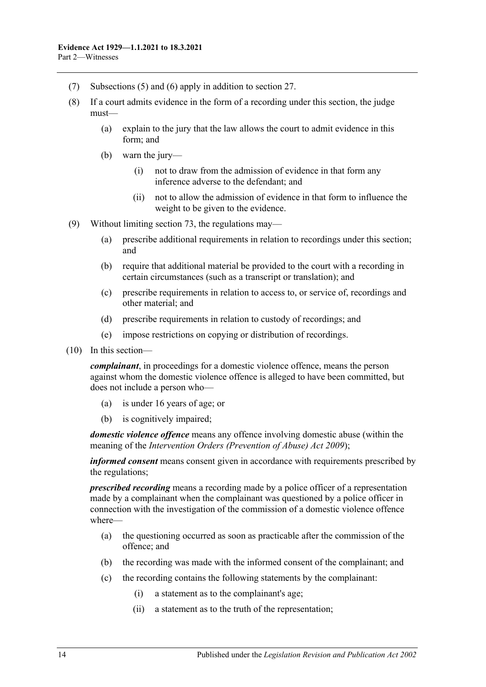- (7) [Subsections](#page-22-1) (5) and [\(6\)](#page-22-2) apply in addition to [section](#page-31-1) 27.
- (8) If a court admits evidence in the form of a recording under this section, the judge must—
	- (a) explain to the jury that the law allows the court to admit evidence in this form; and
	- (b) warn the jury—
		- (i) not to draw from the admission of evidence in that form any inference adverse to the defendant; and
		- (ii) not to allow the admission of evidence in that form to influence the weight to be given to the evidence.
- (9) Without limiting [section](#page-94-1) 73, the regulations may—
	- (a) prescribe additional requirements in relation to recordings under this section; and
	- (b) require that additional material be provided to the court with a recording in certain circumstances (such as a transcript or translation); and
	- (c) prescribe requirements in relation to access to, or service of, recordings and other material; and
	- (d) prescribe requirements in relation to custody of recordings; and
	- (e) impose restrictions on copying or distribution of recordings.
- (10) In this section—

*complainant*, in proceedings for a domestic violence offence, means the person against whom the domestic violence offence is alleged to have been committed, but does not include a person who—

- (a) is under 16 years of age; or
- (b) is cognitively impaired;

*domestic violence offence* means any offence involving domestic abuse (within the meaning of the *[Intervention Orders \(Prevention of Abuse\) Act](http://www.legislation.sa.gov.au/index.aspx?action=legref&type=act&legtitle=Intervention%20Orders%20(Prevention%20of%20Abuse)%20Act%202009) 2009*);

*informed consent* means consent given in accordance with requirements prescribed by the regulations;

*prescribed recording* means a recording made by a police officer of a representation made by a complainant when the complainant was questioned by a police officer in connection with the investigation of the commission of a domestic violence offence where—

- (a) the questioning occurred as soon as practicable after the commission of the offence; and
- (b) the recording was made with the informed consent of the complainant; and
- (c) the recording contains the following statements by the complainant:
	- (i) a statement as to the complainant's age;
	- (ii) a statement as to the truth of the representation;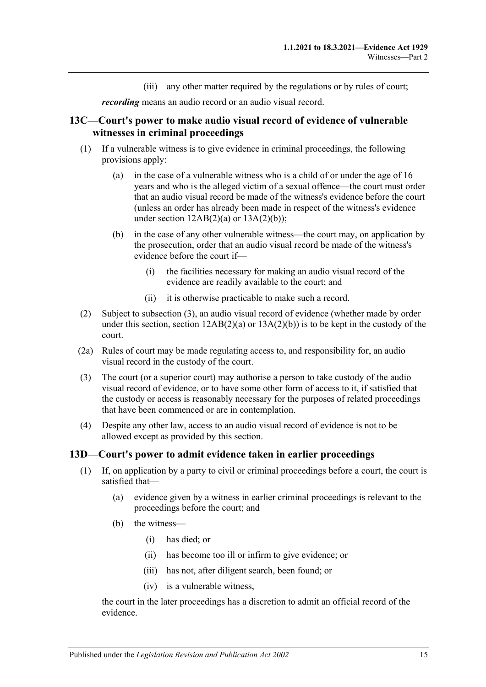(iii) any other matter required by the regulations or by rules of court;

*recording* means an audio record or an audio visual record.

## <span id="page-24-0"></span>**13C—Court's power to make audio visual record of evidence of vulnerable witnesses in criminal proceedings**

- (1) If a vulnerable witness is to give evidence in criminal proceedings, the following provisions apply:
	- (a) in the case of a vulnerable witness who is a child of or under the age of 16 years and who is the alleged victim of a sexual offence—the court must order that an audio visual record be made of the witness's evidence before the court (unless an order has already been made in respect of the witness's evidence under section  $12AB(2)(a)$  or  $13A(2)(b)$ ;
	- (b) in the case of any other vulnerable witness—the court may, on application by the prosecution, order that an audio visual record be made of the witness's evidence before the court if—
		- (i) the facilities necessary for making an audio visual record of the evidence are readily available to the court; and
		- (ii) it is otherwise practicable to make such a record.
- (2) Subject to [subsection](#page-24-2) (3), an audio visual record of evidence (whether made by order under this section, section  $12AB(2)(a)$  or  $13A(2)(b)$  is to be kept in the custody of the court.
- (2a) Rules of court may be made regulating access to, and responsibility for, an audio visual record in the custody of the court.
- <span id="page-24-2"></span>(3) The court (or a superior court) may authorise a person to take custody of the audio visual record of evidence, or to have some other form of access to it, if satisfied that the custody or access is reasonably necessary for the purposes of related proceedings that have been commenced or are in contemplation.
- (4) Despite any other law, access to an audio visual record of evidence is not to be allowed except as provided by this section.

## <span id="page-24-1"></span>**13D—Court's power to admit evidence taken in earlier proceedings**

- (1) If, on application by a party to civil or criminal proceedings before a court, the court is satisfied that—
	- (a) evidence given by a witness in earlier criminal proceedings is relevant to the proceedings before the court; and
	- (b) the witness—
		- (i) has died; or
		- (ii) has become too ill or infirm to give evidence; or
		- (iii) has not, after diligent search, been found; or
		- (iv) is a vulnerable witness,

the court in the later proceedings has a discretion to admit an official record of the evidence.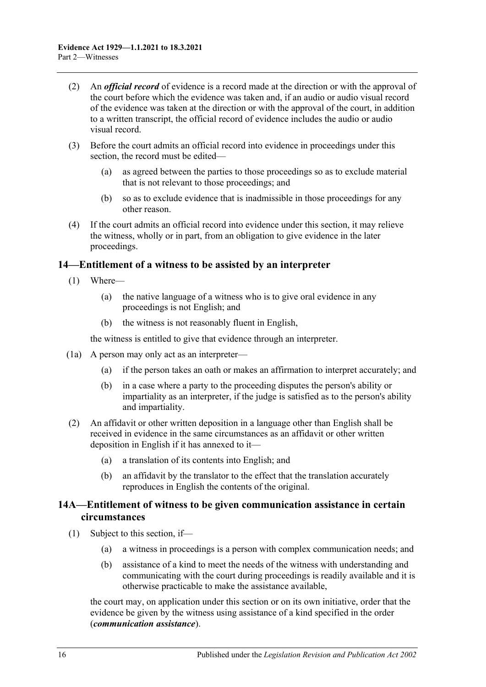- (2) An *official record* of evidence is a record made at the direction or with the approval of the court before which the evidence was taken and, if an audio or audio visual record of the evidence was taken at the direction or with the approval of the court, in addition to a written transcript, the official record of evidence includes the audio or audio visual record.
- (3) Before the court admits an official record into evidence in proceedings under this section, the record must be edited—
	- (a) as agreed between the parties to those proceedings so as to exclude material that is not relevant to those proceedings; and
	- (b) so as to exclude evidence that is inadmissible in those proceedings for any other reason.
- (4) If the court admits an official record into evidence under this section, it may relieve the witness, wholly or in part, from an obligation to give evidence in the later proceedings.

## <span id="page-25-0"></span>**14—Entitlement of a witness to be assisted by an interpreter**

- (1) Where—
	- (a) the native language of a witness who is to give oral evidence in any proceedings is not English; and
	- (b) the witness is not reasonably fluent in English,

the witness is entitled to give that evidence through an interpreter.

- (1a) A person may only act as an interpreter—
	- (a) if the person takes an oath or makes an affirmation to interpret accurately; and
	- (b) in a case where a party to the proceeding disputes the person's ability or impartiality as an interpreter, if the judge is satisfied as to the person's ability and impartiality.
- (2) An affidavit or other written deposition in a language other than English shall be received in evidence in the same circumstances as an affidavit or other written deposition in English if it has annexed to it—
	- (a) a translation of its contents into English; and
	- (b) an affidavit by the translator to the effect that the translation accurately reproduces in English the contents of the original.

## <span id="page-25-1"></span>**14A—Entitlement of witness to be given communication assistance in certain circumstances**

- (1) Subject to this section, if—
	- (a) a witness in proceedings is a person with complex communication needs; and
	- (b) assistance of a kind to meet the needs of the witness with understanding and communicating with the court during proceedings is readily available and it is otherwise practicable to make the assistance available,

the court may, on application under this section or on its own initiative, order that the evidence be given by the witness using assistance of a kind specified in the order (*communication assistance*).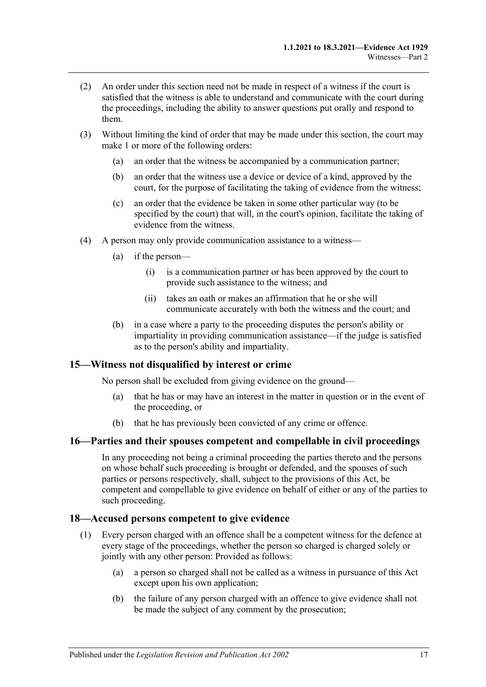- (2) An order under this section need not be made in respect of a witness if the court is satisfied that the witness is able to understand and communicate with the court during the proceedings, including the ability to answer questions put orally and respond to them.
- (3) Without limiting the kind of order that may be made under this section, the court may make 1 or more of the following orders:
	- (a) an order that the witness be accompanied by a communication partner;
	- (b) an order that the witness use a device or device of a kind, approved by the court, for the purpose of facilitating the taking of evidence from the witness;
	- (c) an order that the evidence be taken in some other particular way (to be specified by the court) that will, in the court's opinion, facilitate the taking of evidence from the witness.
- (4) A person may only provide communication assistance to a witness—
	- (a) if the person—
		- (i) is a communication partner or has been approved by the court to provide such assistance to the witness; and
		- (ii) takes an oath or makes an affirmation that he or she will communicate accurately with both the witness and the court; and
	- (b) in a case where a party to the proceeding disputes the person's ability or impartiality in providing communication assistance—if the judge is satisfied as to the person's ability and impartiality.

## <span id="page-26-0"></span>**15—Witness not disqualified by interest or crime**

No person shall be excluded from giving evidence on the ground—

- (a) that he has or may have an interest in the matter in question or in the event of the proceeding, or
- (b) that he has previously been convicted of any crime or offence.

#### <span id="page-26-1"></span>**16—Parties and their spouses competent and compellable in civil proceedings**

In any proceeding not being a criminal proceeding the parties thereto and the persons on whose behalf such proceeding is brought or defended, and the spouses of such parties or persons respectively, shall, subject to the provisions of this Act, be competent and compellable to give evidence on behalf of either or any of the parties to such proceeding.

#### <span id="page-26-2"></span>**18—Accused persons competent to give evidence**

- (1) Every person charged with an offence shall be a competent witness for the defence at every stage of the proceedings, whether the person so charged is charged solely or jointly with any other person: Provided as follows:
	- (a) a person so charged shall not be called as a witness in pursuance of this Act except upon his own application;
	- (b) the failure of any person charged with an offence to give evidence shall not be made the subject of any comment by the prosecution;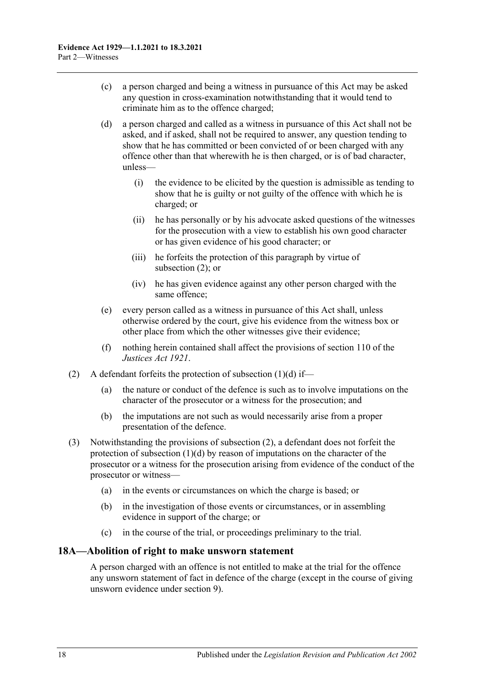- (c) a person charged and being a witness in pursuance of this Act may be asked any question in cross-examination notwithstanding that it would tend to criminate him as to the offence charged;
- <span id="page-27-2"></span>(d) a person charged and called as a witness in pursuance of this Act shall not be asked, and if asked, shall not be required to answer, any question tending to show that he has committed or been convicted of or been charged with any offence other than that wherewith he is then charged, or is of bad character, unless—
	- (i) the evidence to be elicited by the question is admissible as tending to show that he is guilty or not guilty of the offence with which he is charged; or
	- (ii) he has personally or by his advocate asked questions of the witnesses for the prosecution with a view to establish his own good character or has given evidence of his good character; or
	- (iii) he forfeits the protection of this paragraph by virtue of [subsection](#page-27-1) (2); or
	- (iv) he has given evidence against any other person charged with the same offence;
- (e) every person called as a witness in pursuance of this Act shall, unless otherwise ordered by the court, give his evidence from the witness box or other place from which the other witnesses give their evidence;
- (f) nothing herein contained shall affect the provisions of section 110 of the *[Justices Act](http://www.legislation.sa.gov.au/index.aspx?action=legref&type=act&legtitle=Justices%20Act%201921) 1921*.
- <span id="page-27-1"></span>(2) A defendant forfeits the protection of [subsection](#page-27-2)  $(1)(d)$  if—
	- (a) the nature or conduct of the defence is such as to involve imputations on the character of the prosecutor or a witness for the prosecution; and
	- (b) the imputations are not such as would necessarily arise from a proper presentation of the defence.
- (3) Notwithstanding the provisions of [subsection](#page-27-1) (2), a defendant does not forfeit the protection of [subsection](#page-27-2)  $(1)(d)$  by reason of imputations on the character of the prosecutor or a witness for the prosecution arising from evidence of the conduct of the prosecutor or witness—
	- (a) in the events or circumstances on which the charge is based; or
	- (b) in the investigation of those events or circumstances, or in assembling evidence in support of the charge; or
	- (c) in the course of the trial, or proceedings preliminary to the trial.

## <span id="page-27-0"></span>**18A—Abolition of right to make unsworn statement**

A person charged with an offence is not entitled to make at the trial for the offence any unsworn statement of fact in defence of the charge (except in the course of giving unsworn evidence under [section](#page-10-3) 9).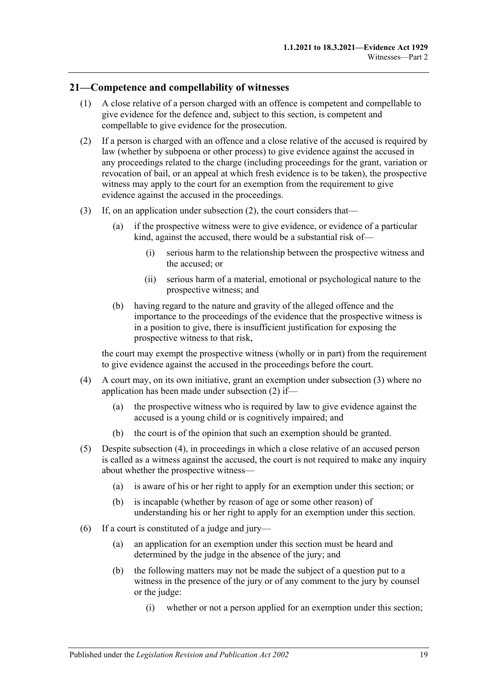## <span id="page-28-0"></span>**21—Competence and compellability of witnesses**

- (1) A close relative of a person charged with an offence is competent and compellable to give evidence for the defence and, subject to this section, is competent and compellable to give evidence for the prosecution.
- <span id="page-28-1"></span>(2) If a person is charged with an offence and a close relative of the accused is required by law (whether by subpoena or other process) to give evidence against the accused in any proceedings related to the charge (including proceedings for the grant, variation or revocation of bail, or an appeal at which fresh evidence is to be taken), the prospective witness may apply to the court for an exemption from the requirement to give evidence against the accused in the proceedings.
- <span id="page-28-2"></span>(3) If, on an application under [subsection](#page-28-1) (2), the court considers that—
	- (a) if the prospective witness were to give evidence, or evidence of a particular kind, against the accused, there would be a substantial risk of—
		- (i) serious harm to the relationship between the prospective witness and the accused; or
		- (ii) serious harm of a material, emotional or psychological nature to the prospective witness; and
	- (b) having regard to the nature and gravity of the alleged offence and the importance to the proceedings of the evidence that the prospective witness is in a position to give, there is insufficient justification for exposing the prospective witness to that risk,

the court may exempt the prospective witness (wholly or in part) from the requirement to give evidence against the accused in the proceedings before the court.

- <span id="page-28-3"></span>(4) A court may, on its own initiative, grant an exemption under [subsection](#page-28-2) (3) where no application has been made under [subsection](#page-28-1) (2) if—
	- (a) the prospective witness who is required by law to give evidence against the accused is a young child or is cognitively impaired; and
	- (b) the court is of the opinion that such an exemption should be granted.
- <span id="page-28-4"></span>(5) Despite [subsection](#page-28-3) (4), in proceedings in which a close relative of an accused person is called as a witness against the accused, the court is not required to make any inquiry about whether the prospective witness—
	- (a) is aware of his or her right to apply for an exemption under this section; or
	- (b) is incapable (whether by reason of age or some other reason) of understanding his or her right to apply for an exemption under this section.
- (6) If a court is constituted of a judge and jury—
	- (a) an application for an exemption under this section must be heard and determined by the judge in the absence of the jury; and
	- (b) the following matters may not be made the subject of a question put to a witness in the presence of the jury or of any comment to the jury by counsel or the judge:
		- (i) whether or not a person applied for an exemption under this section;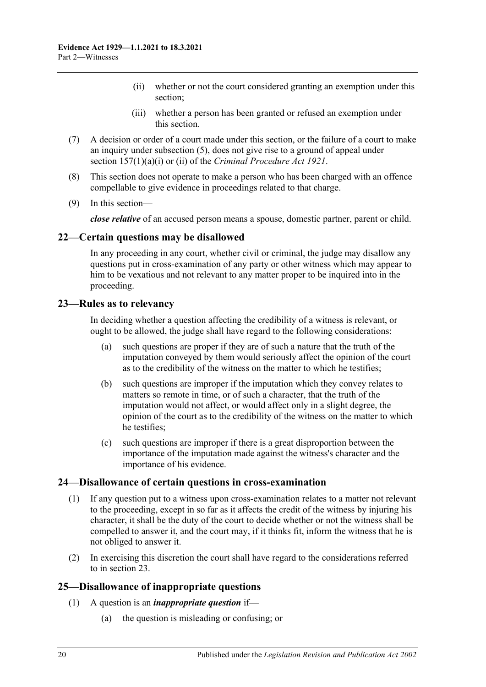- (ii) whether or not the court considered granting an exemption under this section;
- (iii) whether a person has been granted or refused an exemption under this section.
- (7) A decision or order of a court made under this section, or the failure of a court to make an inquiry under [subsection](#page-28-4) (5), does not give rise to a ground of appeal under section 157(1)(a)(i) or (ii) of the *[Criminal Procedure Act](http://www.legislation.sa.gov.au/index.aspx?action=legref&type=act&legtitle=Criminal%20Procedure%20Act%201921) 1921*.
- (8) This section does not operate to make a person who has been charged with an offence compellable to give evidence in proceedings related to that charge.
- (9) In this section—

*close relative* of an accused person means a spouse, domestic partner, parent or child.

## <span id="page-29-0"></span>**22—Certain questions may be disallowed**

In any proceeding in any court, whether civil or criminal, the judge may disallow any questions put in cross-examination of any party or other witness which may appear to him to be vexatious and not relevant to any matter proper to be inquired into in the proceeding.

#### <span id="page-29-1"></span>**23—Rules as to relevancy**

In deciding whether a question affecting the credibility of a witness is relevant, or ought to be allowed, the judge shall have regard to the following considerations:

- (a) such questions are proper if they are of such a nature that the truth of the imputation conveyed by them would seriously affect the opinion of the court as to the credibility of the witness on the matter to which he testifies;
- (b) such questions are improper if the imputation which they convey relates to matters so remote in time, or of such a character, that the truth of the imputation would not affect, or would affect only in a slight degree, the opinion of the court as to the credibility of the witness on the matter to which he testifies;
- (c) such questions are improper if there is a great disproportion between the importance of the imputation made against the witness's character and the importance of his evidence.

#### <span id="page-29-2"></span>**24—Disallowance of certain questions in cross-examination**

- (1) If any question put to a witness upon cross-examination relates to a matter not relevant to the proceeding, except in so far as it affects the credit of the witness by injuring his character, it shall be the duty of the court to decide whether or not the witness shall be compelled to answer it, and the court may, if it thinks fit, inform the witness that he is not obliged to answer it.
- (2) In exercising this discretion the court shall have regard to the considerations referred to in [section](#page-29-1) 23.

## <span id="page-29-3"></span>**25—Disallowance of inappropriate questions**

- (1) A question is an *inappropriate question* if—
	- (a) the question is misleading or confusing; or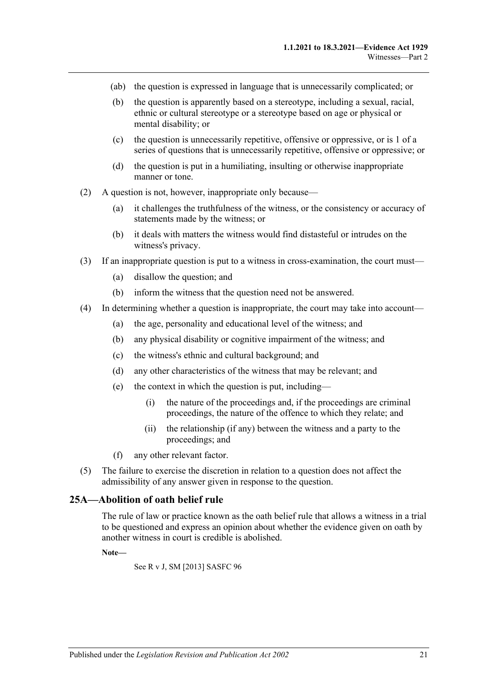- (ab) the question is expressed in language that is unnecessarily complicated; or
- (b) the question is apparently based on a stereotype, including a sexual, racial, ethnic or cultural stereotype or a stereotype based on age or physical or mental disability; or
- (c) the question is unnecessarily repetitive, offensive or oppressive, or is 1 of a series of questions that is unnecessarily repetitive, offensive or oppressive; or
- (d) the question is put in a humiliating, insulting or otherwise inappropriate manner or tone.
- (2) A question is not, however, inappropriate only because—
	- (a) it challenges the truthfulness of the witness, or the consistency or accuracy of statements made by the witness; or
	- (b) it deals with matters the witness would find distasteful or intrudes on the witness's privacy.
- (3) If an inappropriate question is put to a witness in cross-examination, the court must—
	- (a) disallow the question; and
	- (b) inform the witness that the question need not be answered.
- (4) In determining whether a question is inappropriate, the court may take into account—
	- (a) the age, personality and educational level of the witness; and
	- (b) any physical disability or cognitive impairment of the witness; and
	- (c) the witness's ethnic and cultural background; and
	- (d) any other characteristics of the witness that may be relevant; and
	- (e) the context in which the question is put, including—
		- (i) the nature of the proceedings and, if the proceedings are criminal proceedings, the nature of the offence to which they relate; and
		- (ii) the relationship (if any) between the witness and a party to the proceedings; and
	- (f) any other relevant factor.
- (5) The failure to exercise the discretion in relation to a question does not affect the admissibility of any answer given in response to the question.

#### <span id="page-30-0"></span>**25A—Abolition of oath belief rule**

The rule of law or practice known as the oath belief rule that allows a witness in a trial to be questioned and express an opinion about whether the evidence given on oath by another witness in court is credible is abolished.

#### **Note—**

See R v J, SM [2013] SASFC 96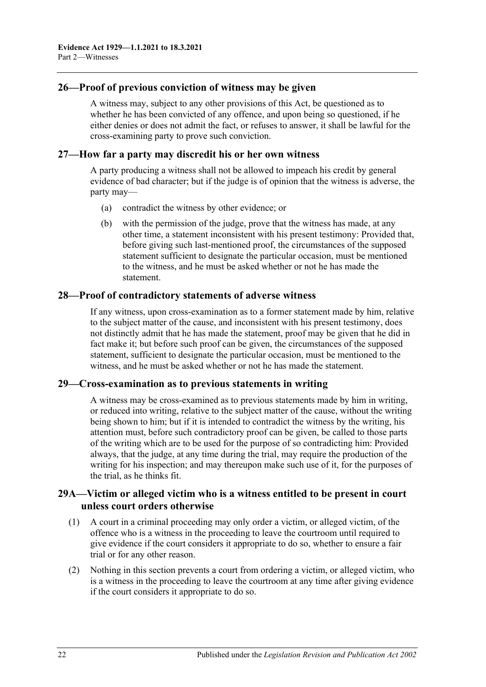## <span id="page-31-0"></span>**26—Proof of previous conviction of witness may be given**

A witness may, subject to any other provisions of this Act, be questioned as to whether he has been convicted of any offence, and upon being so questioned, if he either denies or does not admit the fact, or refuses to answer, it shall be lawful for the cross-examining party to prove such conviction.

#### <span id="page-31-1"></span>**27—How far a party may discredit his or her own witness**

A party producing a witness shall not be allowed to impeach his credit by general evidence of bad character; but if the judge is of opinion that the witness is adverse, the party may—

- (a) contradict the witness by other evidence; or
- (b) with the permission of the judge, prove that the witness has made, at any other time, a statement inconsistent with his present testimony: Provided that, before giving such last-mentioned proof, the circumstances of the supposed statement sufficient to designate the particular occasion, must be mentioned to the witness, and he must be asked whether or not he has made the statement.

#### <span id="page-31-2"></span>**28—Proof of contradictory statements of adverse witness**

If any witness, upon cross-examination as to a former statement made by him, relative to the subject matter of the cause, and inconsistent with his present testimony, does not distinctly admit that he has made the statement, proof may be given that he did in fact make it; but before such proof can be given, the circumstances of the supposed statement, sufficient to designate the particular occasion, must be mentioned to the witness, and he must be asked whether or not he has made the statement.

#### <span id="page-31-3"></span>**29—Cross-examination as to previous statements in writing**

A witness may be cross-examined as to previous statements made by him in writing, or reduced into writing, relative to the subject matter of the cause, without the writing being shown to him; but if it is intended to contradict the witness by the writing, his attention must, before such contradictory proof can be given, be called to those parts of the writing which are to be used for the purpose of so contradicting him: Provided always, that the judge, at any time during the trial, may require the production of the writing for his inspection; and may thereupon make such use of it, for the purposes of the trial, as he thinks fit.

## <span id="page-31-4"></span>**29A—Victim or alleged victim who is a witness entitled to be present in court unless court orders otherwise**

- (1) A court in a criminal proceeding may only order a victim, or alleged victim, of the offence who is a witness in the proceeding to leave the courtroom until required to give evidence if the court considers it appropriate to do so, whether to ensure a fair trial or for any other reason.
- (2) Nothing in this section prevents a court from ordering a victim, or alleged victim, who is a witness in the proceeding to leave the courtroom at any time after giving evidence if the court considers it appropriate to do so.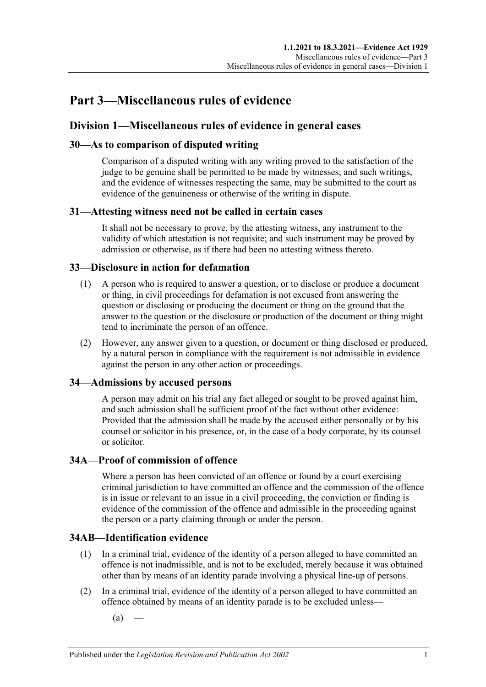## <span id="page-32-0"></span>**Part 3—Miscellaneous rules of evidence**

## <span id="page-32-1"></span>**Division 1—Miscellaneous rules of evidence in general cases**

## <span id="page-32-2"></span>**30—As to comparison of disputed writing**

Comparison of a disputed writing with any writing proved to the satisfaction of the judge to be genuine shall be permitted to be made by witnesses; and such writings, and the evidence of witnesses respecting the same, may be submitted to the court as evidence of the genuineness or otherwise of the writing in dispute.

## <span id="page-32-3"></span>**31—Attesting witness need not be called in certain cases**

It shall not be necessary to prove, by the attesting witness, any instrument to the validity of which attestation is not requisite; and such instrument may be proved by admission or otherwise, as if there had been no attesting witness thereto.

## <span id="page-32-4"></span>**33—Disclosure in action for defamation**

- (1) A person who is required to answer a question, or to disclose or produce a document or thing, in civil proceedings for defamation is not excused from answering the question or disclosing or producing the document or thing on the ground that the answer to the question or the disclosure or production of the document or thing might tend to incriminate the person of an offence.
- (2) However, any answer given to a question, or document or thing disclosed or produced, by a natural person in compliance with the requirement is not admissible in evidence against the person in any other action or proceedings.

## <span id="page-32-5"></span>**34—Admissions by accused persons**

A person may admit on his trial any fact alleged or sought to be proved against him, and such admission shall be sufficient proof of the fact without other evidence: Provided that the admission shall be made by the accused either personally or by his counsel or solicitor in his presence, or, in the case of a body corporate, by its counsel or solicitor.

## <span id="page-32-6"></span>**34A—Proof of commission of offence**

Where a person has been convicted of an offence or found by a court exercising criminal jurisdiction to have committed an offence and the commission of the offence is in issue or relevant to an issue in a civil proceeding, the conviction or finding is evidence of the commission of the offence and admissible in the proceeding against the person or a party claiming through or under the person.

## <span id="page-32-7"></span>**34AB—Identification evidence**

- (1) In a criminal trial, evidence of the identity of a person alleged to have committed an offence is not inadmissible, and is not to be excluded, merely because it was obtained other than by means of an identity parade involving a physical line-up of persons.
- <span id="page-32-8"></span>(2) In a criminal trial, evidence of the identity of a person alleged to have committed an offence obtained by means of an identity parade is to be excluded unless—
	- $(a)$  —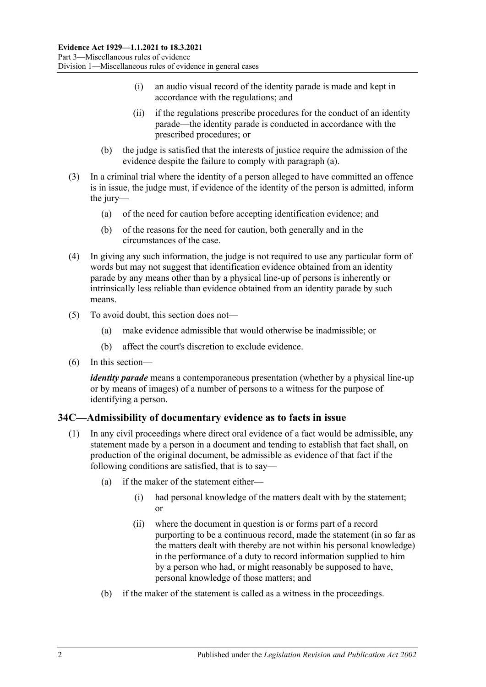- (i) an audio visual record of the identity parade is made and kept in accordance with the regulations; and
- (ii) if the regulations prescribe procedures for the conduct of an identity parade—the identity parade is conducted in accordance with the prescribed procedures; or
- (b) the judge is satisfied that the interests of justice require the admission of the evidence despite the failure to comply with [paragraph](#page-32-8) (a).
- (3) In a criminal trial where the identity of a person alleged to have committed an offence is in issue, the judge must, if evidence of the identity of the person is admitted, inform the jury—
	- (a) of the need for caution before accepting identification evidence; and
	- (b) of the reasons for the need for caution, both generally and in the circumstances of the case.
- (4) In giving any such information, the judge is not required to use any particular form of words but may not suggest that identification evidence obtained from an identity parade by any means other than by a physical line-up of persons is inherently or intrinsically less reliable than evidence obtained from an identity parade by such means.
- (5) To avoid doubt, this section does not—
	- (a) make evidence admissible that would otherwise be inadmissible; or
	- (b) affect the court's discretion to exclude evidence.
- (6) In this section—

*identity parade* means a contemporaneous presentation (whether by a physical line-up or by means of images) of a number of persons to a witness for the purpose of identifying a person.

## <span id="page-33-1"></span><span id="page-33-0"></span>**34C—Admissibility of documentary evidence as to facts in issue**

- (1) In any civil proceedings where direct oral evidence of a fact would be admissible, any statement made by a person in a document and tending to establish that fact shall, on production of the original document, be admissible as evidence of that fact if the following conditions are satisfied, that is to say—
	- (a) if the maker of the statement either—
		- (i) had personal knowledge of the matters dealt with by the statement; or
		- (ii) where the document in question is or forms part of a record purporting to be a continuous record, made the statement (in so far as the matters dealt with thereby are not within his personal knowledge) in the performance of a duty to record information supplied to him by a person who had, or might reasonably be supposed to have, personal knowledge of those matters; and
	- (b) if the maker of the statement is called as a witness in the proceedings.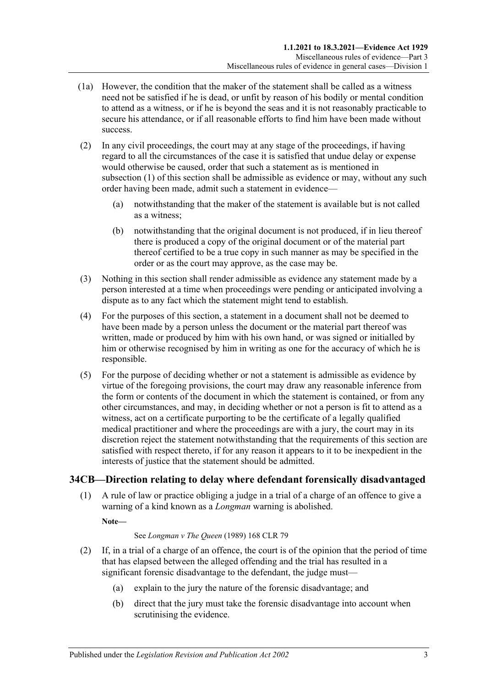- (1a) However, the condition that the maker of the statement shall be called as a witness need not be satisfied if he is dead, or unfit by reason of his bodily or mental condition to attend as a witness, or if he is beyond the seas and it is not reasonably practicable to secure his attendance, or if all reasonable efforts to find him have been made without success.
- (2) In any civil proceedings, the court may at any stage of the proceedings, if having regard to all the circumstances of the case it is satisfied that undue delay or expense would otherwise be caused, order that such a statement as is mentioned in [subsection](#page-33-1) (1) of this section shall be admissible as evidence or may, without any such order having been made, admit such a statement in evidence—
	- (a) notwithstanding that the maker of the statement is available but is not called as a witness;
	- (b) notwithstanding that the original document is not produced, if in lieu thereof there is produced a copy of the original document or of the material part thereof certified to be a true copy in such manner as may be specified in the order or as the court may approve, as the case may be.
- (3) Nothing in this section shall render admissible as evidence any statement made by a person interested at a time when proceedings were pending or anticipated involving a dispute as to any fact which the statement might tend to establish.
- (4) For the purposes of this section, a statement in a document shall not be deemed to have been made by a person unless the document or the material part thereof was written, made or produced by him with his own hand, or was signed or initialled by him or otherwise recognised by him in writing as one for the accuracy of which he is responsible.
- (5) For the purpose of deciding whether or not a statement is admissible as evidence by virtue of the foregoing provisions, the court may draw any reasonable inference from the form or contents of the document in which the statement is contained, or from any other circumstances, and may, in deciding whether or not a person is fit to attend as a witness, act on a certificate purporting to be the certificate of a legally qualified medical practitioner and where the proceedings are with a jury, the court may in its discretion reject the statement notwithstanding that the requirements of this section are satisfied with respect thereto, if for any reason it appears to it to be inexpedient in the interests of justice that the statement should be admitted.

## <span id="page-34-0"></span>**34CB—Direction relating to delay where defendant forensically disadvantaged**

(1) A rule of law or practice obliging a judge in a trial of a charge of an offence to give a warning of a kind known as a *Longman* warning is abolished.

**Note—**

#### See *Longman v The Queen* (1989) 168 CLR 79

- <span id="page-34-1"></span>(2) If, in a trial of a charge of an offence, the court is of the opinion that the period of time that has elapsed between the alleged offending and the trial has resulted in a significant forensic disadvantage to the defendant, the judge must—
	- (a) explain to the jury the nature of the forensic disadvantage; and
	- (b) direct that the jury must take the forensic disadvantage into account when scrutinising the evidence.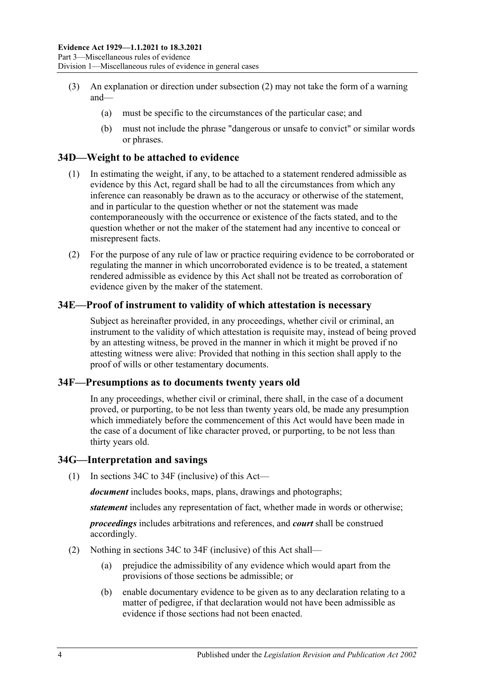- (3) An explanation or direction under [subsection](#page-34-1) (2) may not take the form of a warning and—
	- (a) must be specific to the circumstances of the particular case; and
	- (b) must not include the phrase "dangerous or unsafe to convict" or similar words or phrases.

## <span id="page-35-0"></span>**34D—Weight to be attached to evidence**

- (1) In estimating the weight, if any, to be attached to a statement rendered admissible as evidence by this Act, regard shall be had to all the circumstances from which any inference can reasonably be drawn as to the accuracy or otherwise of the statement, and in particular to the question whether or not the statement was made contemporaneously with the occurrence or existence of the facts stated, and to the question whether or not the maker of the statement had any incentive to conceal or misrepresent facts.
- (2) For the purpose of any rule of law or practice requiring evidence to be corroborated or regulating the manner in which uncorroborated evidence is to be treated, a statement rendered admissible as evidence by this Act shall not be treated as corroboration of evidence given by the maker of the statement.

#### <span id="page-35-1"></span>**34E—Proof of instrument to validity of which attestation is necessary**

Subject as hereinafter provided, in any proceedings, whether civil or criminal, an instrument to the validity of which attestation is requisite may, instead of being proved by an attesting witness, be proved in the manner in which it might be proved if no attesting witness were alive: Provided that nothing in this section shall apply to the proof of wills or other testamentary documents.

#### <span id="page-35-2"></span>**34F—Presumptions as to documents twenty years old**

In any proceedings, whether civil or criminal, there shall, in the case of a document proved, or purporting, to be not less than twenty years old, be made any presumption which immediately before the commencement of this Act would have been made in the case of a document of like character proved, or purporting, to be not less than thirty years old.

#### <span id="page-35-3"></span>**34G—Interpretation and savings**

(1) In [sections](#page-33-0) 34C to [34F](#page-35-2) (inclusive) of this Act—

*document* includes books, maps, plans, drawings and photographs;

*statement* includes any representation of fact, whether made in words or otherwise;

*proceedings* includes arbitrations and references, and *court* shall be construed accordingly.

- (2) Nothing in [sections](#page-33-0) 34C to [34F](#page-35-2) (inclusive) of this Act shall—
	- (a) prejudice the admissibility of any evidence which would apart from the provisions of those sections be admissible; or
	- (b) enable documentary evidence to be given as to any declaration relating to a matter of pedigree, if that declaration would not have been admissible as evidence if those sections had not been enacted.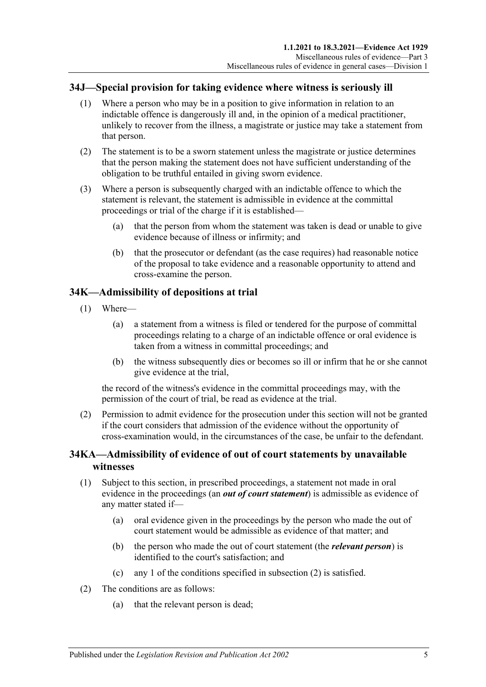# **34J—Special provision for taking evidence where witness is seriously ill**

- (1) Where a person who may be in a position to give information in relation to an indictable offence is dangerously ill and, in the opinion of a medical practitioner, unlikely to recover from the illness, a magistrate or justice may take a statement from that person.
- (2) The statement is to be a sworn statement unless the magistrate or justice determines that the person making the statement does not have sufficient understanding of the obligation to be truthful entailed in giving sworn evidence.
- (3) Where a person is subsequently charged with an indictable offence to which the statement is relevant, the statement is admissible in evidence at the committal proceedings or trial of the charge if it is established—
	- (a) that the person from whom the statement was taken is dead or unable to give evidence because of illness or infirmity; and
	- (b) that the prosecutor or defendant (as the case requires) had reasonable notice of the proposal to take evidence and a reasonable opportunity to attend and cross-examine the person.

# **34K—Admissibility of depositions at trial**

- (1) Where—
	- (a) a statement from a witness is filed or tendered for the purpose of committal proceedings relating to a charge of an indictable offence or oral evidence is taken from a witness in committal proceedings; and
	- (b) the witness subsequently dies or becomes so ill or infirm that he or she cannot give evidence at the trial,

the record of the witness's evidence in the committal proceedings may, with the permission of the court of trial, be read as evidence at the trial.

(2) Permission to admit evidence for the prosecution under this section will not be granted if the court considers that admission of the evidence without the opportunity of cross-examination would, in the circumstances of the case, be unfair to the defendant.

# **34KA—Admissibility of evidence of out of court statements by unavailable witnesses**

- (1) Subject to this section, in prescribed proceedings, a statement not made in oral evidence in the proceedings (an *out of court statement*) is admissible as evidence of any matter stated if—
	- (a) oral evidence given in the proceedings by the person who made the out of court statement would be admissible as evidence of that matter; and
	- (b) the person who made the out of court statement (the *relevant person*) is identified to the court's satisfaction; and
	- (c) any 1 of the conditions specified in [subsection](#page-36-0) (2) is satisfied.
- <span id="page-36-0"></span>(2) The conditions are as follows:
	- (a) that the relevant person is dead;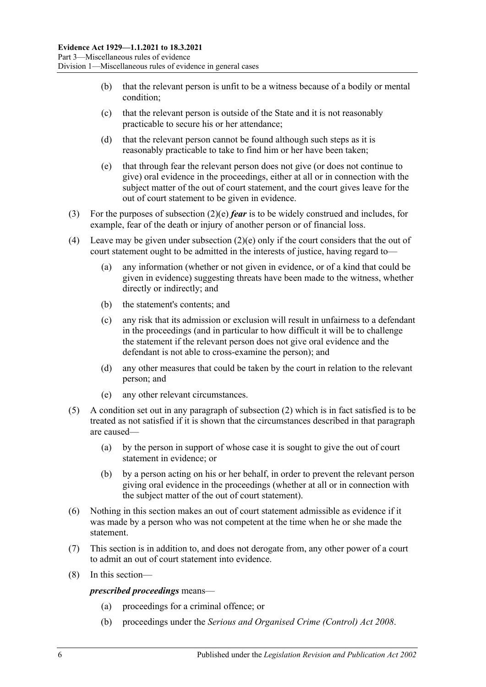- (b) that the relevant person is unfit to be a witness because of a bodily or mental condition;
- (c) that the relevant person is outside of the State and it is not reasonably practicable to secure his or her attendance;
- (d) that the relevant person cannot be found although such steps as it is reasonably practicable to take to find him or her have been taken;
- <span id="page-37-0"></span>(e) that through fear the relevant person does not give (or does not continue to give) oral evidence in the proceedings, either at all or in connection with the subject matter of the out of court statement, and the court gives leave for the out of court statement to be given in evidence.
- (3) For the purposes of [subsection](#page-37-0) (2)(e) *fear* is to be widely construed and includes, for example, fear of the death or injury of another person or of financial loss.
- (4) Leave may be given under [subsection](#page-37-0) (2)(e) only if the court considers that the out of court statement ought to be admitted in the interests of justice, having regard to—
	- (a) any information (whether or not given in evidence, or of a kind that could be given in evidence) suggesting threats have been made to the witness, whether directly or indirectly; and
	- (b) the statement's contents; and
	- (c) any risk that its admission or exclusion will result in unfairness to a defendant in the proceedings (and in particular to how difficult it will be to challenge the statement if the relevant person does not give oral evidence and the defendant is not able to cross-examine the person); and
	- (d) any other measures that could be taken by the court in relation to the relevant person; and
	- (e) any other relevant circumstances.
- (5) A condition set out in any paragraph of [subsection](#page-36-0) (2) which is in fact satisfied is to be treated as not satisfied if it is shown that the circumstances described in that paragraph are caused—
	- (a) by the person in support of whose case it is sought to give the out of court statement in evidence; or
	- (b) by a person acting on his or her behalf, in order to prevent the relevant person giving oral evidence in the proceedings (whether at all or in connection with the subject matter of the out of court statement).
- (6) Nothing in this section makes an out of court statement admissible as evidence if it was made by a person who was not competent at the time when he or she made the statement.
- (7) This section is in addition to, and does not derogate from, any other power of a court to admit an out of court statement into evidence.
- (8) In this section—

*prescribed proceedings* means—

- (a) proceedings for a criminal offence; or
- (b) proceedings under the *[Serious and Organised Crime \(Control\) Act](http://www.legislation.sa.gov.au/index.aspx?action=legref&type=act&legtitle=Serious%20and%20Organised%20Crime%20(Control)%20Act%202008) 2008*.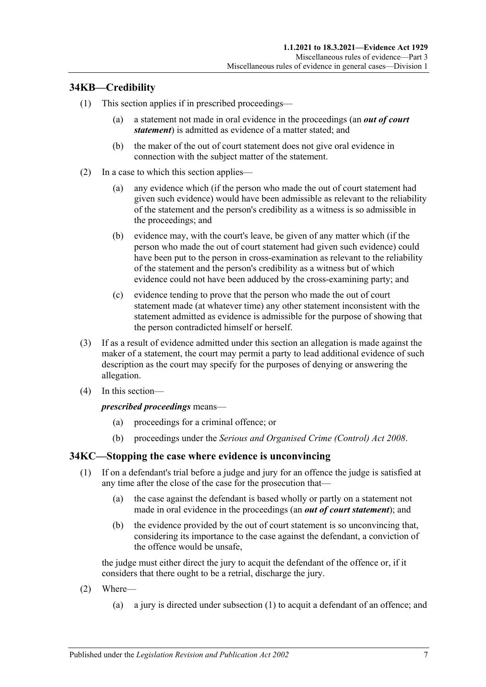# **34KB—Credibility**

- (1) This section applies if in prescribed proceedings—
	- (a) a statement not made in oral evidence in the proceedings (an *out of court statement*) is admitted as evidence of a matter stated; and
	- (b) the maker of the out of court statement does not give oral evidence in connection with the subject matter of the statement.
- (2) In a case to which this section applies—
	- (a) any evidence which (if the person who made the out of court statement had given such evidence) would have been admissible as relevant to the reliability of the statement and the person's credibility as a witness is so admissible in the proceedings; and
	- (b) evidence may, with the court's leave, be given of any matter which (if the person who made the out of court statement had given such evidence) could have been put to the person in cross-examination as relevant to the reliability of the statement and the person's credibility as a witness but of which evidence could not have been adduced by the cross-examining party; and
	- (c) evidence tending to prove that the person who made the out of court statement made (at whatever time) any other statement inconsistent with the statement admitted as evidence is admissible for the purpose of showing that the person contradicted himself or herself.
- (3) If as a result of evidence admitted under this section an allegation is made against the maker of a statement, the court may permit a party to lead additional evidence of such description as the court may specify for the purposes of denying or answering the allegation.
- (4) In this section—

#### *prescribed proceedings* means—

- (a) proceedings for a criminal offence; or
- (b) proceedings under the *[Serious and Organised Crime \(Control\) Act](http://www.legislation.sa.gov.au/index.aspx?action=legref&type=act&legtitle=Serious%20and%20Organised%20Crime%20(Control)%20Act%202008) 2008*.

# <span id="page-38-0"></span>**34KC—Stopping the case where evidence is unconvincing**

- (1) If on a defendant's trial before a judge and jury for an offence the judge is satisfied at any time after the close of the case for the prosecution that—
	- (a) the case against the defendant is based wholly or partly on a statement not made in oral evidence in the proceedings (an *out of court statement*); and
	- (b) the evidence provided by the out of court statement is so unconvincing that, considering its importance to the case against the defendant, a conviction of the offence would be unsafe,

the judge must either direct the jury to acquit the defendant of the offence or, if it considers that there ought to be a retrial, discharge the jury.

- (2) Where—
	- (a) a jury is directed under [subsection](#page-38-0) (1) to acquit a defendant of an offence; and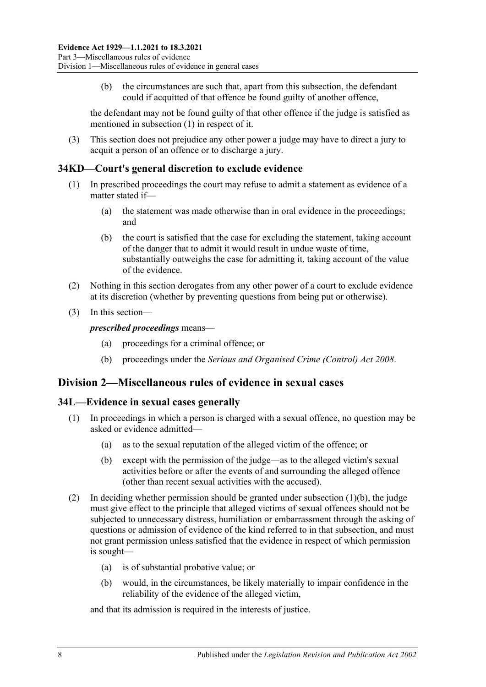(b) the circumstances are such that, apart from this subsection, the defendant could if acquitted of that offence be found guilty of another offence,

the defendant may not be found guilty of that other offence if the judge is satisfied as mentioned in [subsection](#page-38-0) (1) in respect of it.

(3) This section does not prejudice any other power a judge may have to direct a jury to acquit a person of an offence or to discharge a jury.

# **34KD—Court's general discretion to exclude evidence**

- (1) In prescribed proceedings the court may refuse to admit a statement as evidence of a matter stated if—
	- (a) the statement was made otherwise than in oral evidence in the proceedings; and
	- (b) the court is satisfied that the case for excluding the statement, taking account of the danger that to admit it would result in undue waste of time, substantially outweighs the case for admitting it, taking account of the value of the evidence.
- (2) Nothing in this section derogates from any other power of a court to exclude evidence at its discretion (whether by preventing questions from being put or otherwise).
- (3) In this section—

*prescribed proceedings* means—

- (a) proceedings for a criminal offence; or
- (b) proceedings under the *[Serious and Organised Crime \(Control\) Act](http://www.legislation.sa.gov.au/index.aspx?action=legref&type=act&legtitle=Serious%20and%20Organised%20Crime%20(Control)%20Act%202008) 2008*.

# **Division 2—Miscellaneous rules of evidence in sexual cases**

# **34L—Evidence in sexual cases generally**

- <span id="page-39-0"></span>(1) In proceedings in which a person is charged with a sexual offence, no question may be asked or evidence admitted—
	- (a) as to the sexual reputation of the alleged victim of the offence; or
	- (b) except with the permission of the judge—as to the alleged victim's sexual activities before or after the events of and surrounding the alleged offence (other than recent sexual activities with the accused).
- (2) In deciding whether permission should be granted under [subsection](#page-39-0) (1)(b), the judge must give effect to the principle that alleged victims of sexual offences should not be subjected to unnecessary distress, humiliation or embarrassment through the asking of questions or admission of evidence of the kind referred to in that subsection, and must not grant permission unless satisfied that the evidence in respect of which permission is sought—
	- (a) is of substantial probative value; or
	- (b) would, in the circumstances, be likely materially to impair confidence in the reliability of the evidence of the alleged victim,

and that its admission is required in the interests of justice.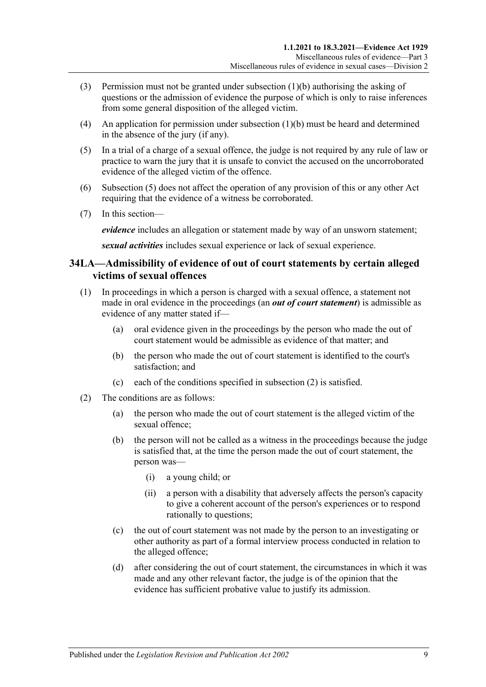- (3) Permission must not be granted under [subsection](#page-39-0) (1)(b) authorising the asking of questions or the admission of evidence the purpose of which is only to raise inferences from some general disposition of the alleged victim.
- (4) An application for permission under [subsection](#page-39-0) (1)(b) must be heard and determined in the absence of the jury (if any).
- <span id="page-40-0"></span>(5) In a trial of a charge of a sexual offence, the judge is not required by any rule of law or practice to warn the jury that it is unsafe to convict the accused on the uncorroborated evidence of the alleged victim of the offence.
- (6) [Subsection](#page-40-0) (5) does not affect the operation of any provision of this or any other Act requiring that the evidence of a witness be corroborated.
- (7) In this section—

*evidence* includes an allegation or statement made by way of an unsworn statement;

*sexual activities* includes sexual experience or lack of sexual experience.

# **34LA—Admissibility of evidence of out of court statements by certain alleged victims of sexual offences**

- (1) In proceedings in which a person is charged with a sexual offence, a statement not made in oral evidence in the proceedings (an *out of court statement*) is admissible as evidence of any matter stated if—
	- (a) oral evidence given in the proceedings by the person who made the out of court statement would be admissible as evidence of that matter; and
	- (b) the person who made the out of court statement is identified to the court's satisfaction; and
	- (c) each of the conditions specified in [subsection](#page-40-1) (2) is satisfied.
- <span id="page-40-2"></span><span id="page-40-1"></span>(2) The conditions are as follows:
	- (a) the person who made the out of court statement is the alleged victim of the sexual offence;
	- (b) the person will not be called as a witness in the proceedings because the judge is satisfied that, at the time the person made the out of court statement, the person was—
		- (i) a young child; or
		- (ii) a person with a disability that adversely affects the person's capacity to give a coherent account of the person's experiences or to respond rationally to questions;
	- (c) the out of court statement was not made by the person to an investigating or other authority as part of a formal interview process conducted in relation to the alleged offence;
	- (d) after considering the out of court statement, the circumstances in which it was made and any other relevant factor, the judge is of the opinion that the evidence has sufficient probative value to justify its admission.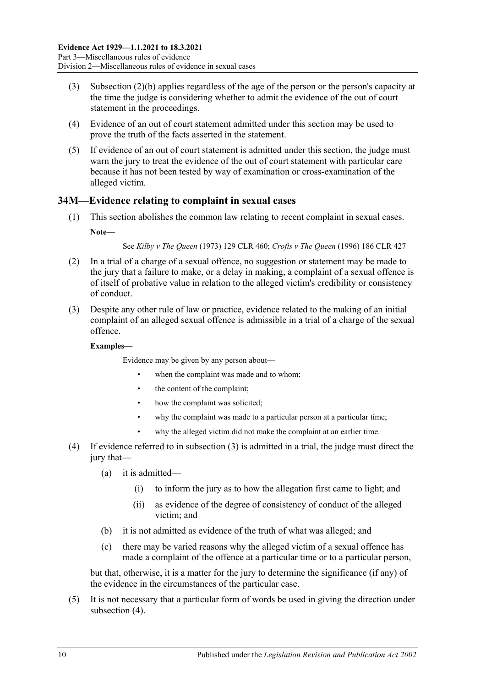- (3) [Subsection \(2\)\(b\)](#page-40-2) applies regardless of the age of the person or the person's capacity at the time the judge is considering whether to admit the evidence of the out of court statement in the proceedings.
- (4) Evidence of an out of court statement admitted under this section may be used to prove the truth of the facts asserted in the statement.
- (5) If evidence of an out of court statement is admitted under this section, the judge must warn the jury to treat the evidence of the out of court statement with particular care because it has not been tested by way of examination or cross-examination of the alleged victim.

# **34M—Evidence relating to complaint in sexual cases**

(1) This section abolishes the common law relating to recent complaint in sexual cases. **Note—**

See *Kilby v The Queen* (1973) 129 CLR 460; *Crofts v The Queen* (1996) 186 CLR 427

- (2) In a trial of a charge of a sexual offence, no suggestion or statement may be made to the jury that a failure to make, or a delay in making, a complaint of a sexual offence is of itself of probative value in relation to the alleged victim's credibility or consistency of conduct.
- <span id="page-41-0"></span>(3) Despite any other rule of law or practice, evidence related to the making of an initial complaint of an alleged sexual offence is admissible in a trial of a charge of the sexual offence.

#### **Examples—**

Evidence may be given by any person about—

- when the complaint was made and to whom:
- the content of the complaint;
- how the complaint was solicited;
- why the complaint was made to a particular person at a particular time:
- why the alleged victim did not make the complaint at an earlier time.
- <span id="page-41-1"></span>(4) If evidence referred to in [subsection](#page-41-0) (3) is admitted in a trial, the judge must direct the jury that—
	- (a) it is admitted—
		- (i) to inform the jury as to how the allegation first came to light; and
		- (ii) as evidence of the degree of consistency of conduct of the alleged victim; and
	- (b) it is not admitted as evidence of the truth of what was alleged; and
	- (c) there may be varied reasons why the alleged victim of a sexual offence has made a complaint of the offence at a particular time or to a particular person,

but that, otherwise, it is a matter for the jury to determine the significance (if any) of the evidence in the circumstances of the particular case.

(5) It is not necessary that a particular form of words be used in giving the direction under [subsection](#page-41-1)  $(4)$ .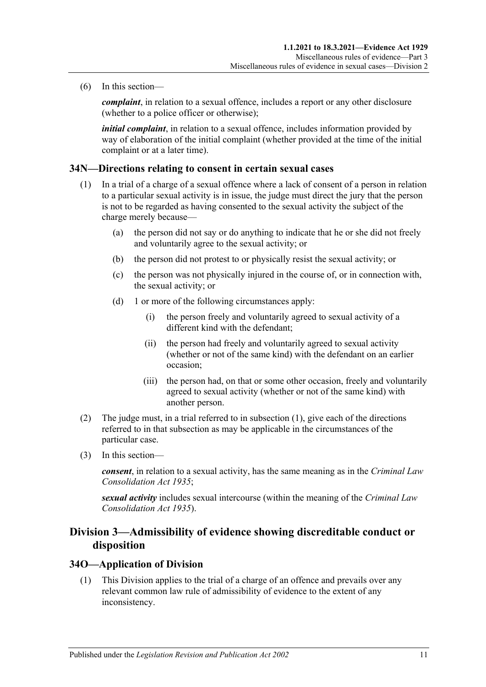(6) In this section—

*complaint*, in relation to a sexual offence, includes a report or any other disclosure (whether to a police officer or otherwise);

*initial complaint*, in relation to a sexual offence, includes information provided by way of elaboration of the initial complaint (whether provided at the time of the initial complaint or at a later time).

#### <span id="page-42-0"></span>**34N—Directions relating to consent in certain sexual cases**

- (1) In a trial of a charge of a sexual offence where a lack of consent of a person in relation to a particular sexual activity is in issue, the judge must direct the jury that the person is not to be regarded as having consented to the sexual activity the subject of the charge merely because—
	- (a) the person did not say or do anything to indicate that he or she did not freely and voluntarily agree to the sexual activity; or
	- (b) the person did not protest to or physically resist the sexual activity; or
	- (c) the person was not physically injured in the course of, or in connection with, the sexual activity; or
	- (d) 1 or more of the following circumstances apply:
		- (i) the person freely and voluntarily agreed to sexual activity of a different kind with the defendant;
		- (ii) the person had freely and voluntarily agreed to sexual activity (whether or not of the same kind) with the defendant on an earlier occasion;
		- (iii) the person had, on that or some other occasion, freely and voluntarily agreed to sexual activity (whether or not of the same kind) with another person.
- (2) The judge must, in a trial referred to in [subsection](#page-42-0) (1), give each of the directions referred to in that subsection as may be applicable in the circumstances of the particular case.
- (3) In this section—

*consent*, in relation to a sexual activity, has the same meaning as in the *[Criminal Law](http://www.legislation.sa.gov.au/index.aspx?action=legref&type=act&legtitle=Criminal%20Law%20Consolidation%20Act%201935)  [Consolidation Act](http://www.legislation.sa.gov.au/index.aspx?action=legref&type=act&legtitle=Criminal%20Law%20Consolidation%20Act%201935) 1935*;

*sexual activity* includes sexual intercourse (within the meaning of the *[Criminal Law](http://www.legislation.sa.gov.au/index.aspx?action=legref&type=act&legtitle=Criminal%20Law%20Consolidation%20Act%201935)  [Consolidation Act](http://www.legislation.sa.gov.au/index.aspx?action=legref&type=act&legtitle=Criminal%20Law%20Consolidation%20Act%201935) 1935*).

# **Division 3—Admissibility of evidence showing discreditable conduct or disposition**

#### **34O—Application of Division**

(1) This Division applies to the trial of a charge of an offence and prevails over any relevant common law rule of admissibility of evidence to the extent of any inconsistency.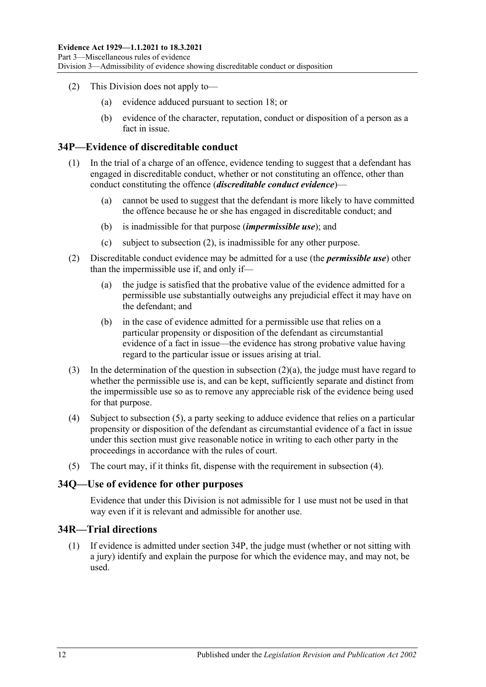- (2) This Division does not apply to—
	- (a) evidence adduced pursuant to [section](#page-26-0) 18; or
	- (b) evidence of the character, reputation, conduct or disposition of a person as a fact in issue.

### <span id="page-43-4"></span>**34P—Evidence of discreditable conduct**

- (1) In the trial of a charge of an offence, evidence tending to suggest that a defendant has engaged in discreditable conduct, whether or not constituting an offence, other than conduct constituting the offence (*discreditable conduct evidence*)—
	- (a) cannot be used to suggest that the defendant is more likely to have committed the offence because he or she has engaged in discreditable conduct; and
	- (b) is inadmissible for that purpose (*impermissible use*); and
	- (c) subject to [subsection](#page-43-0) (2), is inadmissible for any other purpose.
- <span id="page-43-1"></span><span id="page-43-0"></span>(2) Discreditable conduct evidence may be admitted for a use (the *permissible use*) other than the impermissible use if, and only if—
	- (a) the judge is satisfied that the probative value of the evidence admitted for a permissible use substantially outweighs any prejudicial effect it may have on the defendant; and
	- (b) in the case of evidence admitted for a permissible use that relies on a particular propensity or disposition of the defendant as circumstantial evidence of a fact in issue—the evidence has strong probative value having regard to the particular issue or issues arising at trial.
- (3) In the determination of the question in [subsection](#page-43-1) (2)(a), the judge must have regard to whether the permissible use is, and can be kept, sufficiently separate and distinct from the impermissible use so as to remove any appreciable risk of the evidence being used for that purpose.
- <span id="page-43-3"></span>(4) Subject to [subsection](#page-43-2) (5), a party seeking to adduce evidence that relies on a particular propensity or disposition of the defendant as circumstantial evidence of a fact in issue under this section must give reasonable notice in writing to each other party in the proceedings in accordance with the rules of court.
- <span id="page-43-2"></span>(5) The court may, if it thinks fit, dispense with the requirement in [subsection](#page-43-3) (4).

#### **34Q—Use of evidence for other purposes**

Evidence that under this Division is not admissible for 1 use must not be used in that way even if it is relevant and admissible for another use.

# **34R—Trial directions**

(1) If evidence is admitted under [section](#page-43-4) 34P, the judge must (whether or not sitting with a jury) identify and explain the purpose for which the evidence may, and may not, be used.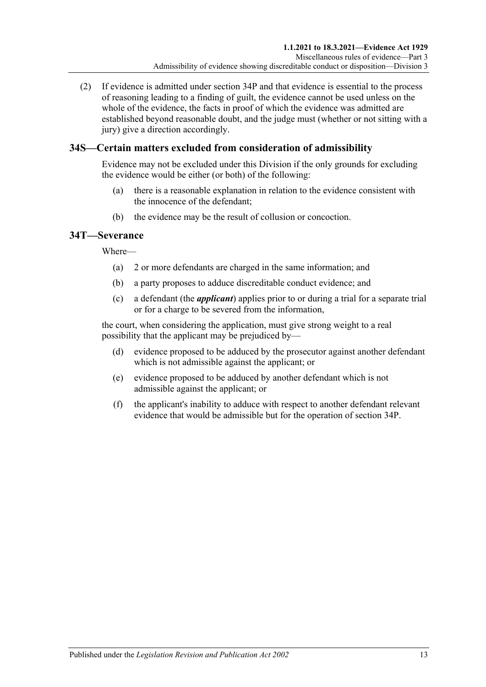(2) If evidence is admitted under [section](#page-43-4) 34P and that evidence is essential to the process of reasoning leading to a finding of guilt, the evidence cannot be used unless on the whole of the evidence, the facts in proof of which the evidence was admitted are established beyond reasonable doubt, and the judge must (whether or not sitting with a jury) give a direction accordingly.

# **34S—Certain matters excluded from consideration of admissibility**

Evidence may not be excluded under this Division if the only grounds for excluding the evidence would be either (or both) of the following:

- (a) there is a reasonable explanation in relation to the evidence consistent with the innocence of the defendant;
- (b) the evidence may be the result of collusion or concoction.

# **34T—Severance**

Where—

- (a) 2 or more defendants are charged in the same information; and
- (b) a party proposes to adduce discreditable conduct evidence; and
- (c) a defendant (the *applicant*) applies prior to or during a trial for a separate trial or for a charge to be severed from the information,

the court, when considering the application, must give strong weight to a real possibility that the applicant may be prejudiced by—

- (d) evidence proposed to be adduced by the prosecutor against another defendant which is not admissible against the applicant; or
- (e) evidence proposed to be adduced by another defendant which is not admissible against the applicant; or
- (f) the applicant's inability to adduce with respect to another defendant relevant evidence that would be admissible but for the operation of [section](#page-43-4) 34P.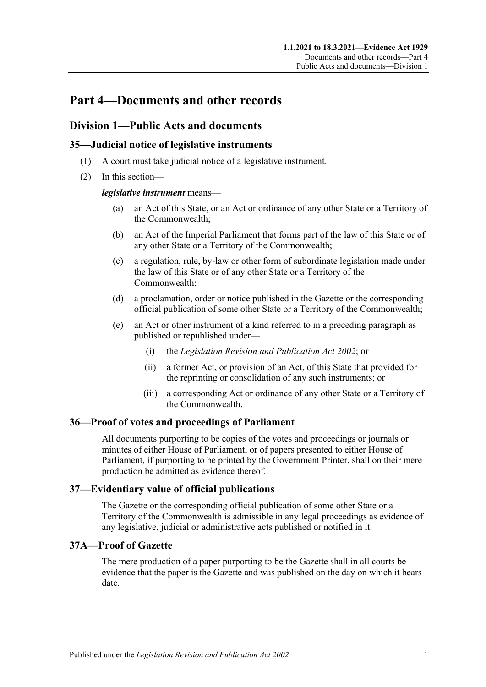# **Part 4—Documents and other records**

# **Division 1—Public Acts and documents**

# **35—Judicial notice of legislative instruments**

- (1) A court must take judicial notice of a legislative instrument.
- (2) In this section—

#### *legislative instrument* means—

- (a) an Act of this State, or an Act or ordinance of any other State or a Territory of the Commonwealth;
- (b) an Act of the Imperial Parliament that forms part of the law of this State or of any other State or a Territory of the Commonwealth;
- (c) a regulation, rule, by-law or other form of subordinate legislation made under the law of this State or of any other State or a Territory of the Commonwealth;
- (d) a proclamation, order or notice published in the Gazette or the corresponding official publication of some other State or a Territory of the Commonwealth;
- (e) an Act or other instrument of a kind referred to in a preceding paragraph as published or republished under—
	- (i) the *[Legislation Revision and Publication Act](http://www.legislation.sa.gov.au/index.aspx?action=legref&type=act&legtitle=Legislation%20Revision%20and%20Publication%20Act%202002) 2002*; or
	- (ii) a former Act, or provision of an Act, of this State that provided for the reprinting or consolidation of any such instruments; or
	- (iii) a corresponding Act or ordinance of any other State or a Territory of the Commonwealth.

# **36—Proof of votes and proceedings of Parliament**

All documents purporting to be copies of the votes and proceedings or journals or minutes of either House of Parliament, or of papers presented to either House of Parliament, if purporting to be printed by the Government Printer, shall on their mere production be admitted as evidence thereof.

# **37—Evidentiary value of official publications**

The Gazette or the corresponding official publication of some other State or a Territory of the Commonwealth is admissible in any legal proceedings as evidence of any legislative, judicial or administrative acts published or notified in it.

# **37A—Proof of Gazette**

The mere production of a paper purporting to be the Gazette shall in all courts be evidence that the paper is the Gazette and was published on the day on which it bears date.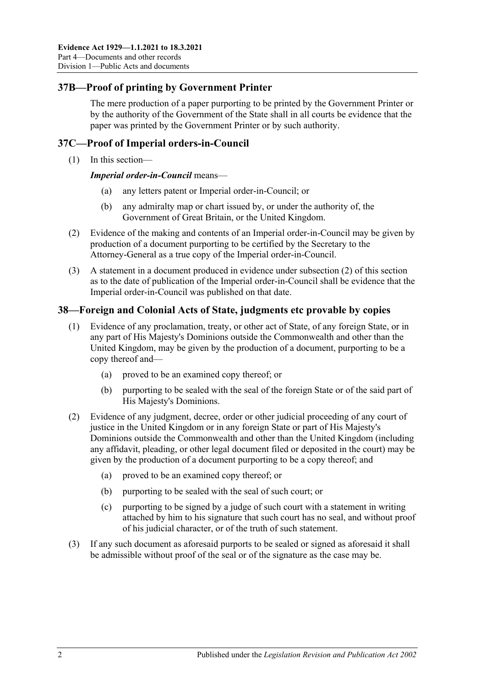# **37B—Proof of printing by Government Printer**

The mere production of a paper purporting to be printed by the Government Printer or by the authority of the Government of the State shall in all courts be evidence that the paper was printed by the Government Printer or by such authority.

# **37C—Proof of Imperial orders-in-Council**

(1) In this section—

*Imperial order-in-Council* means—

- (a) any letters patent or Imperial order-in-Council; or
- (b) any admiralty map or chart issued by, or under the authority of, the Government of Great Britain, or the United Kingdom.
- <span id="page-47-0"></span>(2) Evidence of the making and contents of an Imperial order-in-Council may be given by production of a document purporting to be certified by the Secretary to the Attorney-General as a true copy of the Imperial order-in-Council.
- (3) A statement in a document produced in evidence under [subsection](#page-47-0) (2) of this section as to the date of publication of the Imperial order-in-Council shall be evidence that the Imperial order-in-Council was published on that date.

# **38—Foreign and Colonial Acts of State, judgments etc provable by copies**

- (1) Evidence of any proclamation, treaty, or other act of State, of any foreign State, or in any part of His Majesty's Dominions outside the Commonwealth and other than the United Kingdom, may be given by the production of a document, purporting to be a copy thereof and—
	- (a) proved to be an examined copy thereof; or
	- (b) purporting to be sealed with the seal of the foreign State or of the said part of His Majesty's Dominions.
- (2) Evidence of any judgment, decree, order or other judicial proceeding of any court of justice in the United Kingdom or in any foreign State or part of His Majesty's Dominions outside the Commonwealth and other than the United Kingdom (including any affidavit, pleading, or other legal document filed or deposited in the court) may be given by the production of a document purporting to be a copy thereof; and
	- (a) proved to be an examined copy thereof; or
	- (b) purporting to be sealed with the seal of such court; or
	- (c) purporting to be signed by a judge of such court with a statement in writing attached by him to his signature that such court has no seal, and without proof of his judicial character, or of the truth of such statement.
- (3) If any such document as aforesaid purports to be sealed or signed as aforesaid it shall be admissible without proof of the seal or of the signature as the case may be.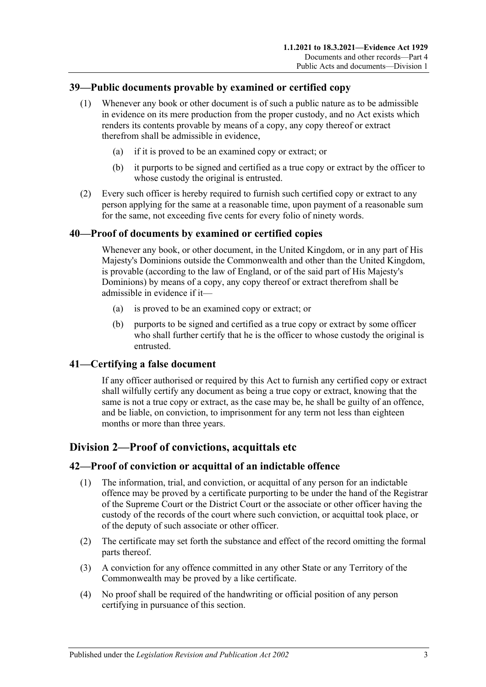# **39—Public documents provable by examined or certified copy**

- (1) Whenever any book or other document is of such a public nature as to be admissible in evidence on its mere production from the proper custody, and no Act exists which renders its contents provable by means of a copy, any copy thereof or extract therefrom shall be admissible in evidence,
	- (a) if it is proved to be an examined copy or extract; or
	- (b) it purports to be signed and certified as a true copy or extract by the officer to whose custody the original is entrusted.
- (2) Every such officer is hereby required to furnish such certified copy or extract to any person applying for the same at a reasonable time, upon payment of a reasonable sum for the same, not exceeding five cents for every folio of ninety words.

# **40—Proof of documents by examined or certified copies**

Whenever any book, or other document, in the United Kingdom, or in any part of His Majesty's Dominions outside the Commonwealth and other than the United Kingdom, is provable (according to the law of England, or of the said part of His Majesty's Dominions) by means of a copy, any copy thereof or extract therefrom shall be admissible in evidence if it—

- (a) is proved to be an examined copy or extract; or
- (b) purports to be signed and certified as a true copy or extract by some officer who shall further certify that he is the officer to whose custody the original is entrusted.

# **41—Certifying a false document**

If any officer authorised or required by this Act to furnish any certified copy or extract shall wilfully certify any document as being a true copy or extract, knowing that the same is not a true copy or extract, as the case may be, he shall be guilty of an offence, and be liable, on conviction, to imprisonment for any term not less than eighteen months or more than three years.

# **Division 2—Proof of convictions, acquittals etc**

# **42—Proof of conviction or acquittal of an indictable offence**

- (1) The information, trial, and conviction, or acquittal of any person for an indictable offence may be proved by a certificate purporting to be under the hand of the Registrar of the Supreme Court or the District Court or the associate or other officer having the custody of the records of the court where such conviction, or acquittal took place, or of the deputy of such associate or other officer.
- (2) The certificate may set forth the substance and effect of the record omitting the formal parts thereof.
- (3) A conviction for any offence committed in any other State or any Territory of the Commonwealth may be proved by a like certificate.
- (4) No proof shall be required of the handwriting or official position of any person certifying in pursuance of this section.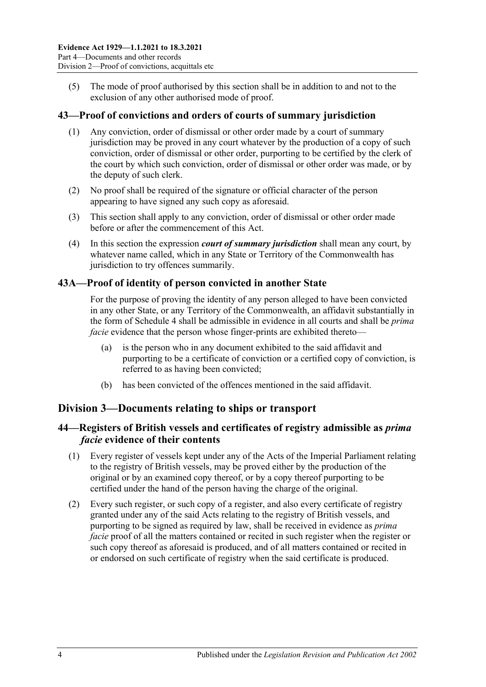(5) The mode of proof authorised by this section shall be in addition to and not to the exclusion of any other authorised mode of proof.

# **43—Proof of convictions and orders of courts of summary jurisdiction**

- (1) Any conviction, order of dismissal or other order made by a court of summary jurisdiction may be proved in any court whatever by the production of a copy of such conviction, order of dismissal or other order, purporting to be certified by the clerk of the court by which such conviction, order of dismissal or other order was made, or by the deputy of such clerk.
- (2) No proof shall be required of the signature or official character of the person appearing to have signed any such copy as aforesaid.
- (3) This section shall apply to any conviction, order of dismissal or other order made before or after the commencement of this Act.
- (4) In this section the expression *court of summary jurisdiction* shall mean any court, by whatever name called, which in any State or Territory of the Commonwealth has jurisdiction to try offences summarily.

#### **43A—Proof of identity of person convicted in another State**

For the purpose of proving the identity of any person alleged to have been convicted in any other State, or any Territory of the Commonwealth, an affidavit substantially in the form of [Schedule 4](#page-97-0) shall be admissible in evidence in all courts and shall be *prima facie* evidence that the person whose finger-prints are exhibited thereto—

- (a) is the person who in any document exhibited to the said affidavit and purporting to be a certificate of conviction or a certified copy of conviction, is referred to as having been convicted;
- (b) has been convicted of the offences mentioned in the said affidavit.

# **Division 3—Documents relating to ships or transport**

# **44—Registers of British vessels and certificates of registry admissible as** *prima facie* **evidence of their contents**

- (1) Every register of vessels kept under any of the Acts of the Imperial Parliament relating to the registry of British vessels, may be proved either by the production of the original or by an examined copy thereof, or by a copy thereof purporting to be certified under the hand of the person having the charge of the original.
- (2) Every such register, or such copy of a register, and also every certificate of registry granted under any of the said Acts relating to the registry of British vessels, and purporting to be signed as required by law, shall be received in evidence as *prima facie* proof of all the matters contained or recited in such register when the register or such copy thereof as aforesaid is produced, and of all matters contained or recited in or endorsed on such certificate of registry when the said certificate is produced.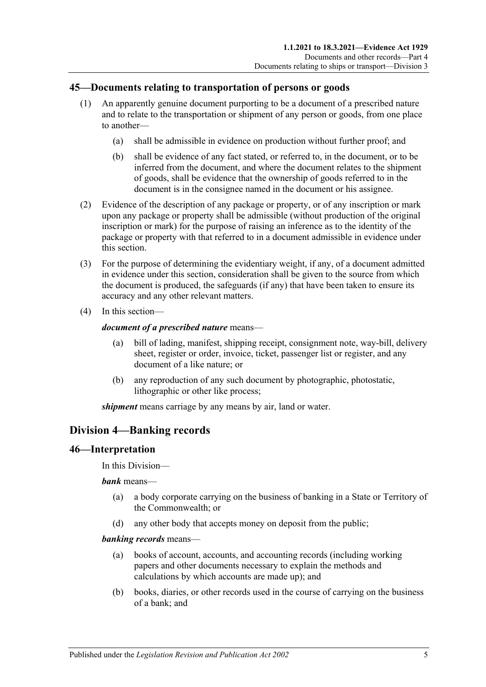# **45—Documents relating to transportation of persons or goods**

- (1) An apparently genuine document purporting to be a document of a prescribed nature and to relate to the transportation or shipment of any person or goods, from one place to another—
	- (a) shall be admissible in evidence on production without further proof; and
	- (b) shall be evidence of any fact stated, or referred to, in the document, or to be inferred from the document, and where the document relates to the shipment of goods, shall be evidence that the ownership of goods referred to in the document is in the consignee named in the document or his assignee.
- (2) Evidence of the description of any package or property, or of any inscription or mark upon any package or property shall be admissible (without production of the original inscription or mark) for the purpose of raising an inference as to the identity of the package or property with that referred to in a document admissible in evidence under this section.
- (3) For the purpose of determining the evidentiary weight, if any, of a document admitted in evidence under this section, consideration shall be given to the source from which the document is produced, the safeguards (if any) that have been taken to ensure its accuracy and any other relevant matters.
- (4) In this section—

#### *document of a prescribed nature* means—

- (a) bill of lading, manifest, shipping receipt, consignment note, way-bill, delivery sheet, register or order, invoice, ticket, passenger list or register, and any document of a like nature; or
- (b) any reproduction of any such document by photographic, photostatic, lithographic or other like process;

*shipment* means carriage by any means by air, land or water.

# **Division 4—Banking records**

# **46—Interpretation**

In this Division—

*bank* means—

- (a) a body corporate carrying on the business of banking in a State or Territory of the Commonwealth; or
- (d) any other body that accepts money on deposit from the public;

#### *banking records* means—

- (a) books of account, accounts, and accounting records (including working papers and other documents necessary to explain the methods and calculations by which accounts are made up); and
- (b) books, diaries, or other records used in the course of carrying on the business of a bank; and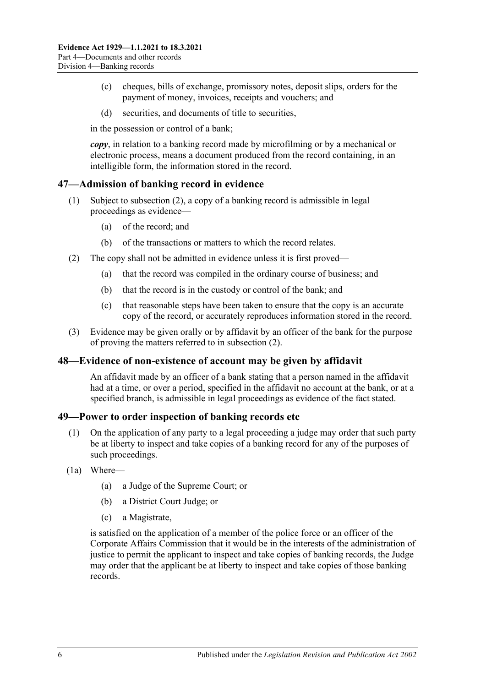- (c) cheques, bills of exchange, promissory notes, deposit slips, orders for the payment of money, invoices, receipts and vouchers; and
- (d) securities, and documents of title to securities,

in the possession or control of a bank;

*copy*, in relation to a banking record made by microfilming or by a mechanical or electronic process, means a document produced from the record containing, in an intelligible form, the information stored in the record.

#### **47—Admission of banking record in evidence**

- (1) Subject to [subsection](#page-51-0) (2), a copy of a banking record is admissible in legal proceedings as evidence—
	- (a) of the record; and
	- (b) of the transactions or matters to which the record relates.
- <span id="page-51-0"></span>(2) The copy shall not be admitted in evidence unless it is first proved—
	- (a) that the record was compiled in the ordinary course of business; and
	- (b) that the record is in the custody or control of the bank; and
	- (c) that reasonable steps have been taken to ensure that the copy is an accurate copy of the record, or accurately reproduces information stored in the record.
- (3) Evidence may be given orally or by affidavit by an officer of the bank for the purpose of proving the matters referred to in [subsection](#page-51-0) (2).

#### **48—Evidence of non-existence of account may be given by affidavit**

An affidavit made by an officer of a bank stating that a person named in the affidavit had at a time, or over a period, specified in the affidavit no account at the bank, or at a specified branch, is admissible in legal proceedings as evidence of the fact stated.

#### **49—Power to order inspection of banking records etc**

- (1) On the application of any party to a legal proceeding a judge may order that such party be at liberty to inspect and take copies of a banking record for any of the purposes of such proceedings.
- <span id="page-51-1"></span>(1a) Where—
	- (a) a Judge of the Supreme Court; or
	- (b) a District Court Judge; or
	- (c) a Magistrate,

is satisfied on the application of a member of the police force or an officer of the Corporate Affairs Commission that it would be in the interests of the administration of justice to permit the applicant to inspect and take copies of banking records, the Judge may order that the applicant be at liberty to inspect and take copies of those banking records.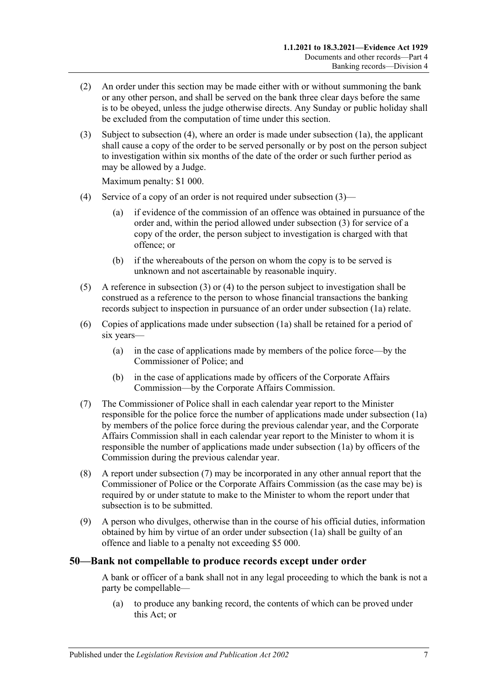- (2) An order under this section may be made either with or without summoning the bank or any other person, and shall be served on the bank three clear days before the same is to be obeyed, unless the judge otherwise directs. Any Sunday or public holiday shall be excluded from the computation of time under this section.
- <span id="page-52-1"></span>(3) Subject to [subsection](#page-52-0) (4), where an order is made under [subsection](#page-51-1) (1a), the applicant shall cause a copy of the order to be served personally or by post on the person subject to investigation within six months of the date of the order or such further period as may be allowed by a Judge.

Maximum penalty: \$1 000.

- <span id="page-52-0"></span>(4) Service of a copy of an order is not required under [subsection](#page-52-1) (3)—
	- (a) if evidence of the commission of an offence was obtained in pursuance of the order and, within the period allowed under [subsection](#page-52-1) (3) for service of a copy of the order, the person subject to investigation is charged with that offence; or
	- (b) if the whereabouts of the person on whom the copy is to be served is unknown and not ascertainable by reasonable inquiry.
- (5) A reference in [subsection](#page-52-1) (3) or [\(4\)](#page-52-0) to the person subject to investigation shall be construed as a reference to the person to whose financial transactions the banking records subject to inspection in pursuance of an order under [subsection](#page-51-1) (1a) relate.
- (6) Copies of applications made under [subsection](#page-51-1) (1a) shall be retained for a period of six years—
	- (a) in the case of applications made by members of the police force—by the Commissioner of Police; and
	- (b) in the case of applications made by officers of the Corporate Affairs Commission—by the Corporate Affairs Commission.
- <span id="page-52-2"></span>(7) The Commissioner of Police shall in each calendar year report to the Minister responsible for the police force the number of applications made under [subsection](#page-51-1) (1a) by members of the police force during the previous calendar year, and the Corporate Affairs Commission shall in each calendar year report to the Minister to whom it is responsible the number of applications made under [subsection](#page-51-1) (1a) by officers of the Commission during the previous calendar year.
- (8) A report under [subsection](#page-52-2) (7) may be incorporated in any other annual report that the Commissioner of Police or the Corporate Affairs Commission (as the case may be) is required by or under statute to make to the Minister to whom the report under that subsection is to be submitted.
- (9) A person who divulges, otherwise than in the course of his official duties, information obtained by him by virtue of an order under [subsection](#page-51-1) (1a) shall be guilty of an offence and liable to a penalty not exceeding \$5 000.

# **50—Bank not compellable to produce records except under order**

A bank or officer of a bank shall not in any legal proceeding to which the bank is not a party be compellable—

(a) to produce any banking record, the contents of which can be proved under this Act; or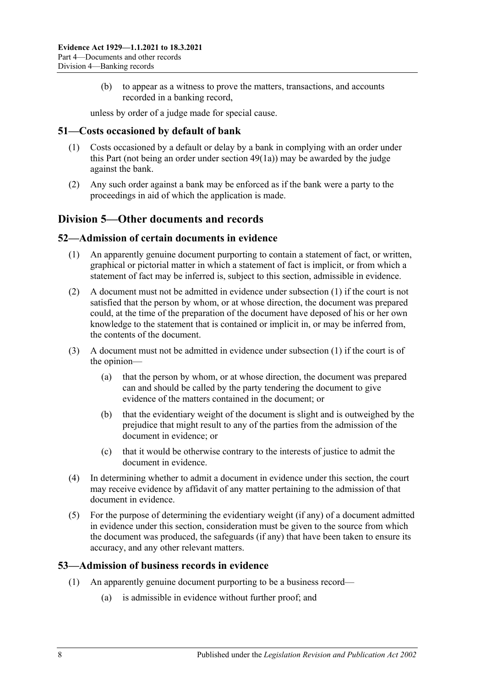(b) to appear as a witness to prove the matters, transactions, and accounts recorded in a banking record,

unless by order of a judge made for special cause.

### **51—Costs occasioned by default of bank**

- (1) Costs occasioned by a default or delay by a bank in complying with an order under this Part (not being an order under [section](#page-51-1) 49(1a)) may be awarded by the judge against the bank.
- (2) Any such order against a bank may be enforced as if the bank were a party to the proceedings in aid of which the application is made.

# **Division 5—Other documents and records**

#### <span id="page-53-0"></span>**52—Admission of certain documents in evidence**

- (1) An apparently genuine document purporting to contain a statement of fact, or written, graphical or pictorial matter in which a statement of fact is implicit, or from which a statement of fact may be inferred is, subject to this section, admissible in evidence.
- (2) A document must not be admitted in evidence under [subsection](#page-53-0) (1) if the court is not satisfied that the person by whom, or at whose direction, the document was prepared could, at the time of the preparation of the document have deposed of his or her own knowledge to the statement that is contained or implicit in, or may be inferred from, the contents of the document.
- (3) A document must not be admitted in evidence under [subsection](#page-53-0) (1) if the court is of the opinion—
	- (a) that the person by whom, or at whose direction, the document was prepared can and should be called by the party tendering the document to give evidence of the matters contained in the document; or
	- (b) that the evidentiary weight of the document is slight and is outweighed by the prejudice that might result to any of the parties from the admission of the document in evidence; or
	- (c) that it would be otherwise contrary to the interests of justice to admit the document in evidence.
- (4) In determining whether to admit a document in evidence under this section, the court may receive evidence by affidavit of any matter pertaining to the admission of that document in evidence.
- (5) For the purpose of determining the evidentiary weight (if any) of a document admitted in evidence under this section, consideration must be given to the source from which the document was produced, the safeguards (if any) that have been taken to ensure its accuracy, and any other relevant matters.

# <span id="page-53-1"></span>**53—Admission of business records in evidence**

- (1) An apparently genuine document purporting to be a business record—
	- (a) is admissible in evidence without further proof; and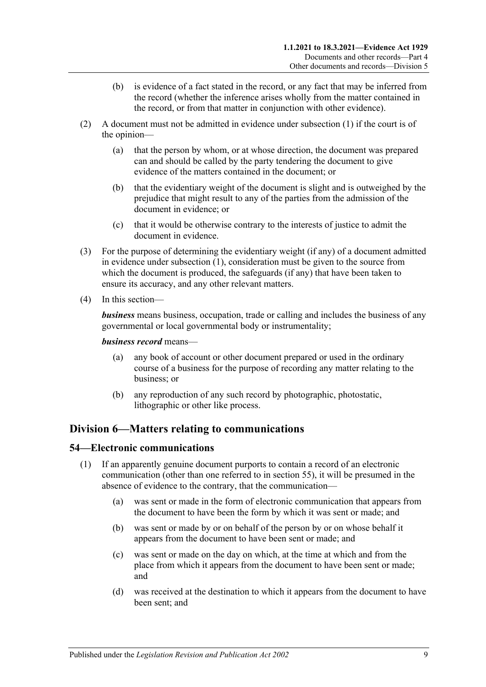- (b) is evidence of a fact stated in the record, or any fact that may be inferred from the record (whether the inference arises wholly from the matter contained in the record, or from that matter in conjunction with other evidence).
- (2) A document must not be admitted in evidence under [subsection](#page-53-1) (1) if the court is of the opinion—
	- (a) that the person by whom, or at whose direction, the document was prepared can and should be called by the party tendering the document to give evidence of the matters contained in the document; or
	- (b) that the evidentiary weight of the document is slight and is outweighed by the prejudice that might result to any of the parties from the admission of the document in evidence; or
	- (c) that it would be otherwise contrary to the interests of justice to admit the document in evidence.
- (3) For the purpose of determining the evidentiary weight (if any) of a document admitted in evidence under [subsection](#page-53-1) (1), consideration must be given to the source from which the document is produced, the safeguards (if any) that have been taken to ensure its accuracy, and any other relevant matters.
- (4) In this section—

*business* means business, occupation, trade or calling and includes the business of any governmental or local governmental body or instrumentality;

#### *business record* means—

- (a) any book of account or other document prepared or used in the ordinary course of a business for the purpose of recording any matter relating to the business; or
- (b) any reproduction of any such record by photographic, photostatic, lithographic or other like process.

# **Division 6—Matters relating to communications**

# <span id="page-54-0"></span>**54—Electronic communications**

- (1) If an apparently genuine document purports to contain a record of an electronic communication (other than one referred to in [section](#page-55-0) 55), it will be presumed in the absence of evidence to the contrary, that the communication—
	- (a) was sent or made in the form of electronic communication that appears from the document to have been the form by which it was sent or made; and
	- (b) was sent or made by or on behalf of the person by or on whose behalf it appears from the document to have been sent or made; and
	- (c) was sent or made on the day on which, at the time at which and from the place from which it appears from the document to have been sent or made; and
	- (d) was received at the destination to which it appears from the document to have been sent; and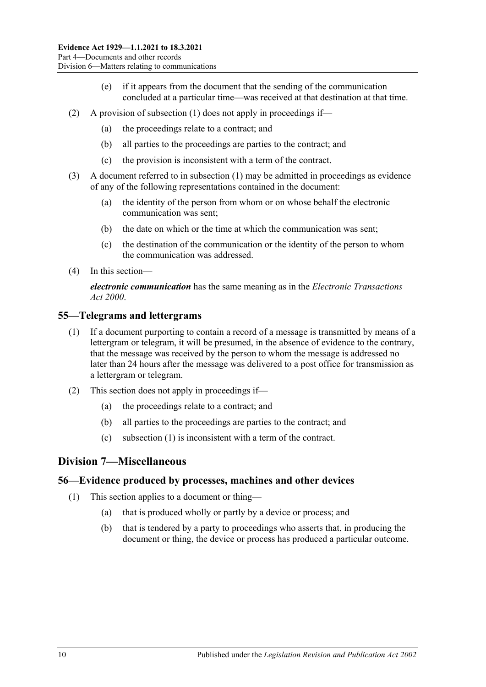- (e) if it appears from the document that the sending of the communication concluded at a particular time—was received at that destination at that time.
- (2) A provision of [subsection](#page-54-0) (1) does not apply in proceedings if—
	- (a) the proceedings relate to a contract; and
	- (b) all parties to the proceedings are parties to the contract; and
	- (c) the provision is inconsistent with a term of the contract.
- (3) A document referred to in [subsection](#page-54-0) (1) may be admitted in proceedings as evidence of any of the following representations contained in the document:
	- (a) the identity of the person from whom or on whose behalf the electronic communication was sent;
	- (b) the date on which or the time at which the communication was sent;
	- (c) the destination of the communication or the identity of the person to whom the communication was addressed.
- (4) In this section—

*electronic communication* has the same meaning as in the *[Electronic Transactions](http://www.legislation.sa.gov.au/index.aspx?action=legref&type=act&legtitle=Electronic%20Transactions%20Act%202000)  Act [2000](http://www.legislation.sa.gov.au/index.aspx?action=legref&type=act&legtitle=Electronic%20Transactions%20Act%202000)*.

#### <span id="page-55-1"></span><span id="page-55-0"></span>**55—Telegrams and lettergrams**

- (1) If a document purporting to contain a record of a message is transmitted by means of a lettergram or telegram, it will be presumed, in the absence of evidence to the contrary, that the message was received by the person to whom the message is addressed no later than 24 hours after the message was delivered to a post office for transmission as a lettergram or telegram.
- (2) This section does not apply in proceedings if—
	- (a) the proceedings relate to a contract; and
	- (b) all parties to the proceedings are parties to the contract; and
	- (c) [subsection \(1\)](#page-55-1) is inconsistent with a term of the contract.

# **Division 7—Miscellaneous**

#### **56—Evidence produced by processes, machines and other devices**

- (1) This section applies to a document or thing—
	- (a) that is produced wholly or partly by a device or process; and
	- (b) that is tendered by a party to proceedings who asserts that, in producing the document or thing, the device or process has produced a particular outcome.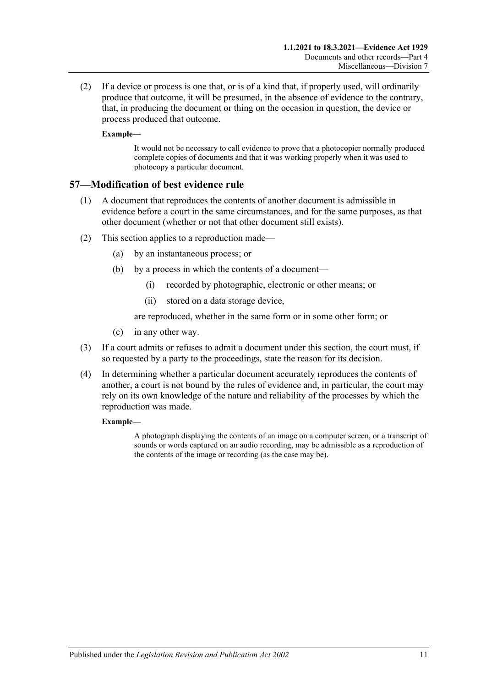(2) If a device or process is one that, or is of a kind that, if properly used, will ordinarily produce that outcome, it will be presumed, in the absence of evidence to the contrary, that, in producing the document or thing on the occasion in question, the device or process produced that outcome.

#### **Example—**

It would not be necessary to call evidence to prove that a photocopier normally produced complete copies of documents and that it was working properly when it was used to photocopy a particular document.

# **57—Modification of best evidence rule**

- (1) A document that reproduces the contents of another document is admissible in evidence before a court in the same circumstances, and for the same purposes, as that other document (whether or not that other document still exists).
- (2) This section applies to a reproduction made—
	- (a) by an instantaneous process; or
	- (b) by a process in which the contents of a document—
		- (i) recorded by photographic, electronic or other means; or
		- (ii) stored on a data storage device,

are reproduced, whether in the same form or in some other form; or

- (c) in any other way.
- (3) If a court admits or refuses to admit a document under this section, the court must, if so requested by a party to the proceedings, state the reason for its decision.
- (4) In determining whether a particular document accurately reproduces the contents of another, a court is not bound by the rules of evidence and, in particular, the court may rely on its own knowledge of the nature and reliability of the processes by which the reproduction was made.

#### **Example—**

A photograph displaying the contents of an image on a computer screen, or a transcript of sounds or words captured on an audio recording, may be admissible as a reproduction of the contents of the image or recording (as the case may be).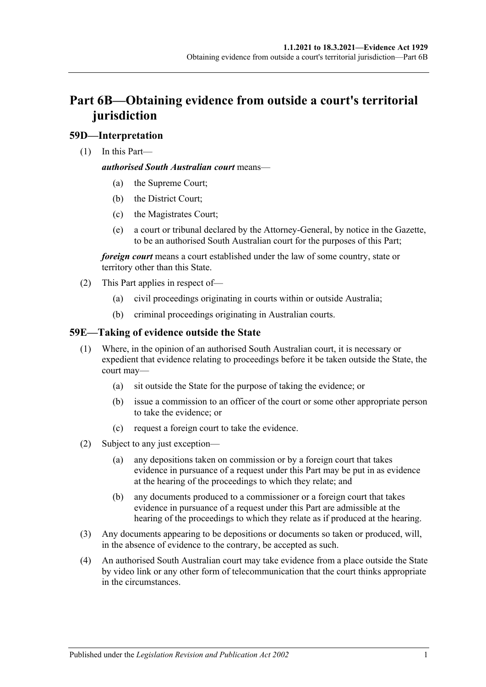# **Part 6B—Obtaining evidence from outside a court's territorial jurisdiction**

# **59D—Interpretation**

(1) In this Part—

#### *authorised South Australian court* means—

- (a) the Supreme Court;
- (b) the District Court;
- (c) the Magistrates Court;
- (e) a court or tribunal declared by the Attorney-General, by notice in the Gazette, to be an authorised South Australian court for the purposes of this Part;

*foreign court* means a court established under the law of some country, state or territory other than this State.

- (2) This Part applies in respect of—
	- (a) civil proceedings originating in courts within or outside Australia;
	- (b) criminal proceedings originating in Australian courts.

# **59E—Taking of evidence outside the State**

- (1) Where, in the opinion of an authorised South Australian court, it is necessary or expedient that evidence relating to proceedings before it be taken outside the State, the court may—
	- (a) sit outside the State for the purpose of taking the evidence; or
	- (b) issue a commission to an officer of the court or some other appropriate person to take the evidence; or
	- (c) request a foreign court to take the evidence.
- (2) Subject to any just exception—
	- (a) any depositions taken on commission or by a foreign court that takes evidence in pursuance of a request under this Part may be put in as evidence at the hearing of the proceedings to which they relate; and
	- (b) any documents produced to a commissioner or a foreign court that takes evidence in pursuance of a request under this Part are admissible at the hearing of the proceedings to which they relate as if produced at the hearing.
- (3) Any documents appearing to be depositions or documents so taken or produced, will, in the absence of evidence to the contrary, be accepted as such.
- (4) An authorised South Australian court may take evidence from a place outside the State by video link or any other form of telecommunication that the court thinks appropriate in the circumstances.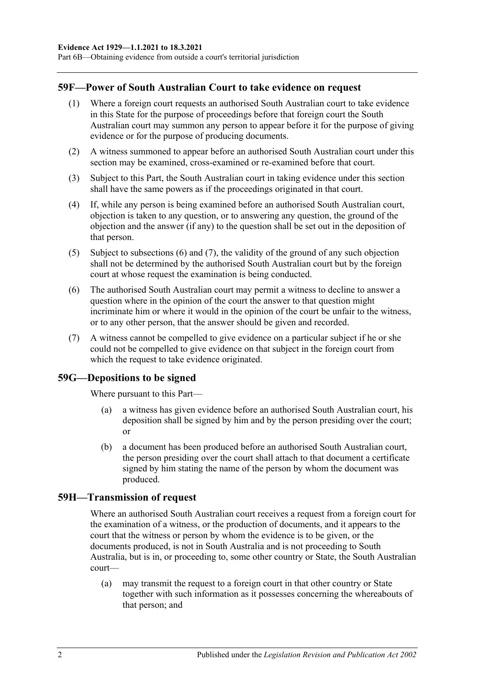Part 6B—Obtaining evidence from outside a court's territorial jurisdiction

#### **59F—Power of South Australian Court to take evidence on request**

- (1) Where a foreign court requests an authorised South Australian court to take evidence in this State for the purpose of proceedings before that foreign court the South Australian court may summon any person to appear before it for the purpose of giving evidence or for the purpose of producing documents.
- (2) A witness summoned to appear before an authorised South Australian court under this section may be examined, cross-examined or re-examined before that court.
- (3) Subject to this Part, the South Australian court in taking evidence under this section shall have the same powers as if the proceedings originated in that court.
- (4) If, while any person is being examined before an authorised South Australian court, objection is taken to any question, or to answering any question, the ground of the objection and the answer (if any) to the question shall be set out in the deposition of that person.
- (5) Subject to [subsections](#page-59-0) (6) and [\(7\),](#page-59-1) the validity of the ground of any such objection shall not be determined by the authorised South Australian court but by the foreign court at whose request the examination is being conducted.
- <span id="page-59-0"></span>(6) The authorised South Australian court may permit a witness to decline to answer a question where in the opinion of the court the answer to that question might incriminate him or where it would in the opinion of the court be unfair to the witness, or to any other person, that the answer should be given and recorded.
- <span id="page-59-1"></span>(7) A witness cannot be compelled to give evidence on a particular subject if he or she could not be compelled to give evidence on that subject in the foreign court from which the request to take evidence originated.

#### **59G—Depositions to be signed**

Where pursuant to this Part—

- (a) a witness has given evidence before an authorised South Australian court, his deposition shall be signed by him and by the person presiding over the court; or
- (b) a document has been produced before an authorised South Australian court, the person presiding over the court shall attach to that document a certificate signed by him stating the name of the person by whom the document was produced.

#### **59H—Transmission of request**

Where an authorised South Australian court receives a request from a foreign court for the examination of a witness, or the production of documents, and it appears to the court that the witness or person by whom the evidence is to be given, or the documents produced, is not in South Australia and is not proceeding to South Australia, but is in, or proceeding to, some other country or State, the South Australian court—

(a) may transmit the request to a foreign court in that other country or State together with such information as it possesses concerning the whereabouts of that person; and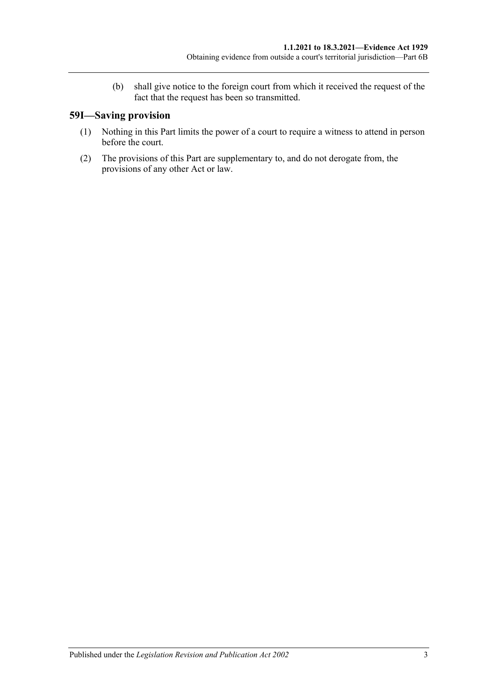(b) shall give notice to the foreign court from which it received the request of the fact that the request has been so transmitted.

# **59I—Saving provision**

- (1) Nothing in this Part limits the power of a court to require a witness to attend in person before the court.
- (2) The provisions of this Part are supplementary to, and do not derogate from, the provisions of any other Act or law.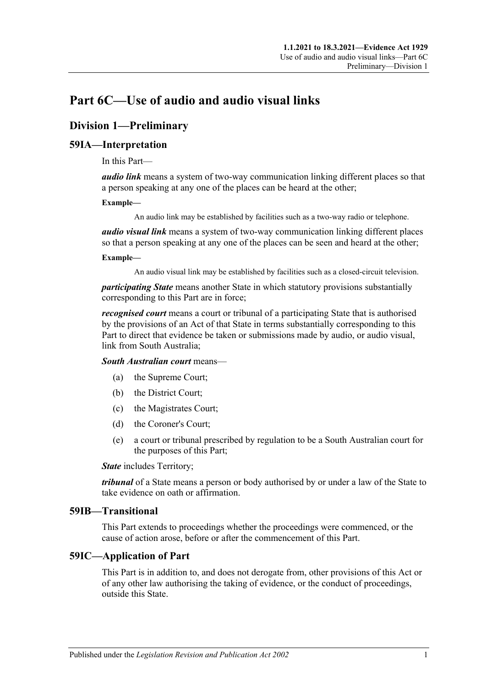# **Part 6C—Use of audio and audio visual links**

# **Division 1—Preliminary**

# **59IA—Interpretation**

In this Part—

*audio link* means a system of two-way communication linking different places so that a person speaking at any one of the places can be heard at the other;

#### **Example—**

An audio link may be established by facilities such as a two-way radio or telephone.

*audio visual link* means a system of two-way communication linking different places so that a person speaking at any one of the places can be seen and heard at the other;

#### **Example—**

An audio visual link may be established by facilities such as a closed-circuit television.

*participating State* means another State in which statutory provisions substantially corresponding to this Part are in force;

*recognised court* means a court or tribunal of a participating State that is authorised by the provisions of an Act of that State in terms substantially corresponding to this Part to direct that evidence be taken or submissions made by audio, or audio visual, link from South Australia;

*South Australian court* means—

- (a) the Supreme Court;
- (b) the District Court;
- (c) the Magistrates Court;
- (d) the Coroner's Court;
- (e) a court or tribunal prescribed by regulation to be a South Australian court for the purposes of this Part;

*State* includes Territory;

*tribunal* of a State means a person or body authorised by or under a law of the State to take evidence on oath or affirmation.

#### **59IB—Transitional**

This Part extends to proceedings whether the proceedings were commenced, or the cause of action arose, before or after the commencement of this Part.

# **59IC—Application of Part**

This Part is in addition to, and does not derogate from, other provisions of this Act or of any other law authorising the taking of evidence, or the conduct of proceedings, outside this State.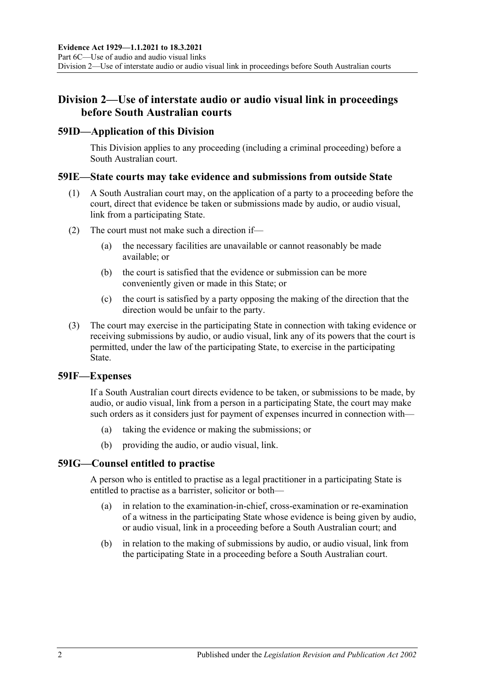# **Division 2—Use of interstate audio or audio visual link in proceedings before South Australian courts**

# **59ID—Application of this Division**

This Division applies to any proceeding (including a criminal proceeding) before a South Australian court.

# **59IE—State courts may take evidence and submissions from outside State**

- (1) A South Australian court may, on the application of a party to a proceeding before the court, direct that evidence be taken or submissions made by audio, or audio visual, link from a participating State.
- (2) The court must not make such a direction if—
	- (a) the necessary facilities are unavailable or cannot reasonably be made available; or
	- (b) the court is satisfied that the evidence or submission can be more conveniently given or made in this State; or
	- (c) the court is satisfied by a party opposing the making of the direction that the direction would be unfair to the party.
- (3) The court may exercise in the participating State in connection with taking evidence or receiving submissions by audio, or audio visual, link any of its powers that the court is permitted, under the law of the participating State, to exercise in the participating State.

# **59IF—Expenses**

If a South Australian court directs evidence to be taken, or submissions to be made, by audio, or audio visual, link from a person in a participating State, the court may make such orders as it considers just for payment of expenses incurred in connection with—

- (a) taking the evidence or making the submissions; or
- (b) providing the audio, or audio visual, link.

# **59IG—Counsel entitled to practise**

A person who is entitled to practise as a legal practitioner in a participating State is entitled to practise as a barrister, solicitor or both—

- (a) in relation to the examination-in-chief, cross-examination or re-examination of a witness in the participating State whose evidence is being given by audio, or audio visual, link in a proceeding before a South Australian court; and
- (b) in relation to the making of submissions by audio, or audio visual, link from the participating State in a proceeding before a South Australian court.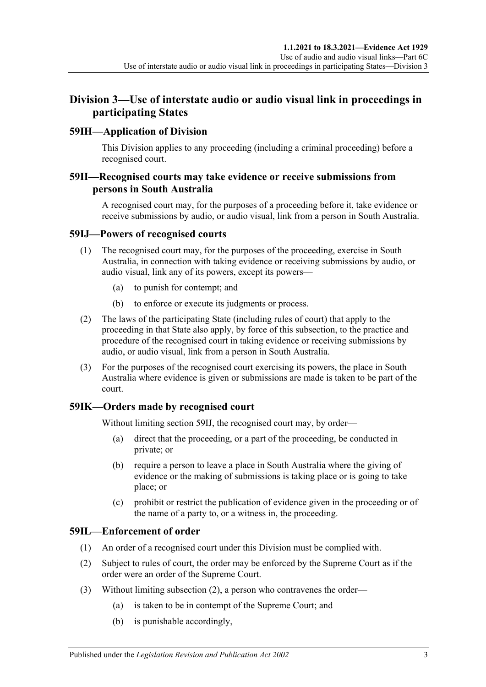# **Division 3—Use of interstate audio or audio visual link in proceedings in participating States**

# **59IH—Application of Division**

This Division applies to any proceeding (including a criminal proceeding) before a recognised court.

# **59II—Recognised courts may take evidence or receive submissions from persons in South Australia**

A recognised court may, for the purposes of a proceeding before it, take evidence or receive submissions by audio, or audio visual, link from a person in South Australia.

# <span id="page-64-0"></span>**59IJ—Powers of recognised courts**

- (1) The recognised court may, for the purposes of the proceeding, exercise in South Australia, in connection with taking evidence or receiving submissions by audio, or audio visual, link any of its powers, except its powers—
	- (a) to punish for contempt; and
	- (b) to enforce or execute its judgments or process.
- (2) The laws of the participating State (including rules of court) that apply to the proceeding in that State also apply, by force of this subsection, to the practice and procedure of the recognised court in taking evidence or receiving submissions by audio, or audio visual, link from a person in South Australia.
- (3) For the purposes of the recognised court exercising its powers, the place in South Australia where evidence is given or submissions are made is taken to be part of the court.

# **59IK—Orders made by recognised court**

Without limiting [section](#page-64-0) 59IJ, the recognised court may, by order—

- (a) direct that the proceeding, or a part of the proceeding, be conducted in private; or
- (b) require a person to leave a place in South Australia where the giving of evidence or the making of submissions is taking place or is going to take place; or
- (c) prohibit or restrict the publication of evidence given in the proceeding or of the name of a party to, or a witness in, the proceeding.

# **59IL—Enforcement of order**

- (1) An order of a recognised court under this Division must be complied with.
- <span id="page-64-1"></span>(2) Subject to rules of court, the order may be enforced by the Supreme Court as if the order were an order of the Supreme Court.
- (3) Without limiting [subsection](#page-64-1) (2), a person who contravenes the order—
	- (a) is taken to be in contempt of the Supreme Court; and
	- (b) is punishable accordingly,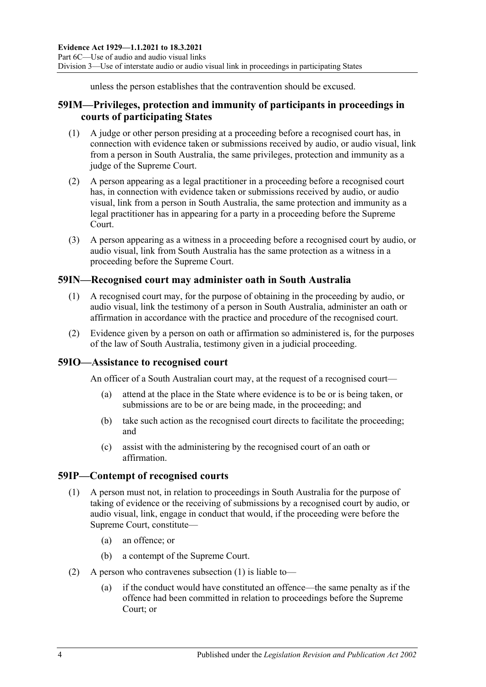unless the person establishes that the contravention should be excused.

# **59IM—Privileges, protection and immunity of participants in proceedings in courts of participating States**

- (1) A judge or other person presiding at a proceeding before a recognised court has, in connection with evidence taken or submissions received by audio, or audio visual, link from a person in South Australia, the same privileges, protection and immunity as a judge of the Supreme Court.
- (2) A person appearing as a legal practitioner in a proceeding before a recognised court has, in connection with evidence taken or submissions received by audio, or audio visual, link from a person in South Australia, the same protection and immunity as a legal practitioner has in appearing for a party in a proceeding before the Supreme Court.
- (3) A person appearing as a witness in a proceeding before a recognised court by audio, or audio visual, link from South Australia has the same protection as a witness in a proceeding before the Supreme Court.

# **59IN—Recognised court may administer oath in South Australia**

- (1) A recognised court may, for the purpose of obtaining in the proceeding by audio, or audio visual, link the testimony of a person in South Australia, administer an oath or affirmation in accordance with the practice and procedure of the recognised court.
- (2) Evidence given by a person on oath or affirmation so administered is, for the purposes of the law of South Australia, testimony given in a judicial proceeding.

# **59IO—Assistance to recognised court**

An officer of a South Australian court may, at the request of a recognised court—

- (a) attend at the place in the State where evidence is to be or is being taken, or submissions are to be or are being made, in the proceeding; and
- (b) take such action as the recognised court directs to facilitate the proceeding; and
- (c) assist with the administering by the recognised court of an oath or affirmation.

#### <span id="page-65-0"></span>**59IP—Contempt of recognised courts**

- (1) A person must not, in relation to proceedings in South Australia for the purpose of taking of evidence or the receiving of submissions by a recognised court by audio, or audio visual, link, engage in conduct that would, if the proceeding were before the Supreme Court, constitute—
	- (a) an offence; or
	- (b) a contempt of the Supreme Court.
- (2) A person who contravenes [subsection](#page-65-0) (1) is liable to—
	- (a) if the conduct would have constituted an offence—the same penalty as if the offence had been committed in relation to proceedings before the Supreme Court; or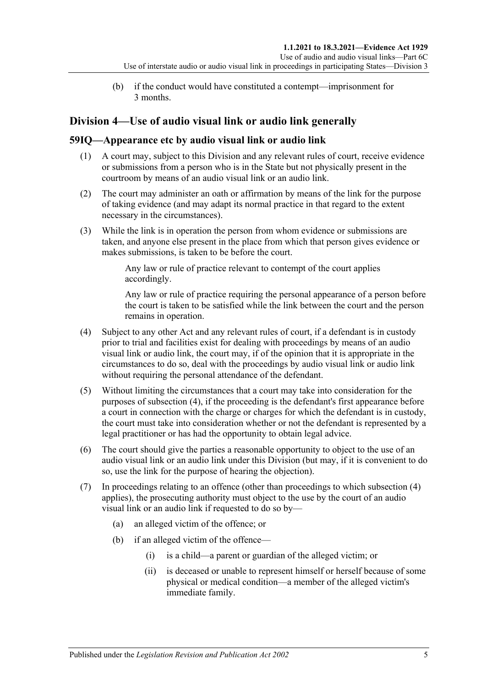(b) if the conduct would have constituted a contempt—imprisonment for 3 months.

# **Division 4—Use of audio visual link or audio link generally**

# **59IQ—Appearance etc by audio visual link or audio link**

- (1) A court may, subject to this Division and any relevant rules of court, receive evidence or submissions from a person who is in the State but not physically present in the courtroom by means of an audio visual link or an audio link.
- (2) The court may administer an oath or affirmation by means of the link for the purpose of taking evidence (and may adapt its normal practice in that regard to the extent necessary in the circumstances).
- (3) While the link is in operation the person from whom evidence or submissions are taken, and anyone else present in the place from which that person gives evidence or makes submissions, is taken to be before the court.

Any law or rule of practice relevant to contempt of the court applies accordingly.

Any law or rule of practice requiring the personal appearance of a person before the court is taken to be satisfied while the link between the court and the person remains in operation.

- <span id="page-66-0"></span>(4) Subject to any other Act and any relevant rules of court, if a defendant is in custody prior to trial and facilities exist for dealing with proceedings by means of an audio visual link or audio link, the court may, if of the opinion that it is appropriate in the circumstances to do so, deal with the proceedings by audio visual link or audio link without requiring the personal attendance of the defendant.
- (5) Without limiting the circumstances that a court may take into consideration for the purposes of [subsection](#page-66-0) (4), if the proceeding is the defendant's first appearance before a court in connection with the charge or charges for which the defendant is in custody, the court must take into consideration whether or not the defendant is represented by a legal practitioner or has had the opportunity to obtain legal advice.
- (6) The court should give the parties a reasonable opportunity to object to the use of an audio visual link or an audio link under this Division (but may, if it is convenient to do so, use the link for the purpose of hearing the objection).
- <span id="page-66-1"></span>(7) In proceedings relating to an offence (other than proceedings to which subsection (4) applies), the prosecuting authority must object to the use by the court of an audio visual link or an audio link if requested to do so by—
	- (a) an alleged victim of the offence; or
	- (b) if an alleged victim of the offence—
		- (i) is a child—a parent or guardian of the alleged victim; or
		- (ii) is deceased or unable to represent himself or herself because of some physical or medical condition—a member of the alleged victim's immediate family.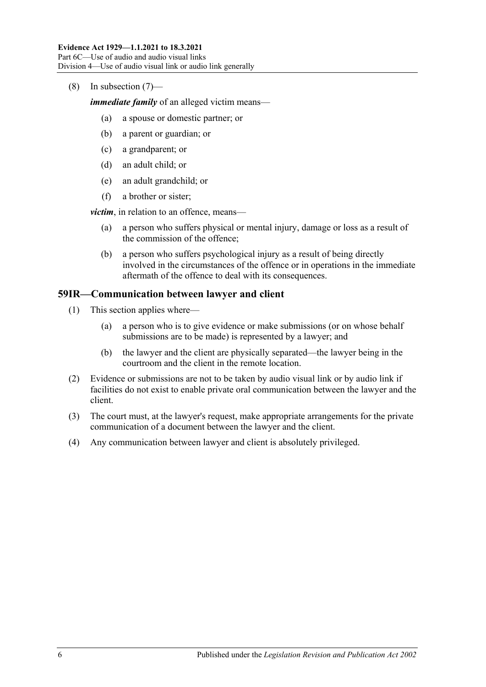(8) In [subsection](#page-66-1) (7)—

*immediate family* of an alleged victim means—

- (a) a spouse or domestic partner; or
- (b) a parent or guardian; or
- (c) a grandparent; or
- (d) an adult child; or
- (e) an adult grandchild; or
- (f) a brother or sister;

*victim*, in relation to an offence, means—

- (a) a person who suffers physical or mental injury, damage or loss as a result of the commission of the offence;
- (b) a person who suffers psychological injury as a result of being directly involved in the circumstances of the offence or in operations in the immediate aftermath of the offence to deal with its consequences.

# **59IR—Communication between lawyer and client**

- (1) This section applies where—
	- (a) a person who is to give evidence or make submissions (or on whose behalf submissions are to be made) is represented by a lawyer; and
	- (b) the lawyer and the client are physically separated—the lawyer being in the courtroom and the client in the remote location.
- (2) Evidence or submissions are not to be taken by audio visual link or by audio link if facilities do not exist to enable private oral communication between the lawyer and the client.
- (3) The court must, at the lawyer's request, make appropriate arrangements for the private communication of a document between the lawyer and the client.
- (4) Any communication between lawyer and client is absolutely privileged.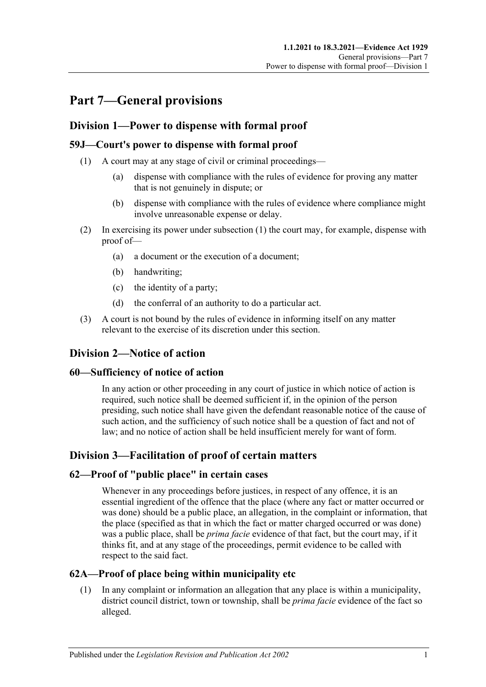# **Part 7—General provisions**

# **Division 1—Power to dispense with formal proof**

# <span id="page-68-0"></span>**59J—Court's power to dispense with formal proof**

- (1) A court may at any stage of civil or criminal proceedings—
	- (a) dispense with compliance with the rules of evidence for proving any matter that is not genuinely in dispute; or
	- (b) dispense with compliance with the rules of evidence where compliance might involve unreasonable expense or delay.
- (2) In exercising its power under [subsection](#page-68-0) (1) the court may, for example, dispense with proof of—
	- (a) a document or the execution of a document;
	- (b) handwriting;
	- (c) the identity of a party;
	- (d) the conferral of an authority to do a particular act.
- (3) A court is not bound by the rules of evidence in informing itself on any matter relevant to the exercise of its discretion under this section.

# **Division 2—Notice of action**

# **60—Sufficiency of notice of action**

In any action or other proceeding in any court of justice in which notice of action is required, such notice shall be deemed sufficient if, in the opinion of the person presiding, such notice shall have given the defendant reasonable notice of the cause of such action, and the sufficiency of such notice shall be a question of fact and not of law; and no notice of action shall be held insufficient merely for want of form.

# **Division 3—Facilitation of proof of certain matters**

# **62—Proof of "public place" in certain cases**

Whenever in any proceedings before justices, in respect of any offence, it is an essential ingredient of the offence that the place (where any fact or matter occurred or was done) should be a public place, an allegation, in the complaint or information, that the place (specified as that in which the fact or matter charged occurred or was done) was a public place, shall be *prima facie* evidence of that fact, but the court may, if it thinks fit, and at any stage of the proceedings, permit evidence to be called with respect to the said fact.

# **62A—Proof of place being within municipality etc**

(1) In any complaint or information an allegation that any place is within a municipality, district council district, town or township, shall be *prima facie* evidence of the fact so alleged.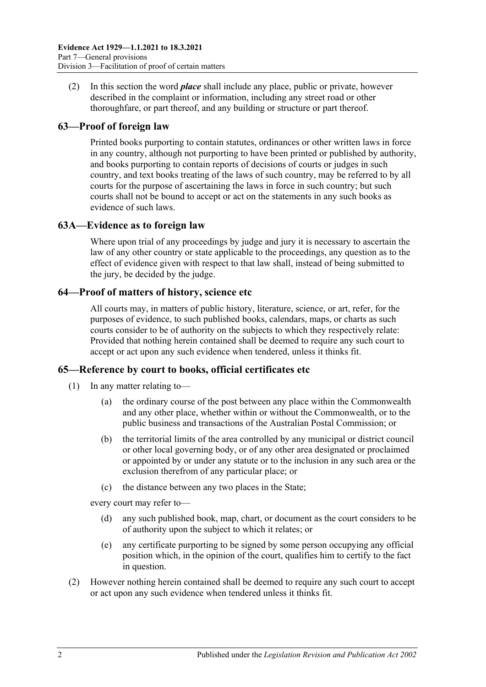(2) In this section the word *place* shall include any place, public or private, however described in the complaint or information, including any street road or other thoroughfare, or part thereof, and any building or structure or part thereof.

# **63—Proof of foreign law**

Printed books purporting to contain statutes, ordinances or other written laws in force in any country, although not purporting to have been printed or published by authority, and books purporting to contain reports of decisions of courts or judges in such country, and text books treating of the laws of such country, may be referred to by all courts for the purpose of ascertaining the laws in force in such country; but such courts shall not be bound to accept or act on the statements in any such books as evidence of such laws.

# **63A—Evidence as to foreign law**

Where upon trial of any proceedings by judge and jury it is necessary to ascertain the law of any other country or state applicable to the proceedings, any question as to the effect of evidence given with respect to that law shall, instead of being submitted to the jury, be decided by the judge.

# **64—Proof of matters of history, science etc**

All courts may, in matters of public history, literature, science, or art, refer, for the purposes of evidence, to such published books, calendars, maps, or charts as such courts consider to be of authority on the subjects to which they respectively relate: Provided that nothing herein contained shall be deemed to require any such court to accept or act upon any such evidence when tendered, unless it thinks fit.

# **65—Reference by court to books, official certificates etc**

- (1) In any matter relating to—
	- (a) the ordinary course of the post between any place within the Commonwealth and any other place, whether within or without the Commonwealth, or to the public business and transactions of the Australian Postal Commission; or
	- (b) the territorial limits of the area controlled by any municipal or district council or other local governing body, or of any other area designated or proclaimed or appointed by or under any statute or to the inclusion in any such area or the exclusion therefrom of any particular place; or
	- (c) the distance between any two places in the State;

every court may refer to—

- (d) any such published book, map, chart, or document as the court considers to be of authority upon the subject to which it relates; or
- (e) any certificate purporting to be signed by some person occupying any official position which, in the opinion of the court, qualifies him to certify to the fact in question.
- (2) However nothing herein contained shall be deemed to require any such court to accept or act upon any such evidence when tendered unless it thinks fit.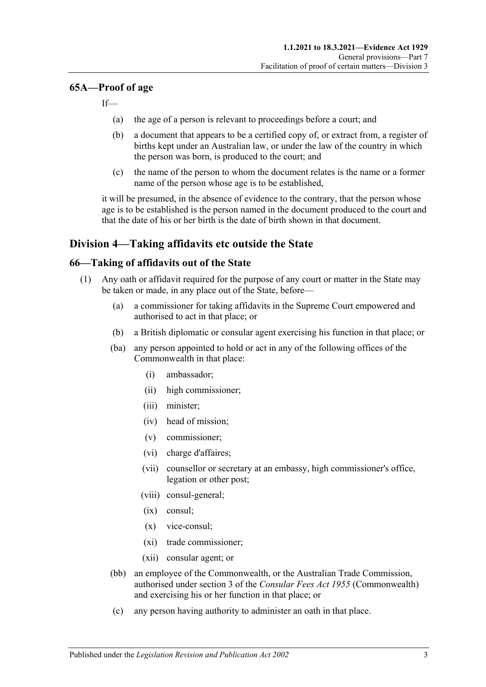# **65A—Proof of age**

If—

- (a) the age of a person is relevant to proceedings before a court; and
- (b) a document that appears to be a certified copy of, or extract from, a register of births kept under an Australian law, or under the law of the country in which the person was born, is produced to the court; and
- (c) the name of the person to whom the document relates is the name or a former name of the person whose age is to be established,

it will be presumed, in the absence of evidence to the contrary, that the person whose age is to be established is the person named in the document produced to the court and that the date of his or her birth is the date of birth shown in that document.

# **Division 4—Taking affidavits etc outside the State**

# <span id="page-70-3"></span>**66—Taking of affidavits out of the State**

- <span id="page-70-2"></span><span id="page-70-1"></span><span id="page-70-0"></span>(1) Any oath or affidavit required for the purpose of any court or matter in the State may be taken or made, in any place out of the State, before—
	- (a) a commissioner for taking affidavits in the Supreme Court empowered and authorised to act in that place; or
	- (b) a British diplomatic or consular agent exercising his function in that place; or
	- (ba) any person appointed to hold or act in any of the following offices of the Commonwealth in that place:
		- (i) ambassador;
		- (ii) high commissioner;
		- (iii) minister;
		- (iv) head of mission;
		- (v) commissioner;
		- (vi) charge d'affaires;
		- (vii) counsellor or secretary at an embassy, high commissioner's office, legation or other post;
		- (viii) consul-general;
		- (ix) consul;
		- (x) vice-consul;
		- (xi) trade commissioner;
		- (xii) consular agent; or
	- (bb) an employee of the Commonwealth, or the Australian Trade Commission, authorised under section 3 of the *Consular Fees Act 1955* (Commonwealth) and exercising his or her function in that place; or
	- (c) any person having authority to administer an oath in that place.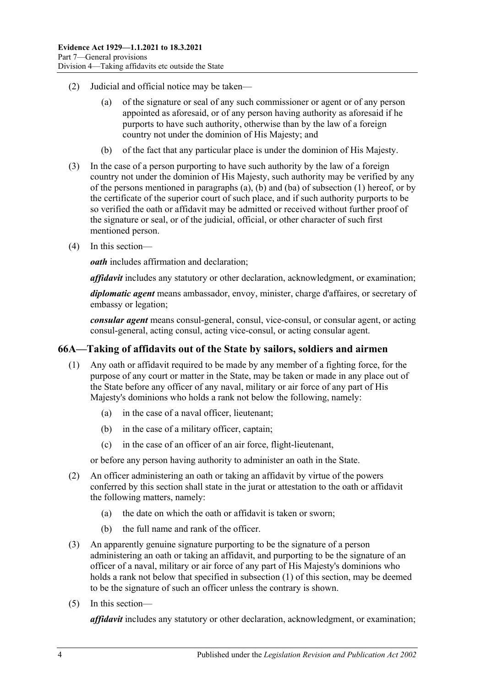- (2) Judicial and official notice may be taken—
	- (a) of the signature or seal of any such commissioner or agent or of any person appointed as aforesaid, or of any person having authority as aforesaid if he purports to have such authority, otherwise than by the law of a foreign country not under the dominion of His Majesty; and
	- (b) of the fact that any particular place is under the dominion of His Majesty.
- (3) In the case of a person purporting to have such authority by the law of a foreign country not under the dominion of His Majesty, such authority may be verified by any of the persons mentioned in [paragraphs](#page-70-0) (a), [\(b\)](#page-70-1) and [\(ba\)](#page-70-2) of [subsection](#page-70-3) (1) hereof, or by the certificate of the superior court of such place, and if such authority purports to be so verified the oath or affidavit may be admitted or received without further proof of the signature or seal, or of the judicial, official, or other character of such first mentioned person.
- (4) In this section—

*oath* includes affirmation and declaration;

*affidavit* includes any statutory or other declaration, acknowledgment, or examination;

*diplomatic agent* means ambassador, envoy, minister, charge d'affaires, or secretary of embassy or legation;

*consular agent* means consul-general, consul, vice-consul, or consular agent, or acting consul-general, acting consul, acting vice-consul, or acting consular agent.

# <span id="page-71-0"></span>**66A—Taking of affidavits out of the State by sailors, soldiers and airmen**

- (1) Any oath or affidavit required to be made by any member of a fighting force, for the purpose of any court or matter in the State, may be taken or made in any place out of the State before any officer of any naval, military or air force of any part of His Majesty's dominions who holds a rank not below the following, namely:
	- (a) in the case of a naval officer, lieutenant;
	- (b) in the case of a military officer, captain;
	- (c) in the case of an officer of an air force, flight-lieutenant,

or before any person having authority to administer an oath in the State.

- (2) An officer administering an oath or taking an affidavit by virtue of the powers conferred by this section shall state in the jurat or attestation to the oath or affidavit the following matters, namely:
	- (a) the date on which the oath or affidavit is taken or sworn;
	- (b) the full name and rank of the officer.
- (3) An apparently genuine signature purporting to be the signature of a person administering an oath or taking an affidavit, and purporting to be the signature of an officer of a naval, military or air force of any part of His Majesty's dominions who holds a rank not below that specified in [subsection](#page-71-0) (1) of this section, may be deemed to be the signature of such an officer unless the contrary is shown.
- (5) In this section—

*affidavit* includes any statutory or other declaration, acknowledgment, or examination;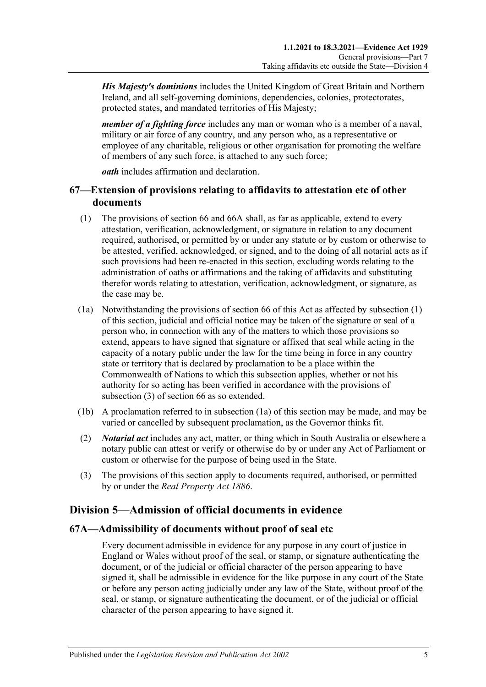*His Majesty's dominions* includes the United Kingdom of Great Britain and Northern Ireland, and all self-governing dominions, dependencies, colonies, protectorates, protected states, and mandated territories of His Majesty;

*member of a fighting force* includes any man or woman who is a member of a naval, military or air force of any country, and any person who, as a representative or employee of any charitable, religious or other organisation for promoting the welfare of members of any such force, is attached to any such force;

*oath* includes affirmation and declaration.

## **67—Extension of provisions relating to affidavits to attestation etc of other documents**

- <span id="page-72-0"></span>(1) The provisions of [section](#page-70-0) 66 and [66A](#page-71-0) shall, as far as applicable, extend to every attestation, verification, acknowledgment, or signature in relation to any document required, authorised, or permitted by or under any statute or by custom or otherwise to be attested, verified, acknowledged, or signed, and to the doing of all notarial acts as if such provisions had been re-enacted in this section, excluding words relating to the administration of oaths or affirmations and the taking of affidavits and substituting therefor words relating to attestation, verification, acknowledgment, or signature, as the case may be.
- <span id="page-72-2"></span>(1a) Notwithstanding the provisions of [section](#page-70-0) 66 of this Act as affected by [subsection](#page-72-0) (1) of this section, judicial and official notice may be taken of the signature or seal of a person who, in connection with any of the matters to which those provisions so extend, appears to have signed that signature or affixed that seal while acting in the capacity of a notary public under the law for the time being in force in any country state or territory that is declared by proclamation to be a place within the Commonwealth of Nations to which this subsection applies, whether or not his authority for so acting has been verified in accordance with the provisions of [subsection](#page-72-1) (3) of [section](#page-70-0) 66 as so extended.
- (1b) A proclamation referred to in [subsection](#page-72-2) (1a) of this section may be made, and may be varied or cancelled by subsequent proclamation, as the Governor thinks fit.
- (2) *Notarial act* includes any act, matter, or thing which in South Australia or elsewhere a notary public can attest or verify or otherwise do by or under any Act of Parliament or custom or otherwise for the purpose of being used in the State.
- <span id="page-72-1"></span>(3) The provisions of this section apply to documents required, authorised, or permitted by or under the *[Real Property Act](http://www.legislation.sa.gov.au/index.aspx?action=legref&type=act&legtitle=Real%20Property%20Act%201886) 1886*.

# **Division 5—Admission of official documents in evidence**

#### **67A—Admissibility of documents without proof of seal etc**

Every document admissible in evidence for any purpose in any court of justice in England or Wales without proof of the seal, or stamp, or signature authenticating the document, or of the judicial or official character of the person appearing to have signed it, shall be admissible in evidence for the like purpose in any court of the State or before any person acting judicially under any law of the State, without proof of the seal, or stamp, or signature authenticating the document, or of the judicial or official character of the person appearing to have signed it.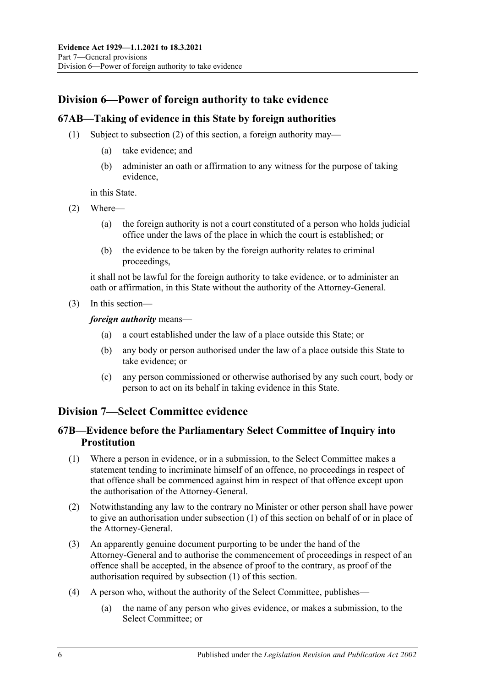# **Division 6—Power of foreign authority to take evidence**

#### **67AB—Taking of evidence in this State by foreign authorities**

- (1) Subject to [subsection](#page-73-0) (2) of this section, a foreign authority may—
	- (a) take evidence; and
	- (b) administer an oath or affirmation to any witness for the purpose of taking evidence,

in this State.

- <span id="page-73-0"></span>(2) Where—
	- (a) the foreign authority is not a court constituted of a person who holds judicial office under the laws of the place in which the court is established; or
	- (b) the evidence to be taken by the foreign authority relates to criminal proceedings,

it shall not be lawful for the foreign authority to take evidence, or to administer an oath or affirmation, in this State without the authority of the Attorney-General.

(3) In this section—

*foreign authority* means—

- (a) a court established under the law of a place outside this State; or
- (b) any body or person authorised under the law of a place outside this State to take evidence; or
- (c) any person commissioned or otherwise authorised by any such court, body or person to act on its behalf in taking evidence in this State.

# **Division 7—Select Committee evidence**

### **67B—Evidence before the Parliamentary Select Committee of Inquiry into Prostitution**

- <span id="page-73-1"></span>(1) Where a person in evidence, or in a submission, to the Select Committee makes a statement tending to incriminate himself of an offence, no proceedings in respect of that offence shall be commenced against him in respect of that offence except upon the authorisation of the Attorney-General.
- (2) Notwithstanding any law to the contrary no Minister or other person shall have power to give an authorisation under [subsection](#page-73-1) (1) of this section on behalf of or in place of the Attorney-General.
- (3) An apparently genuine document purporting to be under the hand of the Attorney-General and to authorise the commencement of proceedings in respect of an offence shall be accepted, in the absence of proof to the contrary, as proof of the authorisation required by [subsection](#page-73-1) (1) of this section.
- (4) A person who, without the authority of the Select Committee, publishes—
	- (a) the name of any person who gives evidence, or makes a submission, to the Select Committee; or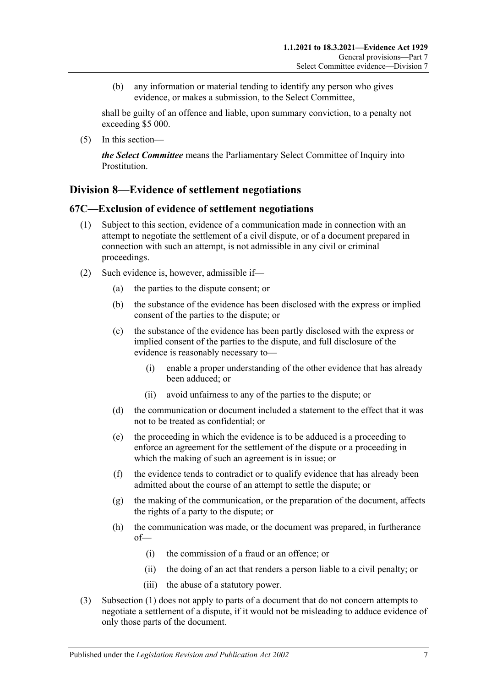(b) any information or material tending to identify any person who gives evidence, or makes a submission, to the Select Committee,

shall be guilty of an offence and liable, upon summary conviction, to a penalty not exceeding \$5 000.

(5) In this section—

*the Select Committee* means the Parliamentary Select Committee of Inquiry into **Prostitution** 

# **Division 8—Evidence of settlement negotiations**

#### <span id="page-74-0"></span>**67C—Exclusion of evidence of settlement negotiations**

- (1) Subject to this section, evidence of a communication made in connection with an attempt to negotiate the settlement of a civil dispute, or of a document prepared in connection with such an attempt, is not admissible in any civil or criminal proceedings.
- (2) Such evidence is, however, admissible if—
	- (a) the parties to the dispute consent; or
	- (b) the substance of the evidence has been disclosed with the express or implied consent of the parties to the dispute; or
	- (c) the substance of the evidence has been partly disclosed with the express or implied consent of the parties to the dispute, and full disclosure of the evidence is reasonably necessary to—
		- (i) enable a proper understanding of the other evidence that has already been adduced; or
		- (ii) avoid unfairness to any of the parties to the dispute; or
	- (d) the communication or document included a statement to the effect that it was not to be treated as confidential; or
	- (e) the proceeding in which the evidence is to be adduced is a proceeding to enforce an agreement for the settlement of the dispute or a proceeding in which the making of such an agreement is in issue; or
	- (f) the evidence tends to contradict or to qualify evidence that has already been admitted about the course of an attempt to settle the dispute; or
	- (g) the making of the communication, or the preparation of the document, affects the rights of a party to the dispute; or
	- (h) the communication was made, or the document was prepared, in furtherance of—
		- (i) the commission of a fraud or an offence; or
		- (ii) the doing of an act that renders a person liable to a civil penalty; or
		- (iii) the abuse of a statutory power.
- (3) [Subsection](#page-74-0) (1) does not apply to parts of a document that do not concern attempts to negotiate a settlement of a dispute, if it would not be misleading to adduce evidence of only those parts of the document.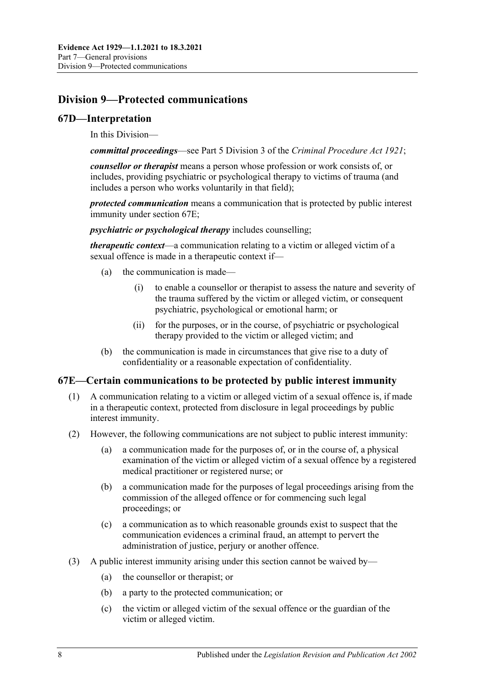# **Division 9—Protected communications**

#### **67D—Interpretation**

In this Division—

*committal proceedings*—see Part 5 Division 3 of the *[Criminal Procedure Act](http://www.legislation.sa.gov.au/index.aspx?action=legref&type=act&legtitle=Criminal%20Procedure%20Act%201921) 1921*;

*counsellor or therapist* means a person whose profession or work consists of, or includes, providing psychiatric or psychological therapy to victims of trauma (and includes a person who works voluntarily in that field);

*protected communication* means a communication that is protected by public interest immunity under [section](#page-75-0) 67E;

*psychiatric or psychological therapy* includes counselling;

*therapeutic context*—a communication relating to a victim or alleged victim of a sexual offence is made in a therapeutic context if—

- (a) the communication is made—
	- (i) to enable a counsellor or therapist to assess the nature and severity of the trauma suffered by the victim or alleged victim, or consequent psychiatric, psychological or emotional harm; or
	- (ii) for the purposes, or in the course, of psychiatric or psychological therapy provided to the victim or alleged victim; and
- (b) the communication is made in circumstances that give rise to a duty of confidentiality or a reasonable expectation of confidentiality.

#### <span id="page-75-0"></span>**67E—Certain communications to be protected by public interest immunity**

- (1) A communication relating to a victim or alleged victim of a sexual offence is, if made in a therapeutic context, protected from disclosure in legal proceedings by public interest immunity.
- (2) However, the following communications are not subject to public interest immunity:
	- (a) a communication made for the purposes of, or in the course of, a physical examination of the victim or alleged victim of a sexual offence by a registered medical practitioner or registered nurse; or
	- (b) a communication made for the purposes of legal proceedings arising from the commission of the alleged offence or for commencing such legal proceedings; or
	- (c) a communication as to which reasonable grounds exist to suspect that the communication evidences a criminal fraud, an attempt to pervert the administration of justice, perjury or another offence.
- (3) A public interest immunity arising under this section cannot be waived by—
	- (a) the counsellor or therapist; or
	- (b) a party to the protected communication; or
	- (c) the victim or alleged victim of the sexual offence or the guardian of the victim or alleged victim.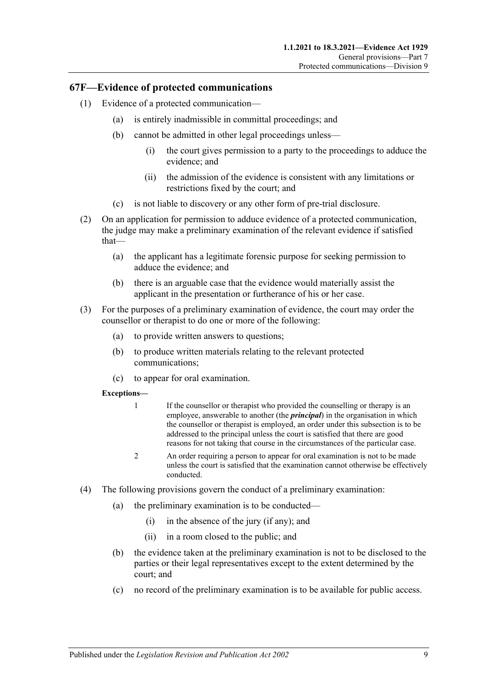#### **67F—Evidence of protected communications**

- (1) Evidence of a protected communication—
	- (a) is entirely inadmissible in committal proceedings; and
	- (b) cannot be admitted in other legal proceedings unless—
		- (i) the court gives permission to a party to the proceedings to adduce the evidence; and
		- (ii) the admission of the evidence is consistent with any limitations or restrictions fixed by the court; and
	- (c) is not liable to discovery or any other form of pre-trial disclosure.
- (2) On an application for permission to adduce evidence of a protected communication, the judge may make a preliminary examination of the relevant evidence if satisfied that—
	- (a) the applicant has a legitimate forensic purpose for seeking permission to adduce the evidence; and
	- (b) there is an arguable case that the evidence would materially assist the applicant in the presentation or furtherance of his or her case.
- (3) For the purposes of a preliminary examination of evidence, the court may order the counsellor or therapist to do one or more of the following:
	- (a) to provide written answers to questions;
	- (b) to produce written materials relating to the relevant protected communications;
	- (c) to appear for oral examination.

#### **Exceptions—**

- 1 If the counsellor or therapist who provided the counselling or therapy is an employee, answerable to another (the *principal*) in the organisation in which the counsellor or therapist is employed, an order under this subsection is to be addressed to the principal unless the court is satisfied that there are good reasons for not taking that course in the circumstances of the particular case.
- 2 An order requiring a person to appear for oral examination is not to be made unless the court is satisfied that the examination cannot otherwise be effectively conducted.
- (4) The following provisions govern the conduct of a preliminary examination:
	- (a) the preliminary examination is to be conducted—
		- (i) in the absence of the jury (if any); and
		- (ii) in a room closed to the public; and
	- (b) the evidence taken at the preliminary examination is not to be disclosed to the parties or their legal representatives except to the extent determined by the court; and
	- (c) no record of the preliminary examination is to be available for public access.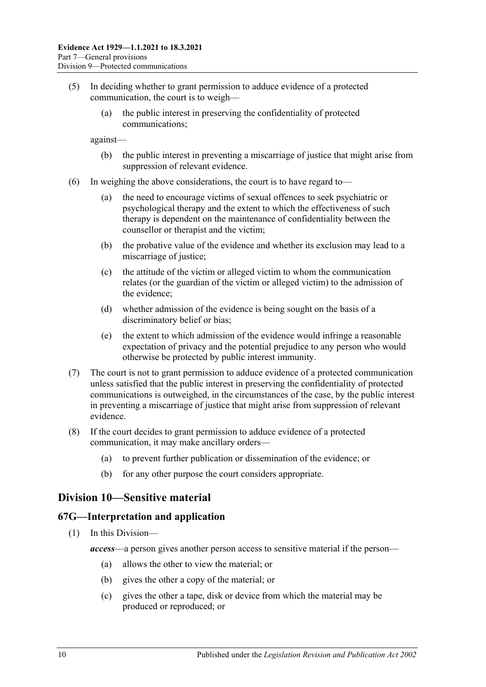- (5) In deciding whether to grant permission to adduce evidence of a protected communication, the court is to weigh—
	- (a) the public interest in preserving the confidentiality of protected communications;

against—

- (b) the public interest in preventing a miscarriage of justice that might arise from suppression of relevant evidence.
- (6) In weighing the above considerations, the court is to have regard to—
	- (a) the need to encourage victims of sexual offences to seek psychiatric or psychological therapy and the extent to which the effectiveness of such therapy is dependent on the maintenance of confidentiality between the counsellor or therapist and the victim;
	- (b) the probative value of the evidence and whether its exclusion may lead to a miscarriage of justice;
	- (c) the attitude of the victim or alleged victim to whom the communication relates (or the guardian of the victim or alleged victim) to the admission of the evidence;
	- (d) whether admission of the evidence is being sought on the basis of a discriminatory belief or bias;
	- (e) the extent to which admission of the evidence would infringe a reasonable expectation of privacy and the potential prejudice to any person who would otherwise be protected by public interest immunity.
- (7) The court is not to grant permission to adduce evidence of a protected communication unless satisfied that the public interest in preserving the confidentiality of protected communications is outweighed, in the circumstances of the case, by the public interest in preventing a miscarriage of justice that might arise from suppression of relevant evidence.
- (8) If the court decides to grant permission to adduce evidence of a protected communication, it may make ancillary orders—
	- (a) to prevent further publication or dissemination of the evidence; or
	- (b) for any other purpose the court considers appropriate.

## **Division 10—Sensitive material**

#### **67G—Interpretation and application**

- (1) In this Division
	- *access*—a person gives another person access to sensitive material if the person—
		- (a) allows the other to view the material; or
		- (b) gives the other a copy of the material; or
		- (c) gives the other a tape, disk or device from which the material may be produced or reproduced; or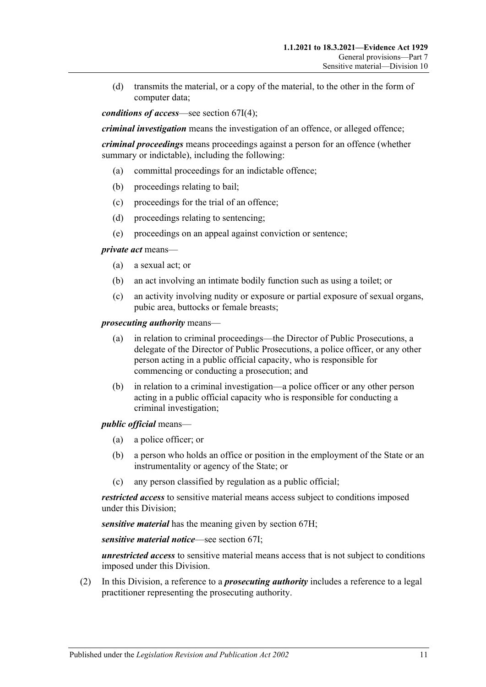(d) transmits the material, or a copy of the material, to the other in the form of computer data;

*conditions of access*—see [section](#page-80-0) 67I(4);

*criminal investigation* means the investigation of an offence, or alleged offence;

*criminal proceedings* means proceedings against a person for an offence (whether summary or indictable), including the following:

- (a) committal proceedings for an indictable offence;
- (b) proceedings relating to bail;
- (c) proceedings for the trial of an offence;
- (d) proceedings relating to sentencing;
- (e) proceedings on an appeal against conviction or sentence;

*private act* means—

- (a) a sexual act; or
- (b) an act involving an intimate bodily function such as using a toilet; or
- (c) an activity involving nudity or exposure or partial exposure of sexual organs, pubic area, buttocks or female breasts;

*prosecuting authority* means—

- (a) in relation to criminal proceedings—the Director of Public Prosecutions, a delegate of the Director of Public Prosecutions, a police officer, or any other person acting in a public official capacity, who is responsible for commencing or conducting a prosecution; and
- (b) in relation to a criminal investigation—a police officer or any other person acting in a public official capacity who is responsible for conducting a criminal investigation;

*public official* means—

- (a) a police officer; or
- (b) a person who holds an office or position in the employment of the State or an instrumentality or agency of the State; or
- (c) any person classified by regulation as a public official;

*restricted access* to sensitive material means access subject to conditions imposed under this Division;

*sensitive material* has the meaning given by [section](#page-79-0) 67H;

*sensitive material notice*—see [section](#page-80-1) 67I;

*unrestricted access* to sensitive material means access that is not subject to conditions imposed under this Division.

(2) In this Division, a reference to a *prosecuting authority* includes a reference to a legal practitioner representing the prosecuting authority.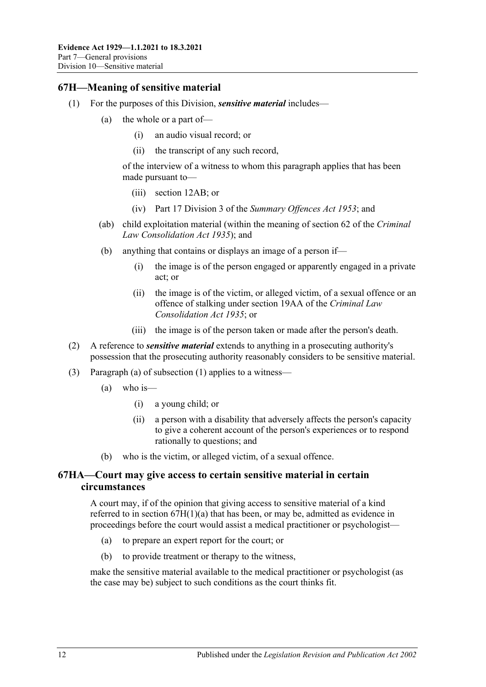#### <span id="page-79-2"></span><span id="page-79-0"></span>**67H—Meaning of sensitive material**

- <span id="page-79-1"></span>(1) For the purposes of this Division, *sensitive material* includes—
	- (a) the whole or a part of—
		- (i) an audio visual record; or
		- (ii) the transcript of any such record,

of the interview of a witness to whom this paragraph applies that has been made pursuant to—

- (iii) [section](#page-12-0) 12AB; or
- (iv) Part 17 Division 3 of the *[Summary Offences Act](http://www.legislation.sa.gov.au/index.aspx?action=legref&type=act&legtitle=Summary%20Offences%20Act%201953) 1953*; and
- (ab) child exploitation material (within the meaning of section 62 of the *[Criminal](http://www.legislation.sa.gov.au/index.aspx?action=legref&type=act&legtitle=Criminal%20Law%20Consolidation%20Act%201935)  [Law Consolidation Act](http://www.legislation.sa.gov.au/index.aspx?action=legref&type=act&legtitle=Criminal%20Law%20Consolidation%20Act%201935) 1935*); and
- (b) anything that contains or displays an image of a person if—
	- (i) the image is of the person engaged or apparently engaged in a private act; or
	- (ii) the image is of the victim, or alleged victim, of a sexual offence or an offence of stalking under section 19AA of the *[Criminal Law](http://www.legislation.sa.gov.au/index.aspx?action=legref&type=act&legtitle=Criminal%20Law%20Consolidation%20Act%201935)  [Consolidation Act](http://www.legislation.sa.gov.au/index.aspx?action=legref&type=act&legtitle=Criminal%20Law%20Consolidation%20Act%201935) 1935*; or
	- (iii) the image is of the person taken or made after the person's death.
- (2) A reference to *sensitive material* extends to anything in a prosecuting authority's possession that the prosecuting authority reasonably considers to be sensitive material.
- (3) [Paragraph](#page-79-1) (a) of [subsection](#page-79-2) (1) applies to a witness—
	- (a) who is—
		- (i) a young child; or
		- (ii) a person with a disability that adversely affects the person's capacity to give a coherent account of the person's experiences or to respond rationally to questions; and
	- (b) who is the victim, or alleged victim, of a sexual offence.

#### **67HA—Court may give access to certain sensitive material in certain circumstances**

A court may, if of the opinion that giving access to sensitive material of a kind referred to in section  $67H(1)(a)$  that has been, or may be, admitted as evidence in proceedings before the court would assist a medical practitioner or psychologist—

- (a) to prepare an expert report for the court; or
- (b) to provide treatment or therapy to the witness,

make the sensitive material available to the medical practitioner or psychologist (as the case may be) subject to such conditions as the court thinks fit.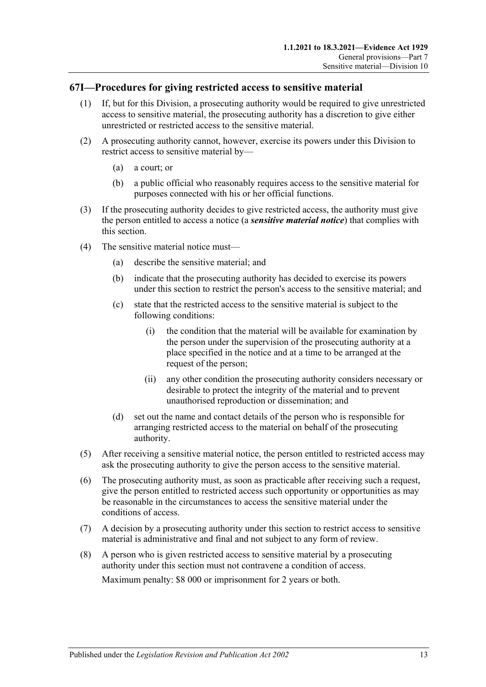#### <span id="page-80-1"></span>**67I—Procedures for giving restricted access to sensitive material**

- (1) If, but for this Division, a prosecuting authority would be required to give unrestricted access to sensitive material, the prosecuting authority has a discretion to give either unrestricted or restricted access to the sensitive material.
- (2) A prosecuting authority cannot, however, exercise its powers under this Division to restrict access to sensitive material by—
	- (a) a court; or
	- (b) a public official who reasonably requires access to the sensitive material for purposes connected with his or her official functions.
- (3) If the prosecuting authority decides to give restricted access, the authority must give the person entitled to access a notice (a *sensitive material notice*) that complies with this section.
- <span id="page-80-0"></span>(4) The sensitive material notice must—
	- (a) describe the sensitive material; and
	- (b) indicate that the prosecuting authority has decided to exercise its powers under this section to restrict the person's access to the sensitive material; and
	- (c) state that the restricted access to the sensitive material is subject to the following conditions:
		- (i) the condition that the material will be available for examination by the person under the supervision of the prosecuting authority at a place specified in the notice and at a time to be arranged at the request of the person;
		- (ii) any other condition the prosecuting authority considers necessary or desirable to protect the integrity of the material and to prevent unauthorised reproduction or dissemination; and
	- (d) set out the name and contact details of the person who is responsible for arranging restricted access to the material on behalf of the prosecuting authority.
- (5) After receiving a sensitive material notice, the person entitled to restricted access may ask the prosecuting authority to give the person access to the sensitive material.
- (6) The prosecuting authority must, as soon as practicable after receiving such a request, give the person entitled to restricted access such opportunity or opportunities as may be reasonable in the circumstances to access the sensitive material under the conditions of access.
- (7) A decision by a prosecuting authority under this section to restrict access to sensitive material is administrative and final and not subject to any form of review.
- (8) A person who is given restricted access to sensitive material by a prosecuting authority under this section must not contravene a condition of access. Maximum penalty: \$8 000 or imprisonment for 2 years or both.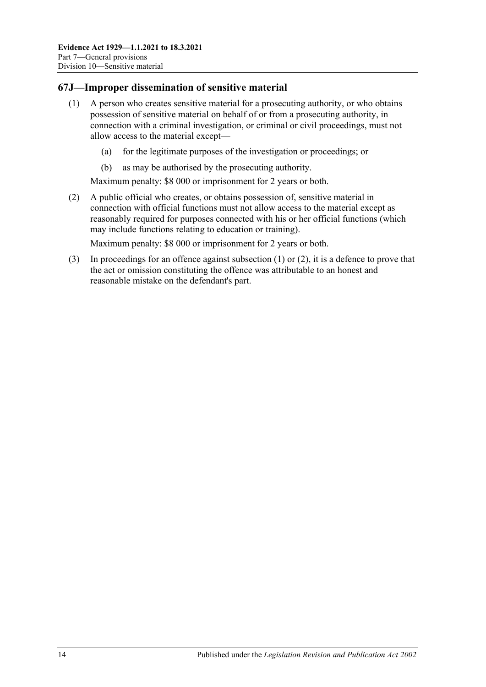### <span id="page-81-0"></span>**67J—Improper dissemination of sensitive material**

- (1) A person who creates sensitive material for a prosecuting authority, or who obtains possession of sensitive material on behalf of or from a prosecuting authority, in connection with a criminal investigation, or criminal or civil proceedings, must not allow access to the material except—
	- (a) for the legitimate purposes of the investigation or proceedings; or
	- (b) as may be authorised by the prosecuting authority.

Maximum penalty: \$8 000 or imprisonment for 2 years or both.

<span id="page-81-1"></span>(2) A public official who creates, or obtains possession of, sensitive material in connection with official functions must not allow access to the material except as reasonably required for purposes connected with his or her official functions (which may include functions relating to education or training).

Maximum penalty: \$8 000 or imprisonment for 2 years or both.

(3) In proceedings for an offence against [subsection](#page-81-0) (1) or [\(2\),](#page-81-1) it is a defence to prove that the act or omission constituting the offence was attributable to an honest and reasonable mistake on the defendant's part.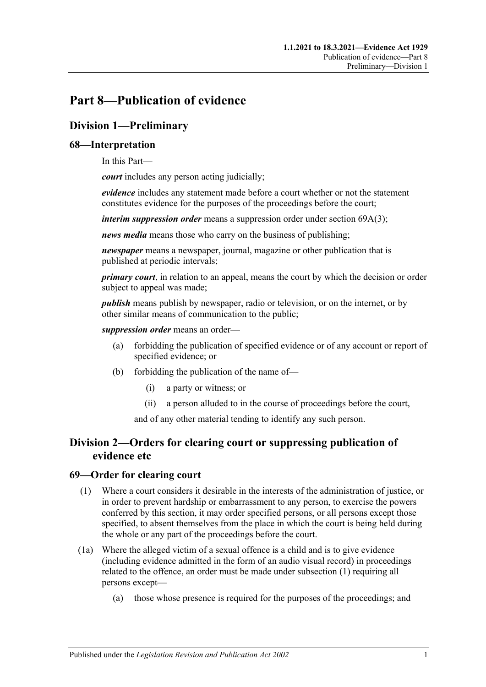# **Part 8—Publication of evidence**

# **Division 1—Preliminary**

### **68—Interpretation**

In this Part—

*court* includes any person acting judicially;

*evidence* includes any statement made before a court whether or not the statement constitutes evidence for the purposes of the proceedings before the court;

*interim suppression order* means a suppression order under section [69A\(3\);](#page-84-0)

*news media* means those who carry on the business of publishing;

*newspaper* means a newspaper, journal, magazine or other publication that is published at periodic intervals;

*primary court*, in relation to an appeal, means the court by which the decision or order subject to appeal was made;

*publish* means publish by newspaper, radio or television, or on the internet, or by other similar means of communication to the public;

*suppression order* means an order—

- (a) forbidding the publication of specified evidence or of any account or report of specified evidence; or
- (b) forbidding the publication of the name of—
	- (i) a party or witness; or
	- (ii) a person alluded to in the course of proceedings before the court,

and of any other material tending to identify any such person.

# **Division 2—Orders for clearing court or suppressing publication of evidence etc**

#### <span id="page-82-0"></span>**69—Order for clearing court**

- (1) Where a court considers it desirable in the interests of the administration of justice, or in order to prevent hardship or embarrassment to any person, to exercise the powers conferred by this section, it may order specified persons, or all persons except those specified, to absent themselves from the place in which the court is being held during the whole or any part of the proceedings before the court.
- (1a) Where the alleged victim of a sexual offence is a child and is to give evidence (including evidence admitted in the form of an audio visual record) in proceedings related to the offence, an order must be made under [subsection](#page-82-0) (1) requiring all persons except—
	- (a) those whose presence is required for the purposes of the proceedings; and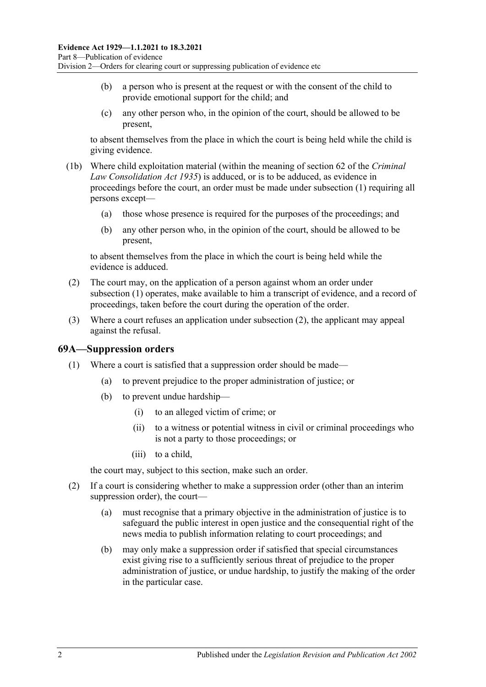- (b) a person who is present at the request or with the consent of the child to provide emotional support for the child; and
- (c) any other person who, in the opinion of the court, should be allowed to be present,

to absent themselves from the place in which the court is being held while the child is giving evidence.

- (1b) Where child exploitation material (within the meaning of section 62 of the *[Criminal](http://www.legislation.sa.gov.au/index.aspx?action=legref&type=act&legtitle=Criminal%20Law%20Consolidation%20Act%201935)  [Law Consolidation Act](http://www.legislation.sa.gov.au/index.aspx?action=legref&type=act&legtitle=Criminal%20Law%20Consolidation%20Act%201935) 1935*) is adduced, or is to be adduced, as evidence in proceedings before the court, an order must be made under [subsection](#page-82-0) (1) requiring all persons except—
	- (a) those whose presence is required for the purposes of the proceedings; and
	- (b) any other person who, in the opinion of the court, should be allowed to be present,

to absent themselves from the place in which the court is being held while the evidence is adduced.

- <span id="page-83-0"></span>(2) The court may, on the application of a person against whom an order under [subsection](#page-82-0) (1) operates, make available to him a transcript of evidence, and a record of proceedings, taken before the court during the operation of the order.
- (3) Where a court refuses an application under [subsection](#page-83-0) (2), the applicant may appeal against the refusal.

#### **69A—Suppression orders**

- (1) Where a court is satisfied that a suppression order should be made—
	- (a) to prevent prejudice to the proper administration of justice; or
	- (b) to prevent undue hardship—
		- (i) to an alleged victim of crime; or
		- (ii) to a witness or potential witness in civil or criminal proceedings who is not a party to those proceedings; or
		- (iii) to a child,

the court may, subject to this section, make such an order.

- (2) If a court is considering whether to make a suppression order (other than an interim suppression order), the court—
	- (a) must recognise that a primary objective in the administration of justice is to safeguard the public interest in open justice and the consequential right of the news media to publish information relating to court proceedings; and
	- (b) may only make a suppression order if satisfied that special circumstances exist giving rise to a sufficiently serious threat of prejudice to the proper administration of justice, or undue hardship, to justify the making of the order in the particular case.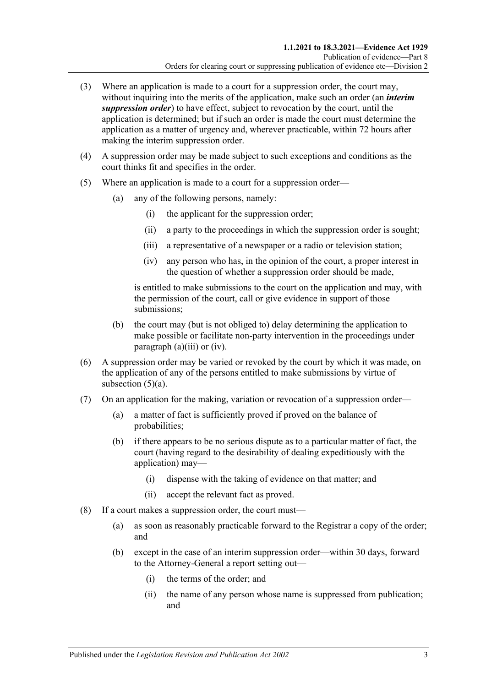- <span id="page-84-0"></span>(3) Where an application is made to a court for a suppression order, the court may, without inquiring into the merits of the application, make such an order (an *interim suppression order*) to have effect, subject to revocation by the court, until the application is determined; but if such an order is made the court must determine the application as a matter of urgency and, wherever practicable, within 72 hours after making the interim suppression order.
- (4) A suppression order may be made subject to such exceptions and conditions as the court thinks fit and specifies in the order.
- <span id="page-84-3"></span><span id="page-84-2"></span><span id="page-84-1"></span>(5) Where an application is made to a court for a suppression order—
	- (a) any of the following persons, namely:
		- (i) the applicant for the suppression order;
		- (ii) a party to the proceedings in which the suppression order is sought;
		- (iii) a representative of a newspaper or a radio or television station;
		- (iv) any person who has, in the opinion of the court, a proper interest in the question of whether a suppression order should be made,

is entitled to make submissions to the court on the application and may, with the permission of the court, call or give evidence in support of those submissions;

- (b) the court may (but is not obliged to) delay determining the application to make possible or facilitate non-party intervention in the proceedings under [paragraph](#page-84-1)  $(a)(iii)$  or  $(iv)$ .
- (6) A suppression order may be varied or revoked by the court by which it was made, on the application of any of the persons entitled to make submissions by virtue of [subsection](#page-84-3)  $(5)(a)$ .
- (7) On an application for the making, variation or revocation of a suppression order—
	- (a) a matter of fact is sufficiently proved if proved on the balance of probabilities;
	- (b) if there appears to be no serious dispute as to a particular matter of fact, the court (having regard to the desirability of dealing expeditiously with the application) may—
		- (i) dispense with the taking of evidence on that matter; and
		- (ii) accept the relevant fact as proved.
- (8) If a court makes a suppression order, the court must—
	- (a) as soon as reasonably practicable forward to the Registrar a copy of the order; and
	- (b) except in the case of an interim suppression order—within 30 days, forward to the Attorney-General a report setting out—
		- (i) the terms of the order; and
		- (ii) the name of any person whose name is suppressed from publication; and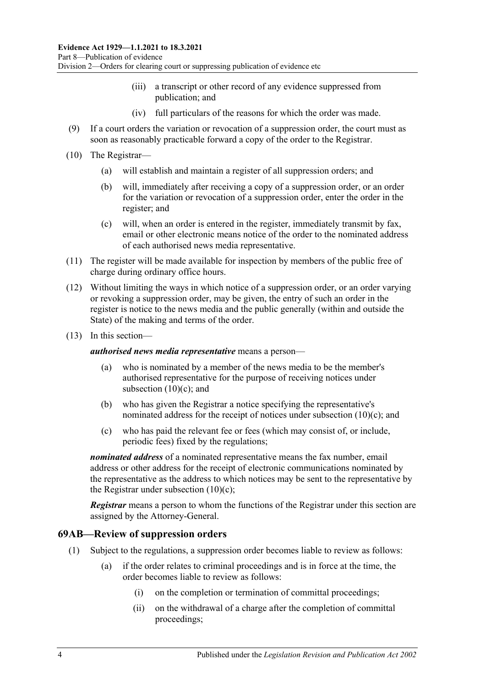- (iii) a transcript or other record of any evidence suppressed from publication; and
- (iv) full particulars of the reasons for which the order was made.
- (9) If a court orders the variation or revocation of a suppression order, the court must as soon as reasonably practicable forward a copy of the order to the Registrar.
- (10) The Registrar—
	- (a) will establish and maintain a register of all suppression orders; and
	- (b) will, immediately after receiving a copy of a suppression order, or an order for the variation or revocation of a suppression order, enter the order in the register; and
	- (c) will, when an order is entered in the register, immediately transmit by fax, email or other electronic means notice of the order to the nominated address of each authorised news media representative.
- <span id="page-85-0"></span>(11) The register will be made available for inspection by members of the public free of charge during ordinary office hours.
- (12) Without limiting the ways in which notice of a suppression order, or an order varying or revoking a suppression order, may be given, the entry of such an order in the register is notice to the news media and the public generally (within and outside the State) of the making and terms of the order.
- (13) In this section—

*authorised news media representative* means a person—

- (a) who is nominated by a member of the news media to be the member's authorised representative for the purpose of receiving notices under [subsection](#page-85-0)  $(10)(c)$ ; and
- (b) who has given the Registrar a notice specifying the representative's nominated address for the receipt of notices under [subsection](#page-85-0)  $(10)(c)$ ; and
- (c) who has paid the relevant fee or fees (which may consist of, or include, periodic fees) fixed by the regulations;

*nominated address* of a nominated representative means the fax number, email address or other address for the receipt of electronic communications nominated by the representative as the address to which notices may be sent to the representative by the Registrar under [subsection](#page-85-0) (10)(c);

*Registrar* means a person to whom the functions of the Registrar under this section are assigned by the Attorney-General.

#### **69AB—Review of suppression orders**

- (1) Subject to the regulations, a suppression order becomes liable to review as follows:
	- (a) if the order relates to criminal proceedings and is in force at the time, the order becomes liable to review as follows:
		- (i) on the completion or termination of committal proceedings;
		- (ii) on the withdrawal of a charge after the completion of committal proceedings;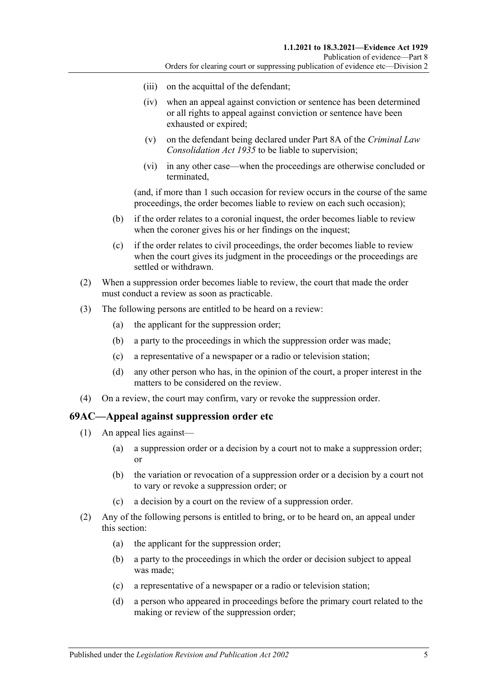- (iii) on the acquittal of the defendant;
- (iv) when an appeal against conviction or sentence has been determined or all rights to appeal against conviction or sentence have been exhausted or expired;
- (v) on the defendant being declared under Part 8A of the *[Criminal Law](http://www.legislation.sa.gov.au/index.aspx?action=legref&type=act&legtitle=Criminal%20Law%20Consolidation%20Act%201935)  [Consolidation Act](http://www.legislation.sa.gov.au/index.aspx?action=legref&type=act&legtitle=Criminal%20Law%20Consolidation%20Act%201935) 1935* to be liable to supervision;
- (vi) in any other case—when the proceedings are otherwise concluded or terminated,

(and, if more than 1 such occasion for review occurs in the course of the same proceedings, the order becomes liable to review on each such occasion);

- (b) if the order relates to a coronial inquest, the order becomes liable to review when the coroner gives his or her findings on the inquest;
- (c) if the order relates to civil proceedings, the order becomes liable to review when the court gives its judgment in the proceedings or the proceedings are settled or withdrawn.
- (2) When a suppression order becomes liable to review, the court that made the order must conduct a review as soon as practicable.
- (3) The following persons are entitled to be heard on a review:
	- (a) the applicant for the suppression order;
	- (b) a party to the proceedings in which the suppression order was made;
	- (c) a representative of a newspaper or a radio or television station;
	- (d) any other person who has, in the opinion of the court, a proper interest in the matters to be considered on the review.
- (4) On a review, the court may confirm, vary or revoke the suppression order.

#### **69AC—Appeal against suppression order etc**

- (1) An appeal lies against—
	- (a) a suppression order or a decision by a court not to make a suppression order; or
	- (b) the variation or revocation of a suppression order or a decision by a court not to vary or revoke a suppression order; or
	- (c) a decision by a court on the review of a suppression order.
- (2) Any of the following persons is entitled to bring, or to be heard on, an appeal under this section:
	- (a) the applicant for the suppression order;
	- (b) a party to the proceedings in which the order or decision subject to appeal was made;
	- (c) a representative of a newspaper or a radio or television station;
	- (d) a person who appeared in proceedings before the primary court related to the making or review of the suppression order;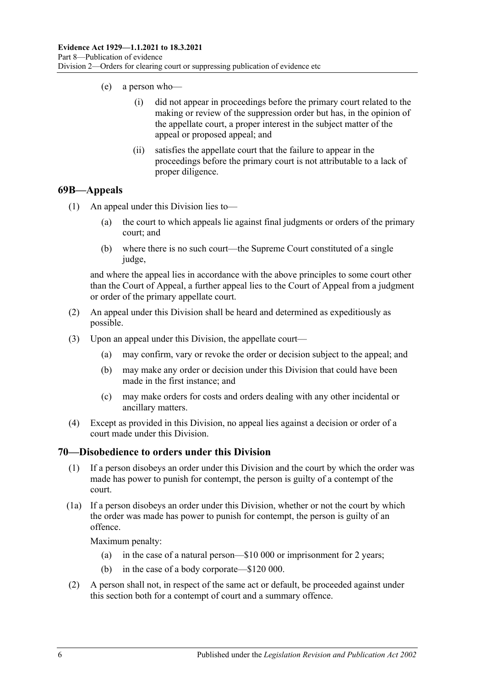- (e) a person who—
	- (i) did not appear in proceedings before the primary court related to the making or review of the suppression order but has, in the opinion of the appellate court, a proper interest in the subject matter of the appeal or proposed appeal; and
	- (ii) satisfies the appellate court that the failure to appear in the proceedings before the primary court is not attributable to a lack of proper diligence.

#### **69B—Appeals**

- (1) An appeal under this Division lies to—
	- (a) the court to which appeals lie against final judgments or orders of the primary court; and
	- (b) where there is no such court—the Supreme Court constituted of a single judge,

and where the appeal lies in accordance with the above principles to some court other than the Court of Appeal, a further appeal lies to the Court of Appeal from a judgment or order of the primary appellate court.

- (2) An appeal under this Division shall be heard and determined as expeditiously as possible.
- (3) Upon an appeal under this Division, the appellate court—
	- (a) may confirm, vary or revoke the order or decision subject to the appeal; and
	- (b) may make any order or decision under this Division that could have been made in the first instance; and
	- (c) may make orders for costs and orders dealing with any other incidental or ancillary matters.
- (4) Except as provided in this Division, no appeal lies against a decision or order of a court made under this Division.

#### **70—Disobedience to orders under this Division**

- (1) If a person disobeys an order under this Division and the court by which the order was made has power to punish for contempt, the person is guilty of a contempt of the court.
- (1a) If a person disobeys an order under this Division, whether or not the court by which the order was made has power to punish for contempt, the person is guilty of an offence.

Maximum penalty:

- (a) in the case of a natural person—\$10 000 or imprisonment for 2 years;
- (b) in the case of a body corporate—\$120 000.
- (2) A person shall not, in respect of the same act or default, be proceeded against under this section both for a contempt of court and a summary offence.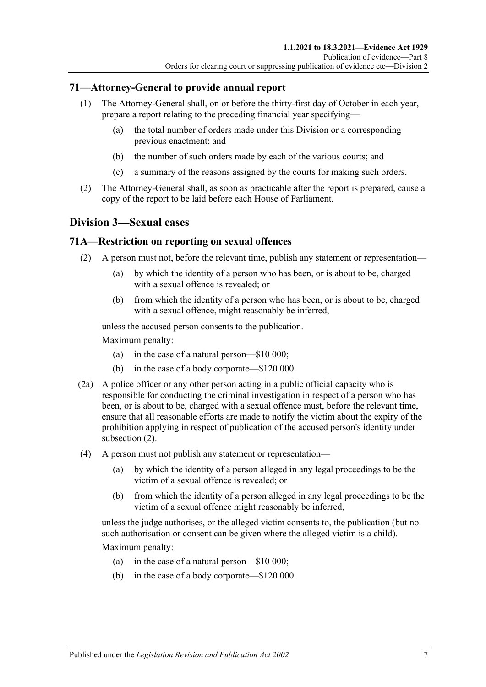#### **71—Attorney-General to provide annual report**

- (1) The Attorney-General shall, on or before the thirty-first day of October in each year, prepare a report relating to the preceding financial year specifying—
	- (a) the total number of orders made under this Division or a corresponding previous enactment; and
	- (b) the number of such orders made by each of the various courts; and
	- (c) a summary of the reasons assigned by the courts for making such orders.
- (2) The Attorney-General shall, as soon as practicable after the report is prepared, cause a copy of the report to be laid before each House of Parliament.

## **Division 3—Sexual cases**

### <span id="page-88-0"></span>**71A—Restriction on reporting on sexual offences**

- (2) A person must not, before the relevant time, publish any statement or representation—
	- (a) by which the identity of a person who has been, or is about to be, charged with a sexual offence is revealed; or
	- (b) from which the identity of a person who has been, or is about to be, charged with a sexual offence, might reasonably be inferred,

unless the accused person consents to the publication.

Maximum penalty:

- (a) in the case of a natural person—\$10 000;
- (b) in the case of a body corporate—\$120 000.
- (2a) A police officer or any other person acting in a public official capacity who is responsible for conducting the criminal investigation in respect of a person who has been, or is about to be, charged with a sexual offence must, before the relevant time, ensure that all reasonable efforts are made to notify the victim about the expiry of the prohibition applying in respect of publication of the accused person's identity under [subsection](#page-88-0) (2).
- (4) A person must not publish any statement or representation—
	- (a) by which the identity of a person alleged in any legal proceedings to be the victim of a sexual offence is revealed; or
	- (b) from which the identity of a person alleged in any legal proceedings to be the victim of a sexual offence might reasonably be inferred,

unless the judge authorises, or the alleged victim consents to, the publication (but no such authorisation or consent can be given where the alleged victim is a child).

Maximum penalty:

- (a) in the case of a natural person—\$10 000;
- (b) in the case of a body corporate—\$120 000.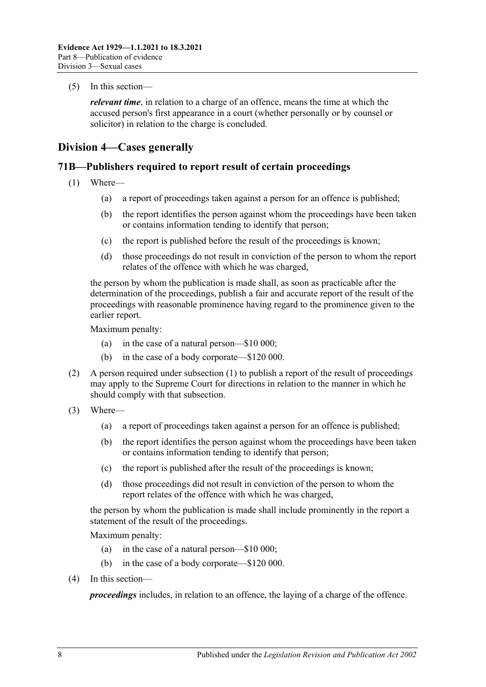#### (5) In this section—

*relevant time*, in relation to a charge of an offence, means the time at which the accused person's first appearance in a court (whether personally or by counsel or solicitor) in relation to the charge is concluded.

## **Division 4—Cases generally**

#### <span id="page-89-0"></span>**71B—Publishers required to report result of certain proceedings**

- (1) Where—
	- (a) a report of proceedings taken against a person for an offence is published;
	- (b) the report identifies the person against whom the proceedings have been taken or contains information tending to identify that person;
	- (c) the report is published before the result of the proceedings is known;
	- (d) those proceedings do not result in conviction of the person to whom the report relates of the offence with which he was charged,

the person by whom the publication is made shall, as soon as practicable after the determination of the proceedings, publish a fair and accurate report of the result of the proceedings with reasonable prominence having regard to the prominence given to the earlier report.

Maximum penalty:

- (a) in the case of a natural person—\$10 000;
- (b) in the case of a body corporate—\$120 000.
- (2) A person required under [subsection](#page-89-0) (1) to publish a report of the result of proceedings may apply to the Supreme Court for directions in relation to the manner in which he should comply with that subsection.
- (3) Where—
	- (a) a report of proceedings taken against a person for an offence is published;
	- (b) the report identifies the person against whom the proceedings have been taken or contains information tending to identify that person;
	- (c) the report is published after the result of the proceedings is known;
	- (d) those proceedings did not result in conviction of the person to whom the report relates of the offence with which he was charged,

the person by whom the publication is made shall include prominently in the report a statement of the result of the proceedings.

Maximum penalty:

- (a) in the case of a natural person—\$10 000;
- (b) in the case of a body corporate—\$120 000.
- (4) In this section—

*proceedings* includes, in relation to an offence, the laying of a charge of the offence.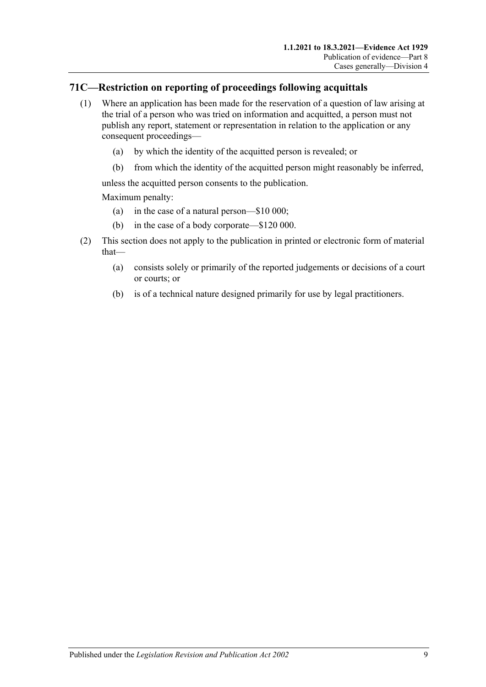## **71C—Restriction on reporting of proceedings following acquittals**

- (1) Where an application has been made for the reservation of a question of law arising at the trial of a person who was tried on information and acquitted, a person must not publish any report, statement or representation in relation to the application or any consequent proceedings—
	- (a) by which the identity of the acquitted person is revealed; or
	- (b) from which the identity of the acquitted person might reasonably be inferred,

unless the acquitted person consents to the publication.

Maximum penalty:

- (a) in the case of a natural person—\$10 000;
- (b) in the case of a body corporate—\$120 000.
- (2) This section does not apply to the publication in printed or electronic form of material that—
	- (a) consists solely or primarily of the reported judgements or decisions of a court or courts; or
	- (b) is of a technical nature designed primarily for use by legal practitioners.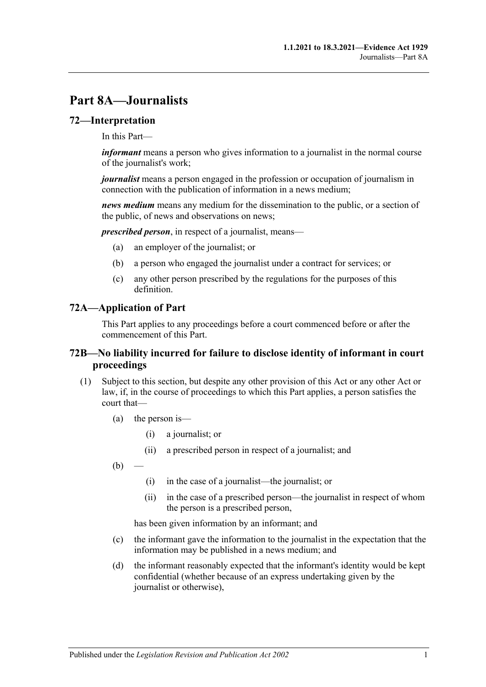# **Part 8A—Journalists**

#### **72—Interpretation**

In this Part—

*informant* means a person who gives information to a journalist in the normal course of the journalist's work;

*journalist* means a person engaged in the profession or occupation of journalism in connection with the publication of information in a news medium;

*news medium* means any medium for the dissemination to the public, or a section of the public, of news and observations on news;

*prescribed person*, in respect of a journalist, means—

- (a) an employer of the journalist; or
- (b) a person who engaged the journalist under a contract for services; or
- (c) any other person prescribed by the regulations for the purposes of this definition.

### **72A—Application of Part**

This Part applies to any proceedings before a court commenced before or after the commencement of this Part.

#### **72B—No liability incurred for failure to disclose identity of informant in court proceedings**

- <span id="page-92-0"></span>(1) Subject to this section, but despite any other provision of this Act or any other Act or law, if, in the course of proceedings to which this Part applies, a person satisfies the court that—
	- (a) the person is—
		- (i) a journalist; or
		- (ii) a prescribed person in respect of a journalist; and
	- $(b)$ 
		- (i) in the case of a journalist—the journalist; or
		- (ii) in the case of a prescribed person—the journalist in respect of whom the person is a prescribed person,

has been given information by an informant; and

- (c) the informant gave the information to the journalist in the expectation that the information may be published in a news medium; and
- (d) the informant reasonably expected that the informant's identity would be kept confidential (whether because of an express undertaking given by the journalist or otherwise),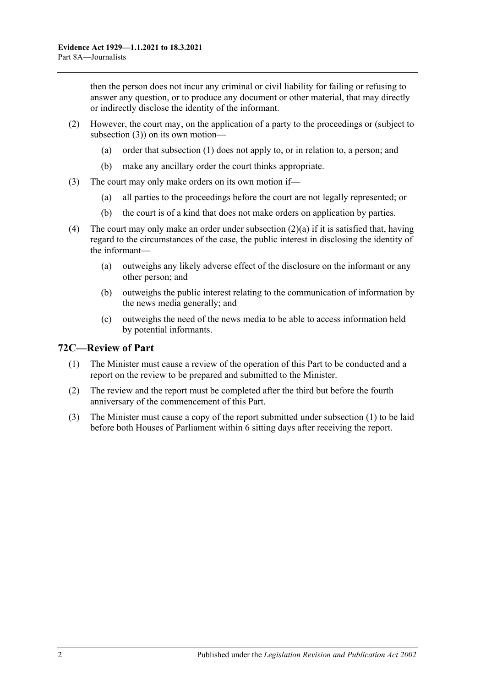then the person does not incur any criminal or civil liability for failing or refusing to answer any question, or to produce any document or other material, that may directly or indirectly disclose the identity of the informant.

- <span id="page-93-1"></span>(2) However, the court may, on the application of a party to the proceedings or (subject to [subsection](#page-93-0) (3)) on its own motion—
	- (a) order that [subsection](#page-92-0) (1) does not apply to, or in relation to, a person; and
	- (b) make any ancillary order the court thinks appropriate.
- <span id="page-93-0"></span>(3) The court may only make orders on its own motion if—
	- (a) all parties to the proceedings before the court are not legally represented; or
	- (b) the court is of a kind that does not make orders on application by parties.
- (4) The court may only make an order under [subsection](#page-93-1)  $(2)(a)$  if it is satisfied that, having regard to the circumstances of the case, the public interest in disclosing the identity of the informant—
	- (a) outweighs any likely adverse effect of the disclosure on the informant or any other person; and
	- (b) outweighs the public interest relating to the communication of information by the news media generally; and
	- (c) outweighs the need of the news media to be able to access information held by potential informants.

## <span id="page-93-2"></span>**72C—Review of Part**

- (1) The Minister must cause a review of the operation of this Part to be conducted and a report on the review to be prepared and submitted to the Minister.
- (2) The review and the report must be completed after the third but before the fourth anniversary of the commencement of this Part.
- (3) The Minister must cause a copy of the report submitted under [subsection](#page-93-2) (1) to be laid before both Houses of Parliament within 6 sitting days after receiving the report.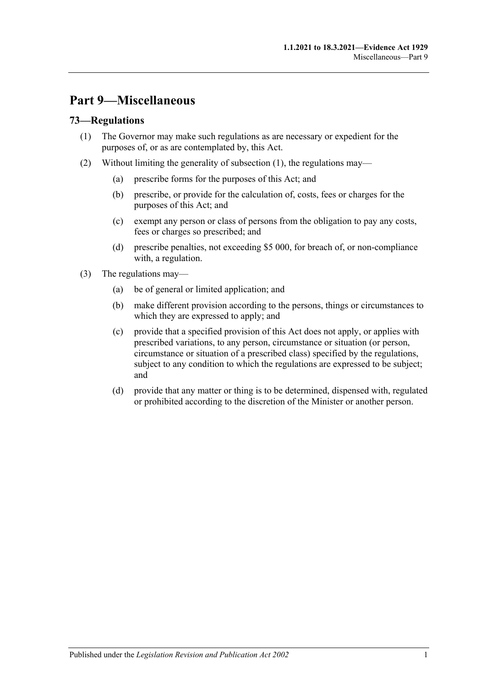# **Part 9—Miscellaneous**

### <span id="page-94-0"></span>**73—Regulations**

- (1) The Governor may make such regulations as are necessary or expedient for the purposes of, or as are contemplated by, this Act.
- (2) Without limiting the generality of [subsection](#page-94-0) (1), the regulations may—
	- (a) prescribe forms for the purposes of this Act; and
	- (b) prescribe, or provide for the calculation of, costs, fees or charges for the purposes of this Act; and
	- (c) exempt any person or class of persons from the obligation to pay any costs, fees or charges so prescribed; and
	- (d) prescribe penalties, not exceeding \$5 000, for breach of, or non-compliance with, a regulation.
- (3) The regulations may—
	- (a) be of general or limited application; and
	- (b) make different provision according to the persons, things or circumstances to which they are expressed to apply; and
	- (c) provide that a specified provision of this Act does not apply, or applies with prescribed variations, to any person, circumstance or situation (or person, circumstance or situation of a prescribed class) specified by the regulations, subject to any condition to which the regulations are expressed to be subject; and
	- (d) provide that any matter or thing is to be determined, dispensed with, regulated or prohibited according to the discretion of the Minister or another person.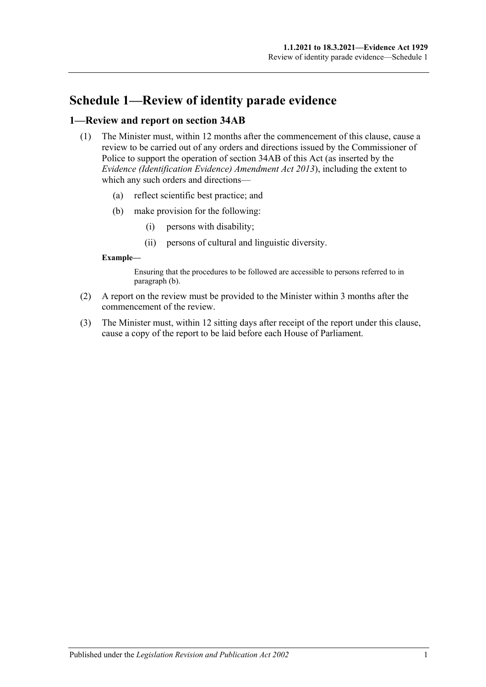# **Schedule 1—Review of identity parade evidence**

#### **1—Review and report on section 34AB**

- (1) The Minister must, within 12 months after the commencement of this clause, cause a review to be carried out of any orders and directions issued by the Commissioner of Police to support the operation of section 34AB of this Act (as inserted by the *[Evidence \(Identification Evidence\) Amendment Act](http://www.legislation.sa.gov.au/index.aspx?action=legref&type=act&legtitle=Evidence%20(Identification%20Evidence)%20Amendment%20Act%202013) 2013*), including the extent to which any such orders and directions—
	- (a) reflect scientific best practice; and
	- (b) make provision for the following:
		- (i) persons with disability;
		- (ii) persons of cultural and linguistic diversity.

#### <span id="page-96-0"></span>**Example—**

Ensuring that the procedures to be followed are accessible to persons referred to in [paragraph](#page-96-0) (b).

- (2) A report on the review must be provided to the Minister within 3 months after the commencement of the review.
- (3) The Minister must, within 12 sitting days after receipt of the report under this clause, cause a copy of the report to be laid before each House of Parliament.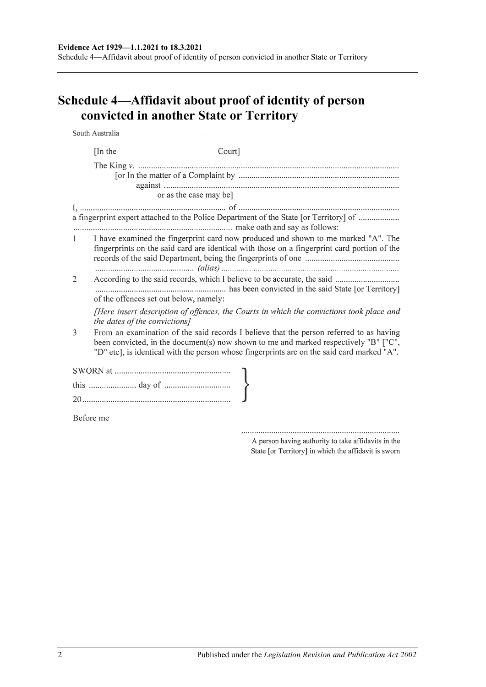#### **Evidence Act 1929—1.1.2021 to 18.3.2021**

Schedule 4—Affidavit about proof of identity of person convicted in another State or Territory

# **Schedule 4—Affidavit about proof of identity of person convicted in another State or Territory**

South Australia

| [In the<br>Court]                                                                                                                                                                                                                                                                  |
|------------------------------------------------------------------------------------------------------------------------------------------------------------------------------------------------------------------------------------------------------------------------------------|
|                                                                                                                                                                                                                                                                                    |
| or as the case may be]                                                                                                                                                                                                                                                             |
| a fingerprint expert attached to the Police Department of the State [or Territory] of                                                                                                                                                                                              |
| I have examined the fingerprint card now produced and shown to me marked "A". The<br>$1 \quad$<br>fingerprints on the said card are identical with those on a fingerprint card portion of the                                                                                      |
| 2<br>of the offences set out below, namely:                                                                                                                                                                                                                                        |
| [Here insert description of offences, the Courts in which the convictions took place and<br>the dates of the convictions]                                                                                                                                                          |
| From an examination of the said records I believe that the person referred to as having<br>3<br>been convicted, in the document(s) now shown to me and marked respectively "B" ["C",<br>"D" etc], is identical with the person whose fingerprints are on the said card marked "A". |
|                                                                                                                                                                                                                                                                                    |
|                                                                                                                                                                                                                                                                                    |
|                                                                                                                                                                                                                                                                                    |
| Before me                                                                                                                                                                                                                                                                          |

A person having authority to take affidavits in the State [or Territory] in which the affidavit is sworn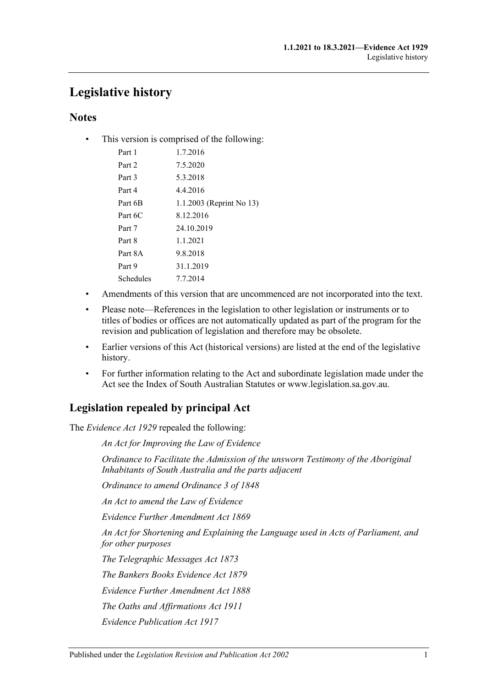# **Legislative history**

# **Notes**

• This version is comprised of the following:

| Part 1    | 1.7.2016                 |
|-----------|--------------------------|
| Part 2    | 7.5.2020                 |
| Part 3    | 5.3.2018                 |
| Part 4    | 4.4.2016                 |
| Part 6B   | 1.1.2003 (Reprint No 13) |
| Part 6C   | 8.12.2016                |
| Part 7    | 24.10.2019               |
| Part 8    | 1.1.2021                 |
| Part 8A   | 9.8.2018                 |
| Part 9    | 31.1.2019                |
| Schedules | 7.7.2014                 |
|           |                          |

- Amendments of this version that are uncommenced are not incorporated into the text.
- Please note—References in the legislation to other legislation or instruments or to titles of bodies or offices are not automatically updated as part of the program for the revision and publication of legislation and therefore may be obsolete.
- Earlier versions of this Act (historical versions) are listed at the end of the legislative history.
- For further information relating to the Act and subordinate legislation made under the Act see the Index of South Australian Statutes or www.legislation.sa.gov.au.

# **Legislation repealed by principal Act**

The *Evidence Act 1929* repealed the following:

*An Act for Improving the Law of Evidence*

*Ordinance to Facilitate the Admission of the unsworn Testimony of the Aboriginal Inhabitants of South Australia and the parts adjacent*

*Ordinance to amend Ordinance 3 of 1848*

*An Act to amend the Law of Evidence*

*Evidence Further Amendment Act 1869*

*An Act for Shortening and Explaining the Language used in Acts of Parliament, and for other purposes*

*The Telegraphic Messages Act 1873*

*The Bankers Books Evidence Act 1879*

*Evidence Further Amendment Act 1888*

*The Oaths and Affirmations Act 1911*

*Evidence Publication Act 1917*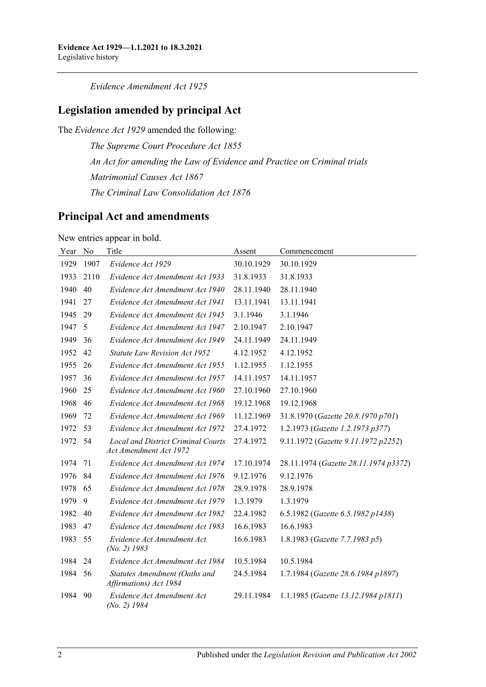*Evidence Amendment Act 1925*

## **Legislation amended by principal Act**

The *Evidence Act 1929* amended the following:

*The Supreme Court Procedure Act 1855 An Act for amending the Law of Evidence and Practice on Criminal trials Matrimonial Causes Act 1867 The Criminal Law Consolidation Act 1876*

# **Principal Act and amendments**

New entries appear in bold.

| Year | No   | Title                                                               | Assent     | Commencement                          |
|------|------|---------------------------------------------------------------------|------------|---------------------------------------|
| 1929 | 1907 | Evidence Act 1929                                                   | 30.10.1929 | 30.10.1929                            |
| 1933 | 2110 | Evidence Act Amendment Act 1933                                     | 31.8.1933  | 31.8.1933                             |
| 1940 | 40   | Evidence Act Amendment Act 1940                                     | 28.11.1940 | 28.11.1940                            |
| 1941 | 27   | Evidence Act Amendment Act 1941                                     | 13.11.1941 | 13.11.1941                            |
| 1945 | 29   | Evidence Act Amendment Act 1945                                     | 3.1.1946   | 3.1.1946                              |
| 1947 | 5    | Evidence Act Amendment Act 1947                                     | 2.10.1947  | 2.10.1947                             |
| 1949 | 36   | Evidence Act Amendment Act 1949                                     | 24.11.1949 | 24.11.1949                            |
| 1952 | 42   | <b>Statute Law Revision Act 1952</b>                                | 4.12.1952  | 4.12.1952                             |
| 1955 | 26   | Evidence Act Amendment Act 1955                                     | 1.12.1955  | 1.12.1955                             |
| 1957 | 36   | Evidence Act Amendment Act 1957                                     | 14.11.1957 | 14.11.1957                            |
| 1960 | 25   | Evidence Act Amendment Act 1960                                     | 27.10.1960 | 27.10.1960                            |
| 1968 | 46   | Evidence Act Amendment Act 1968                                     | 19.12.1968 | 19.12.1968                            |
| 1969 | 72   | Evidence Act Amendment Act 1969                                     | 11.12.1969 | 31.8.1970 (Gazette 20.8.1970 p701)    |
| 1972 | 53   | Evidence Act Amendment Act 1972                                     | 27.4.1972  | 1.2.1973 (Gazette 1.2.1973 p377)      |
| 1972 | 54   | <b>Local and District Criminal Courts</b><br>Act Amendment Act 1972 | 27.4.1972  | 9.11.1972 (Gazette 9.11.1972 p2252)   |
| 1974 | 71   | Evidence Act Amendment Act 1974                                     | 17.10.1974 | 28.11.1974 (Gazette 28.11.1974 p3372) |
| 1976 | 84   | Evidence Act Amendment Act 1976                                     | 9.12.1976  | 9.12.1976                             |
| 1978 | 65   | Evidence Act Amendment Act 1978                                     | 28.9.1978  | 28.9.1978                             |
| 1979 | 9    | Evidence Act Amendment Act 1979                                     | 1.3.1979   | 1.3.1979                              |
| 1982 | 40   | Evidence Act Amendment Act 1982                                     | 22.4.1982  | 6.5.1982 (Gazette 6.5.1982 p1438)     |
| 1983 | 47   | Evidence Act Amendment Act 1983                                     | 16.6.1983  | 16.6.1983                             |
| 1983 | 55   | Evidence Act Amendment Act<br>$(No. 2)$ 1983                        | 16.6.1983  | 1.8.1983 (Gazette 7.7.1983 p5)        |
| 1984 | 24   | Evidence Act Amendment Act 1984                                     | 10.5.1984  | 10.5.1984                             |
| 1984 | 56   | Statutes Amendment (Oaths and<br>Affirmations) Act 1984             | 24.5.1984  | 1.7.1984 (Gazette 28.6.1984 p1897)    |
| 1984 | 90   | Evidence Act Amendment Act<br>$(No. 2)$ 1984                        | 29.11.1984 | 1.1.1985 (Gazette 13.12.1984 p1811)   |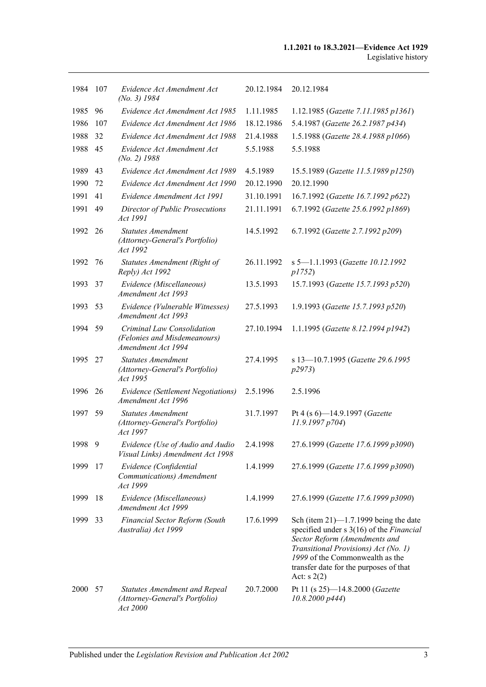| 1984 | 107 | Evidence Act Amendment Act<br>$(No. 3)$ 1984                                       | 20.12.1984 | 20.12.1984                                                                                                                                                                                                                                                         |
|------|-----|------------------------------------------------------------------------------------|------------|--------------------------------------------------------------------------------------------------------------------------------------------------------------------------------------------------------------------------------------------------------------------|
| 1985 | 96  | Evidence Act Amendment Act 1985                                                    | 1.11.1985  | 1.12.1985 (Gazette 7.11.1985 p1361)                                                                                                                                                                                                                                |
| 1986 | 107 | Evidence Act Amendment Act 1986                                                    | 18.12.1986 | 5.4.1987 (Gazette 26.2.1987 p434)                                                                                                                                                                                                                                  |
| 1988 | 32  | Evidence Act Amendment Act 1988                                                    | 21.4.1988  | 1.5.1988 (Gazette 28.4.1988 p1066)                                                                                                                                                                                                                                 |
| 1988 | 45  | Evidence Act Amendment Act<br>$(No. 2)$ 1988                                       | 5.5.1988   | 5.5.1988                                                                                                                                                                                                                                                           |
| 1989 | 43  | Evidence Act Amendment Act 1989                                                    | 4.5.1989   | 15.5.1989 (Gazette 11.5.1989 p1250)                                                                                                                                                                                                                                |
| 1990 | 72  | Evidence Act Amendment Act 1990                                                    | 20.12.1990 | 20.12.1990                                                                                                                                                                                                                                                         |
| 1991 | 41  | Evidence Amendment Act 1991                                                        | 31.10.1991 | 16.7.1992 (Gazette 16.7.1992 p622)                                                                                                                                                                                                                                 |
| 1991 | 49  | Director of Public Prosecutions<br>Act 1991                                        | 21.11.1991 | 6.7.1992 (Gazette 25.6.1992 p1869)                                                                                                                                                                                                                                 |
| 1992 | 26  | Statutes Amendment<br>(Attorney-General's Portfolio)<br>Act 1992                   | 14.5.1992  | 6.7.1992 (Gazette 2.7.1992 p209)                                                                                                                                                                                                                                   |
| 1992 | 76  | Statutes Amendment (Right of<br>Reply) Act 1992                                    | 26.11.1992 | s 5-1.1.1993 (Gazette 10.12.1992<br>p1752                                                                                                                                                                                                                          |
| 1993 | 37  | Evidence (Miscellaneous)<br>Amendment Act 1993                                     | 13.5.1993  | 15.7.1993 (Gazette 15.7.1993 p520)                                                                                                                                                                                                                                 |
| 1993 | 53  | Evidence (Vulnerable Witnesses)<br>Amendment Act 1993                              | 27.5.1993  | 1.9.1993 (Gazette 15.7.1993 p520)                                                                                                                                                                                                                                  |
| 1994 | 59  | Criminal Law Consolidation<br>(Felonies and Misdemeanours)<br>Amendment Act 1994   | 27.10.1994 | 1.1.1995 (Gazette 8.12.1994 p1942)                                                                                                                                                                                                                                 |
| 1995 | 27  | Statutes Amendment<br>(Attorney-General's Portfolio)<br>Act 1995                   | 27.4.1995  | s 13-10.7.1995 (Gazette 29.6.1995<br>p2973)                                                                                                                                                                                                                        |
| 1996 | 26  | Evidence (Settlement Negotiations)<br>Amendment Act 1996                           | 2.5.1996   | 2.5.1996                                                                                                                                                                                                                                                           |
| 1997 | 59  | <b>Statutes Amendment</b><br>(Attorney-General's Portfolio)<br>Act 1997            | 31.7.1997  | Pt 4 (s 6)-14.9.1997 (Gazette<br>11.9.1997 p704)                                                                                                                                                                                                                   |
| 1998 | 9   | Evidence (Use of Audio and Audio<br>Visual Links) Amendment Act 1998               | 2.4.1998   | 27.6.1999 (Gazette 17.6.1999 p3090)                                                                                                                                                                                                                                |
| 1999 | 17  | Evidence (Confidential<br>Communications) Amendment<br>Act 1999                    | 1.4.1999   | 27.6.1999 (Gazette 17.6.1999 p3090)                                                                                                                                                                                                                                |
| 1999 | 18  | Evidence (Miscellaneous)<br>Amendment Act 1999                                     | 1.4.1999   | 27.6.1999 (Gazette 17.6.1999 p3090)                                                                                                                                                                                                                                |
| 1999 | 33  | Financial Sector Reform (South<br>Australia) Act 1999                              | 17.6.1999  | Sch (item $21$ )—1.7.1999 being the date<br>specified under $s$ 3(16) of the <i>Financial</i><br>Sector Reform (Amendments and<br>Transitional Provisions) Act (No. 1)<br>1999 of the Commonwealth as the<br>transfer date for the purposes of that<br>Act: $s(2)$ |
| 2000 | 57  | <b>Statutes Amendment and Repeal</b><br>(Attorney-General's Portfolio)<br>Act 2000 | 20.7.2000  | Pt 11 (s 25)-14.8.2000 (Gazette<br>$10.8.2000\ p444$                                                                                                                                                                                                               |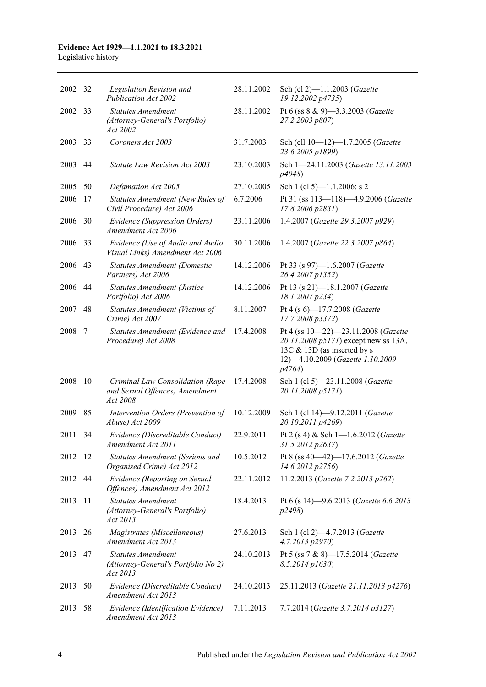#### **Evidence Act 1929—1.1.2021 to 18.3.2021** Legislative history

| 2002 32 |     | Legislation Revision and<br>Publication Act 2002                               | 28.11.2002 | Sch (cl 2)-1.1.2003 (Gazette<br>19.12.2002 p4735)                                                                                                                |
|---------|-----|--------------------------------------------------------------------------------|------------|------------------------------------------------------------------------------------------------------------------------------------------------------------------|
| 2002    | 33  | <b>Statutes Amendment</b><br>(Attorney-General's Portfolio)<br>Act 2002        | 28.11.2002 | Pt 6 (ss 8 & 9)-3.3.2003 (Gazette<br>27.2.2003 p807)                                                                                                             |
| 2003    | 33  | Coroners Act 2003                                                              | 31.7.2003  | Sch (cll 10-12)-1.7.2005 (Gazette<br>23.6.2005 p1899)                                                                                                            |
| 2003    | 44  | <b>Statute Law Revision Act 2003</b>                                           | 23.10.2003 | Sch 1-24.11.2003 (Gazette 13.11.2003<br>p4048)                                                                                                                   |
| 2005    | 50  | Defamation Act 2005                                                            | 27.10.2005 | Sch 1 (cl 5)-1.1.2006: s 2                                                                                                                                       |
| 2006    | 17  | Statutes Amendment (New Rules of<br>Civil Procedure) Act 2006                  | 6.7.2006   | Pt 31 (ss 113-118)-4.9.2006 (Gazette<br>17.8.2006 p2831)                                                                                                         |
| 2006    | 30  | Evidence (Suppression Orders)<br>Amendment Act 2006                            | 23.11.2006 | 1.4.2007 (Gazette 29.3.2007 p929)                                                                                                                                |
| 2006    | 33  | Evidence (Use of Audio and Audio<br>Visual Links) Amendment Act 2006           | 30.11.2006 | 1.4.2007 (Gazette 22.3.2007 p864)                                                                                                                                |
| 2006    | 43  | <b>Statutes Amendment (Domestic</b><br>Partners) Act 2006                      | 14.12.2006 | Pt 33 (s 97)-1.6.2007 (Gazette<br>26.4.2007 p1352)                                                                                                               |
| 2006    | 44  | <b>Statutes Amendment (Justice</b><br>Portfolio) Act 2006                      | 14.12.2006 | Pt 13 (s 21)-18.1.2007 (Gazette<br>18.1.2007 p234)                                                                                                               |
| 2007    | 48  | Statutes Amendment (Victims of<br>Crime) Act 2007                              | 8.11.2007  | Pt 4 (s 6)-17.7.2008 (Gazette<br>17.7.2008 p3372)                                                                                                                |
| 2008    | 7   | Statutes Amendment (Evidence and<br>Procedure) Act 2008                        | 17.4.2008  | Pt 4 (ss 10-22)-23.11.2008 (Gazette<br>20.11.2008 p5171) except new ss 13A,<br>13C & 13D (as inserted by s<br>12)-4.10.2009 (Gazette 1.10.2009<br><i>p4764</i> ) |
| 2008    | 10  | Criminal Law Consolidation (Rape<br>and Sexual Offences) Amendment<br>Act 2008 | 17.4.2008  | Sch 1 (cl 5)-23.11.2008 (Gazette<br>20.11.2008 p5171)                                                                                                            |
| 2009    | 85  | Intervention Orders (Prevention of<br>Abuse) Act 2009                          | 10.12.2009 | Sch 1 (cl 14)-9.12.2011 (Gazette<br>20.10.2011 p4269)                                                                                                            |
| 2011    | 34  | Evidence (Discreditable Conduct)<br>Amendment Act 2011                         | 22.9.2011  | Pt 2 (s 4) & Sch 1-1.6.2012 (Gazette<br>31.5.2012 p2637)                                                                                                         |
| 2012    | -12 | Statutes Amendment (Serious and<br>Organised Crime) Act 2012                   | 10.5.2012  | Pt 8 (ss $40 - 42$ ) -17.6.2012 (Gazette<br>14.6.2012 p2756                                                                                                      |
| 2012 44 |     | Evidence (Reporting on Sexual<br>Offences) Amendment Act 2012                  | 22.11.2012 | 11.2.2013 (Gazette 7.2.2013 p262)                                                                                                                                |
| 2013    | 11  | <b>Statutes Amendment</b><br>(Attorney-General's Portfolio)<br>Act 2013        | 18.4.2013  | Pt 6 (s 14)-9.6.2013 ( <i>Gazette 6.6.2013</i><br>p2498)                                                                                                         |
| 2013    | 26  | Magistrates (Miscellaneous)<br>Amendment Act 2013                              | 27.6.2013  | Sch 1 (cl 2)-4.7.2013 (Gazette<br>$4.7.2013$ $p2970$                                                                                                             |
| 2013    | 47  | <b>Statutes Amendment</b><br>(Attorney-General's Portfolio No 2)<br>Act 2013   | 24.10.2013 | Pt 5 (ss 7 & 8)-17.5.2014 (Gazette<br>$8.5.2014$ p1630)                                                                                                          |
| 2013    | 50  | Evidence (Discreditable Conduct)<br>Amendment Act 2013                         | 24.10.2013 | 25.11.2013 (Gazette 21.11.2013 p4276)                                                                                                                            |
| 2013    | 58  | Evidence (Identification Evidence)<br>Amendment Act 2013                       | 7.11.2013  | 7.7.2014 (Gazette 3.7.2014 p3127)                                                                                                                                |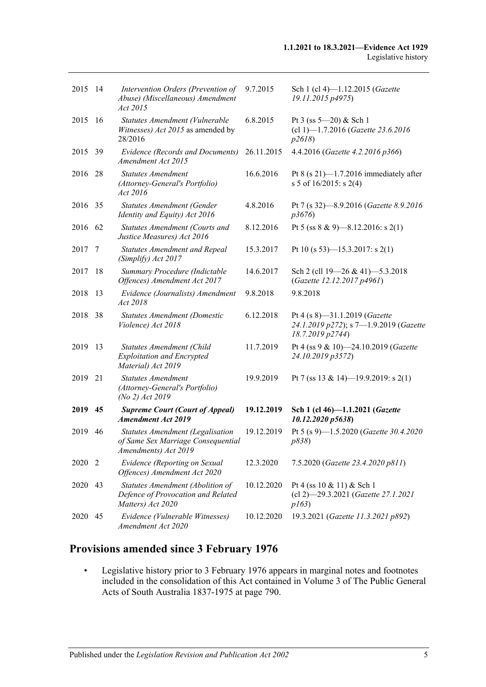| 2015 14 |     | Intervention Orders (Prevention of<br>Abuse) (Miscellaneous) Amendment<br>Act 2015                    | 9.7.2015   | Sch 1 (cl 4)-1.12.2015 (Gazette<br>19.11.2015 p4975)                                        |
|---------|-----|-------------------------------------------------------------------------------------------------------|------------|---------------------------------------------------------------------------------------------|
| 2015    | -16 | Statutes Amendment (Vulnerable<br>Witnesses) Act 2015 as amended by<br>28/2016                        | 6.8.2015   | Pt $3$ (ss $5-20$ ) & Sch 1<br>(cl 1)-1.7.2016 (Gazette 23.6.2016<br>p2618                  |
| 2015    | -39 | Evidence (Records and Documents)<br>Amendment Act 2015                                                | 26.11.2015 | 4.4.2016 (Gazette 4.2.2016 p366)                                                            |
| 2016    | -28 | <b>Statutes Amendment</b><br>(Attorney-General's Portfolio)<br>Act 2016                               | 16.6.2016  | Pt $8$ (s 21)-1.7.2016 immediately after<br>s 5 of $16/2015$ : s 2(4)                       |
| 2016 35 |     | Statutes Amendment (Gender<br>Identity and Equity) Act 2016                                           | 4.8.2016   | Pt 7 (s 32)-8.9.2016 ( <i>Gazette 8.9.2016</i><br>p3676                                     |
| 2016    | 62  | Statutes Amendment (Courts and<br>Justice Measures) Act 2016                                          | 8.12.2016  | Pt 5 (ss $8 \& 9$ )-8.12.2016: s 2(1)                                                       |
| 2017    | 7   | <b>Statutes Amendment and Repeal</b><br>(Simplify) Act 2017                                           | 15.3.2017  | Pt 10 (s 53)—15.3.2017: s 2(1)                                                              |
| 2017    | 18  | Summary Procedure (Indictable<br>Offences) Amendment Act 2017                                         | 14.6.2017  | Sch 2 (cll 19–26 & 41)–5.3.2018<br>(Gazette 12.12.2017 p4961)                               |
| 2018    | 13  | Evidence (Journalists) Amendment<br>Act 2018                                                          | 9.8.2018   | 9.8.2018                                                                                    |
| 2018    | 38  | <b>Statutes Amendment (Domestic</b><br>Violence) Act 2018                                             | 6.12.2018  | Pt 4 (s 8)-31.1.2019 (Gazette<br>24.1.2019 p272); s 7-1.9.2019 (Gazette<br>18.7.2019 p2744) |
| 2019    | 13  | Statutes Amendment (Child<br><b>Exploitation and Encrypted</b><br>Material) Act 2019                  | 11.7.2019  | Pt 4 (ss 9 & 10)-24.10.2019 (Gazette<br>24.10.2019 p3572)                                   |
| 2019    | 21  | <b>Statutes Amendment</b><br>(Attorney-General's Portfolio)<br>(No 2) Act 2019                        | 19.9.2019  | Pt 7 (ss 13 & 14)—19.9.2019: s 2(1)                                                         |
| 2019    | 45  | <b>Supreme Court (Court of Appeal)</b><br><b>Amendment Act 2019</b>                                   | 19.12.2019 | Sch 1 (cl 46)-1.1.2021 (Gazette<br>10.12.2020 p5638)                                        |
| 2019    | 46  | <b>Statutes Amendment (Legalisation</b><br>of Same Sex Marriage Consequential<br>Amendments) Act 2019 | 19.12.2019 | Pt 5 (s 9)-1.5.2020 (Gazette 30.4.2020<br>p838)                                             |
| 2020    | 2   | Evidence (Reporting on Sexual<br>Offences) Amendment Act 2020                                         | 12.3.2020  | 7.5.2020 (Gazette 23.4.2020 p811)                                                           |
| 2020    | 43  | Statutes Amendment (Abolition of<br>Defence of Provocation and Related<br>Matters) Act 2020           | 10.12.2020 | Pt 4 (ss 10 & 11) & Sch 1<br>(cl 2)-29.3.2021 (Gazette 27.1.2021<br>p163)                   |
| 2020 45 |     | Evidence (Vulnerable Witnesses)<br>Amendment Act 2020                                                 | 10.12.2020 | 19.3.2021 (Gazette 11.3.2021 p892)                                                          |

## **Provisions amended since 3 February 1976**

• Legislative history prior to 3 February 1976 appears in marginal notes and footnotes included in the consolidation of this Act contained in Volume 3 of The Public General Acts of South Australia 1837-1975 at page 790.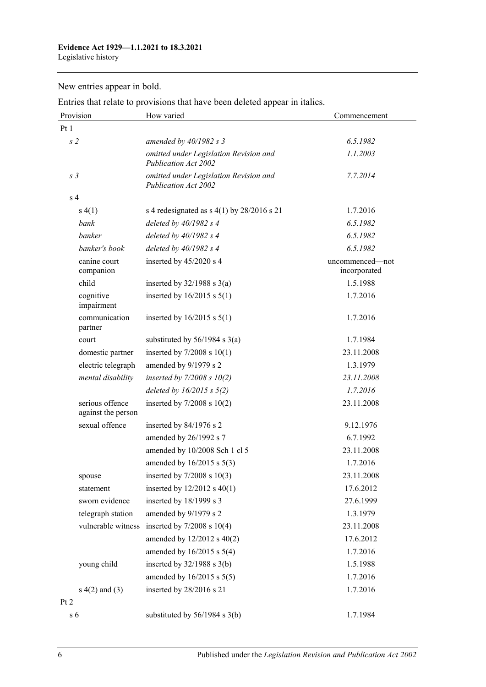## New entries appear in bold.

| Entries that relate to provisions that have been deleted appear in italics. |  |  |  |
|-----------------------------------------------------------------------------|--|--|--|
|                                                                             |  |  |  |

| Provision                             | How varied                                                     | Commencement                    |
|---------------------------------------|----------------------------------------------------------------|---------------------------------|
| Pt1                                   |                                                                |                                 |
| s <sub>2</sub>                        | amended by $40/1982$ s 3                                       | 6.5.1982                        |
|                                       | omitted under Legislation Revision and<br>Publication Act 2002 | 1.1.2003                        |
| s <sub>3</sub>                        | omitted under Legislation Revision and<br>Publication Act 2002 | 7.7.2014                        |
| s <sub>4</sub>                        |                                                                |                                 |
| s(4(1))                               | s 4 redesignated as $s$ 4(1) by 28/2016 s 21                   | 1.7.2016                        |
| bank                                  | deleted by $40/1982 s 4$                                       | 6.5.1982                        |
| banker                                | deleted by $40/1982 s 4$                                       | 6.5.1982                        |
| banker's book                         | deleted by $40/1982 s 4$                                       | 6.5.1982                        |
| canine court<br>companion             | inserted by 45/2020 s 4                                        | uncommenced—not<br>incorporated |
| child                                 | inserted by $32/1988$ s $3(a)$                                 | 1.5.1988                        |
| cognitive<br>impairment               | inserted by $16/2015$ s $5(1)$                                 | 1.7.2016                        |
| communication<br>partner              | inserted by $16/2015$ s $5(1)$                                 | 1.7.2016                        |
| court                                 | substituted by $56/1984$ s $3(a)$                              | 1.7.1984                        |
| domestic partner                      | inserted by $7/2008$ s $10(1)$                                 | 23.11.2008                      |
| electric telegraph                    | amended by 9/1979 s 2                                          | 1.3.1979                        |
| mental disability                     | inserted by $7/2008 s 10(2)$                                   | 23.11.2008                      |
|                                       | deleted by $16/2015$ s $5(2)$                                  | 1.7.2016                        |
| serious offence<br>against the person | inserted by $7/2008$ s $10(2)$                                 | 23.11.2008                      |
| sexual offence                        | inserted by 84/1976 s 2                                        | 9.12.1976                       |
|                                       | amended by 26/1992 s 7                                         | 6.7.1992                        |
|                                       | amended by 10/2008 Sch 1 cl 5                                  | 23.11.2008                      |
|                                       | amended by $16/2015$ s $5(3)$                                  | 1.7.2016                        |
| spouse                                | inserted by $7/2008$ s $10(3)$                                 | 23.11.2008                      |
| statement                             | inserted by $12/2012$ s $40(1)$                                | 17.6.2012                       |
| sworn evidence                        | inserted by 18/1999 s 3                                        | 27.6.1999                       |
| telegraph station                     | amended by 9/1979 s 2                                          | 1.3.1979                        |
| vulnerable witness                    | inserted by $7/2008$ s $10(4)$                                 | 23.11.2008                      |
|                                       | amended by 12/2012 s 40(2)                                     | 17.6.2012                       |
|                                       | amended by $16/2015$ s $5(4)$                                  | 1.7.2016                        |
| young child                           | inserted by $32/1988$ s $3(b)$                                 | 1.5.1988                        |
|                                       | amended by 16/2015 s 5(5)                                      | 1.7.2016                        |
| $s(4(2)$ and $(3)$                    | inserted by 28/2016 s 21                                       | 1.7.2016                        |
| Pt 2                                  |                                                                |                                 |
| s <sub>6</sub>                        | substituted by $56/1984$ s $3(b)$                              | 1.7.1984                        |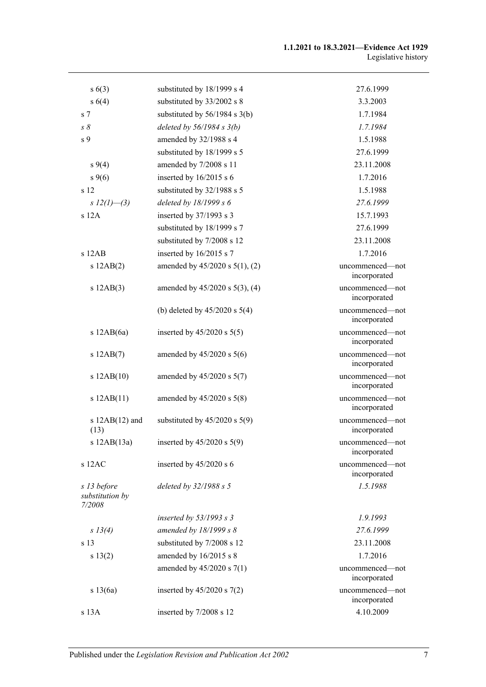#### **1.1.2021 to 18.3.2021—Evidence Act 1929** Legislative history

| s(6(3))                                  | substituted by 18/1999 s 4          | 27.6.1999                       |
|------------------------------------------|-------------------------------------|---------------------------------|
| s 6(4)                                   | substituted by 33/2002 s 8          | 3.3.2003                        |
| s <sub>7</sub>                           | substituted by $56/1984$ s $3(b)$   | 1.7.1984                        |
| $s \, \delta$                            | deleted by $56/1984 s 3(b)$         | 1.7.1984                        |
| s 9                                      | amended by 32/1988 s 4              | 1.5.1988                        |
|                                          | substituted by 18/1999 s 5          | 27.6.1999                       |
| $s\,9(4)$                                | amended by 7/2008 s 11              | 23.11.2008                      |
| $s \, 9(6)$                              | inserted by $16/2015$ s 6           | 1.7.2016                        |
| s 12                                     | substituted by 32/1988 s 5          | 1.5.1988                        |
| s $12(1)$ —(3)                           | deleted by 18/1999 s 6              | 27.6.1999                       |
| $s$ 12A                                  | inserted by 37/1993 s 3             | 15.7.1993                       |
|                                          | substituted by 18/1999 s 7          | 27.6.1999                       |
|                                          | substituted by 7/2008 s 12          | 23.11.2008                      |
| s 12AB                                   | inserted by 16/2015 s 7             | 1.7.2016                        |
| s 12AB(2)                                | amended by $45/2020$ s $5(1)$ , (2) | uncommenced-not<br>incorporated |
| s 12AB(3)                                | amended by $45/2020$ s $5(3)$ , (4) | uncommenced-not<br>incorporated |
|                                          | (b) deleted by $45/2020$ s $5(4)$   | uncommenced-not<br>incorporated |
| $s$ 12AB $(6a)$                          | inserted by $45/2020$ s $5(5)$      | uncommenced-not<br>incorporated |
| $s$ 12AB $(7)$                           | amended by $45/2020$ s $5(6)$       | uncommenced-not<br>incorporated |
| s 12AB(10)                               | amended by $45/2020$ s $5(7)$       | uncommenced-not<br>incorporated |
| s 12AB(11)                               | amended by $45/2020$ s $5(8)$       | uncommenced-not<br>incorporated |
| s $12AB(12)$ and<br>(13)                 | substituted by $45/2020$ s $5(9)$   | uncommenced-not<br>incorporated |
| $s$ 12AB $(13a)$                         | inserted by 45/2020 s 5(9)          | uncommenced-not<br>incorporated |
| s 12AC                                   | inserted by 45/2020 s 6             | uncommenced-not<br>incorporated |
| s 13 before<br>substitution by<br>7/2008 | deleted by 32/1988 s 5              | 1.5.1988                        |
|                                          | inserted by $53/1993$ s 3           | 1.9.1993                        |
| s 13(4)                                  | amended by 18/1999 s 8              | 27.6.1999                       |
| s 13                                     | substituted by 7/2008 s 12          | 23.11.2008                      |
| s 13(2)                                  | amended by 16/2015 s 8              | 1.7.2016                        |
|                                          | amended by $45/2020$ s $7(1)$       | uncommenced-not<br>incorporated |
| s 13(6a)                                 | inserted by $45/2020$ s $7(2)$      | uncommenced-not<br>incorporated |
| s 13A                                    | inserted by 7/2008 s 12             | 4.10.2009                       |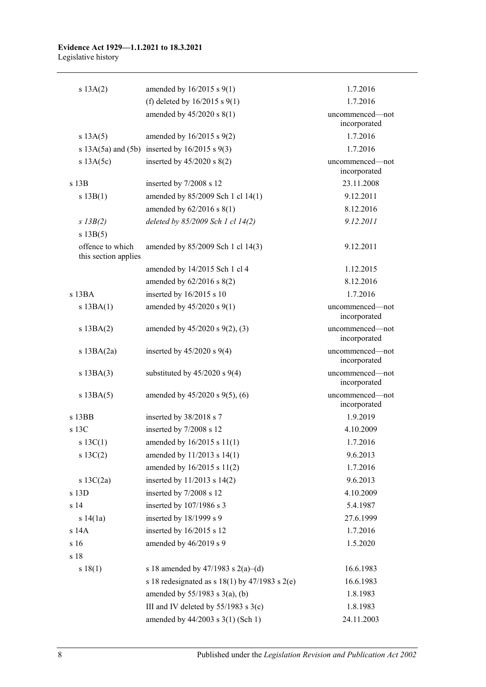#### **Evidence Act 1929—1.1.2021 to 18.3.2021** Legislative history

| s 13A(2)                                 | amended by $16/2015$ s $9(1)$                         | 1.7.2016                        |
|------------------------------------------|-------------------------------------------------------|---------------------------------|
|                                          | (f) deleted by $16/2015$ s $9(1)$                     | 1.7.2016                        |
|                                          | amended by 45/2020 s 8(1)                             | uncommenced-not<br>incorporated |
| s 13A(5)                                 | amended by $16/2015$ s $9(2)$                         | 1.7.2016                        |
|                                          | s $13A(5a)$ and $(5b)$ inserted by $16/2015$ s $9(3)$ | 1.7.2016                        |
| $s$ 13A $(5c)$                           | inserted by $45/2020$ s $8(2)$                        | uncommenced-not<br>incorporated |
| s 13B                                    | inserted by 7/2008 s 12                               | 23.11.2008                      |
| s 13B(1)                                 | amended by 85/2009 Sch 1 cl 14(1)                     | 9.12.2011                       |
|                                          | amended by 62/2016 s 8(1)                             | 8.12.2016                       |
| $s$ 13B(2)<br>s 13B(5)                   | deleted by 85/2009 Sch 1 cl 14(2)                     | 9.12.2011                       |
| offence to which<br>this section applies | amended by 85/2009 Sch 1 cl 14(3)                     | 9.12.2011                       |
|                                          | amended by 14/2015 Sch 1 cl 4                         | 1.12.2015                       |
|                                          | amended by $62/2016$ s $8(2)$                         | 8.12.2016                       |
| $s$ 13BA                                 | inserted by 16/2015 s 10                              | 1.7.2016                        |
| $s$ 13BA $(1)$                           | amended by 45/2020 s 9(1)                             | uncommenced-not<br>incorporated |
| $s$ 13BA $(2)$                           | amended by $45/2020$ s $9(2)$ , (3)                   | uncommenced-not<br>incorporated |
| s $13BA(2a)$                             | inserted by $45/2020$ s $9(4)$                        | uncommenced-not<br>incorporated |
| $s$ 13BA $(3)$                           | substituted by $45/2020$ s $9(4)$                     | uncommenced-not<br>incorporated |
| $s$ 13BA $(5)$                           | amended by $45/2020$ s $9(5)$ , (6)                   | uncommenced-not<br>incorporated |
| $s$ 13BB                                 | inserted by 38/2018 s 7                               | 1.9.2019                        |
| s 13C                                    | inserted by 7/2008 s 12                               | 4.10.2009                       |
| s 13C(1)                                 | amended by 16/2015 s 11(1)                            | 1.7.2016                        |
| $s \ 13C(2)$                             | amended by 11/2013 s 14(1)                            | 9.6.2013                        |
|                                          | amended by 16/2015 s 11(2)                            | 1.7.2016                        |
| s $13C(2a)$                              | inserted by 11/2013 s 14(2)                           | 9.6.2013                        |
| s 13D                                    | inserted by 7/2008 s 12                               | 4.10.2009                       |
| s 14                                     | inserted by 107/1986 s 3                              | 5.4.1987                        |
| s 14(1a)                                 | inserted by 18/1999 s 9                               | 27.6.1999                       |
| s 14A                                    | inserted by 16/2015 s 12                              | 1.7.2016                        |
| s 16                                     | amended by 46/2019 s 9                                | 1.5.2020                        |
| s 18                                     |                                                       |                                 |
| s 18(1)                                  | s 18 amended by 47/1983 s 2(a)–(d)                    | 16.6.1983                       |
|                                          | s 18 redesignated as s $18(1)$ by 47/1983 s 2(e)      | 16.6.1983                       |
|                                          | amended by $55/1983$ s $3(a)$ , (b)                   | 1.8.1983                        |
|                                          | III and IV deleted by $55/1983$ s $3(c)$              | 1.8.1983                        |
|                                          | amended by 44/2003 s 3(1) (Sch 1)                     | 24.11.2003                      |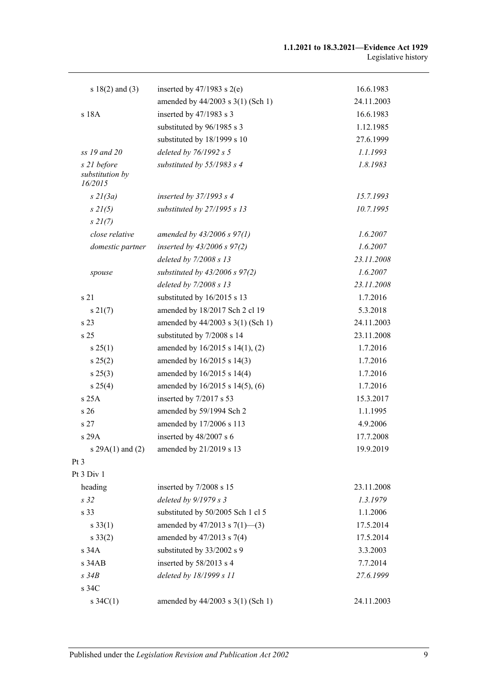| s $18(2)$ and $(3)$        | inserted by $47/1983$ s $2(e)$     | 16.6.1983  |
|----------------------------|------------------------------------|------------|
|                            | amended by 44/2003 s 3(1) (Sch 1)  | 24.11.2003 |
| s 18A                      | inserted by 47/1983 s 3            | 16.6.1983  |
|                            | substituted by 96/1985 s 3         | 1.12.1985  |
|                            | substituted by 18/1999 s 10        | 27.6.1999  |
| $ss 19$ and $20$           | deleted by 76/1992 s 5             | 1.1.1993   |
| s 21 before                | substituted by 55/1983 s 4         | 1.8.1983   |
| substitution by<br>16/2015 |                                    |            |
| $s$ 21(3a)                 | inserted by $37/1993 s 4$          | 15.7.1993  |
| $s \, 21(5)$               | substituted by 27/1995 s 13        | 10.7.1995  |
| $s \, 21(7)$               |                                    |            |
| close relative             | amended by $43/2006 s 97(1)$       | 1.6.2007   |
| domestic partner           | inserted by $43/2006$ s $97(2)$    | 1.6.2007   |
|                            | deleted by $7/2008 s 13$           | 23.11.2008 |
| spouse                     | substituted by $43/2006$ s $97(2)$ | 1.6.2007   |
|                            | deleted by $7/2008 s 13$           | 23.11.2008 |
| s <sub>21</sub>            | substituted by 16/2015 s 13        | 1.7.2016   |
| $s \, 21(7)$               | amended by 18/2017 Sch 2 cl 19     | 5.3.2018   |
| s 23                       | amended by 44/2003 s 3(1) (Sch 1)  | 24.11.2003 |
| s 25                       | substituted by 7/2008 s 14         | 23.11.2008 |
| s 25(1)                    | amended by 16/2015 s 14(1), (2)    | 1.7.2016   |
| s 25(2)                    | amended by 16/2015 s 14(3)         | 1.7.2016   |
| s 25(3)                    | amended by 16/2015 s 14(4)         | 1.7.2016   |
| s 25(4)                    | amended by 16/2015 s 14(5), (6)    | 1.7.2016   |
| s 25A                      | inserted by 7/2017 s 53            | 15.3.2017  |
| s 26                       | amended by 59/1994 Sch 2           | 1.1.1995   |
| s 27                       | amended by 17/2006 s 113           | 4.9.2006   |
| s 29A                      | inserted by 48/2007 s 6            | 17.7.2008  |
| s $29A(1)$ and $(2)$       | amended by 21/2019 s 13            | 19.9.2019  |
| Pt 3                       |                                    |            |
| Pt 3 Div 1                 |                                    |            |
| heading                    | inserted by 7/2008 s 15            | 23.11.2008 |
| s <sub>32</sub>            | deleted by $9/1979 s 3$            | 1.3.1979   |
| s 33                       | substituted by 50/2005 Sch 1 cl 5  | 1.1.2006   |
| $s \, 33(1)$               | amended by $47/2013$ s $7(1)$ —(3) | 17.5.2014  |
| $s \, 33(2)$               | amended by 47/2013 s 7(4)          | 17.5.2014  |
| s 34A                      | substituted by 33/2002 s 9         | 3.3.2003   |
| s 34AB                     | inserted by 58/2013 s 4            | 7.7.2014   |
| $s\,34B$                   | deleted by 18/1999 s 11            | 27.6.1999  |
| s 34C                      |                                    |            |
| s $34C(1)$                 | amended by 44/2003 s 3(1) (Sch 1)  | 24.11.2003 |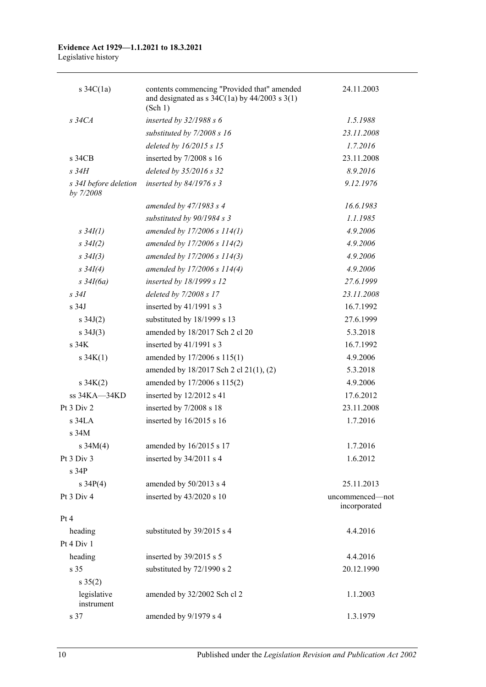#### **Evidence Act 1929—1.1.2021 to 18.3.2021** Legislative history

| $s \, 34C(1a)$                     | contents commencing "Provided that" amended<br>and designated as $s \frac{34C(1a)}{y} \frac{44}{2003} \frac{s \cdot 3(1)}{y}$<br>(Sch 1) | 24.11.2003                      |
|------------------------------------|------------------------------------------------------------------------------------------------------------------------------------------|---------------------------------|
| $S\,34CA$                          | inserted by $32/1988 s 6$                                                                                                                | 1.5.1988                        |
|                                    | substituted by 7/2008 s 16                                                                                                               | 23.11.2008                      |
|                                    | deleted by $16/2015$ s 15                                                                                                                | 1.7.2016                        |
| $s\,34CB$                          | inserted by 7/2008 s 16                                                                                                                  | 23.11.2008                      |
| $s\,34H$                           | deleted by 35/2016 s 32                                                                                                                  | 8.9.2016                        |
| s 34I before deletion<br>by 7/2008 | inserted by $84/1976 s 3$                                                                                                                | 9.12.1976                       |
|                                    | amended by $47/1983$ s 4                                                                                                                 | 16.6.1983                       |
|                                    | substituted by 90/1984 s 3                                                                                                               | 1.1.1985                        |
| $s \frac{34I(1)}{2}$               | amended by 17/2006 s 114(1)                                                                                                              | 4.9.2006                        |
| $s \frac{34I(2)}{2}$               | amended by 17/2006 s 114(2)                                                                                                              | 4.9.2006                        |
| $s \frac{34I(3)}{3}$               | amended by 17/2006 s 114(3)                                                                                                              | 4.9.2006                        |
| $s \frac{34I(4)}{4}$               | amended by 17/2006 s 114(4)                                                                                                              | 4.9.2006                        |
| $s \frac{34I(6a)}{2}$              | inserted by 18/1999 s 12                                                                                                                 | 27.6.1999                       |
| $s\,34I$                           | deleted by 7/2008 s 17                                                                                                                   | 23.11.2008                      |
| s <sub>34J</sub>                   | inserted by 41/1991 s 3                                                                                                                  | 16.7.1992                       |
| $s \, 34J(2)$                      | substituted by 18/1999 s 13                                                                                                              | 27.6.1999                       |
| s $34J(3)$                         | amended by 18/2017 Sch 2 cl 20                                                                                                           | 5.3.2018                        |
| s 34K                              | inserted by 41/1991 s 3                                                                                                                  | 16.7.1992                       |
| s $34K(1)$                         | amended by 17/2006 s 115(1)                                                                                                              | 4.9.2006                        |
|                                    | amended by 18/2017 Sch 2 cl 21(1), (2)                                                                                                   | 5.3.2018                        |
| $s \, 34K(2)$                      | amended by 17/2006 s 115(2)                                                                                                              | 4.9.2006                        |
| ss 34KA-34KD                       | inserted by $12/2012$ s 41                                                                                                               | 17.6.2012                       |
| Pt 3 Div 2                         | inserted by 7/2008 s 18                                                                                                                  | 23.11.2008                      |
| s 34LA                             | inserted by $16/2015$ s 16                                                                                                               | 1.7.2016                        |
| s 34M                              |                                                                                                                                          |                                 |
| s $34M(4)$                         | amended by 16/2015 s 17                                                                                                                  | 1.7.2016                        |
| Pt 3 Div 3                         | inserted by $34/2011$ s 4                                                                                                                | 1.6.2012                        |
| s 34P                              |                                                                                                                                          |                                 |
| s $34P(4)$                         | amended by 50/2013 s 4                                                                                                                   | 25.11.2013                      |
| Pt 3 Div 4                         | inserted by 43/2020 s 10                                                                                                                 | uncommenced—not<br>incorporated |
| Pt 4                               |                                                                                                                                          |                                 |
| heading                            | substituted by 39/2015 s 4                                                                                                               | 4.4.2016                        |
| Pt 4 Div 1                         |                                                                                                                                          |                                 |
| heading                            | inserted by 39/2015 s 5                                                                                                                  | 4.4.2016                        |
| s 35                               | substituted by 72/1990 s 2                                                                                                               | 20.12.1990                      |
| $s \ 35(2)$                        |                                                                                                                                          |                                 |
| legislative<br>instrument          | amended by 32/2002 Sch cl 2                                                                                                              | 1.1.2003                        |
| s 37                               | amended by 9/1979 s 4                                                                                                                    | 1.3.1979                        |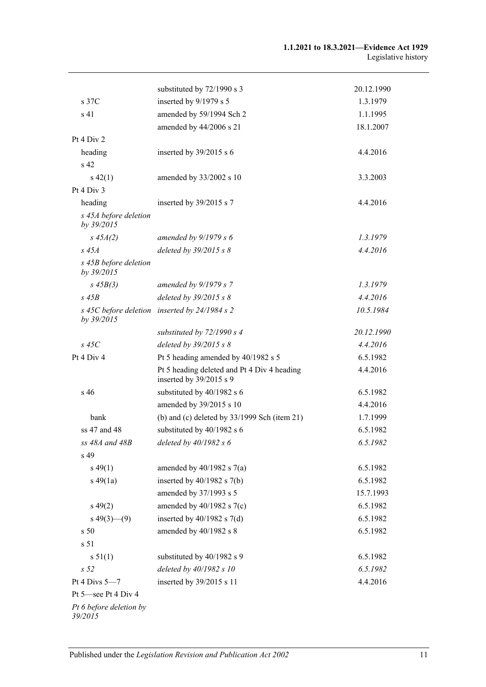|                                     | substituted by 72/1990 s 3                                             | 20.12.1990 |
|-------------------------------------|------------------------------------------------------------------------|------------|
| s 37C                               | inserted by 9/1979 s 5                                                 | 1.3.1979   |
| s 41                                | amended by 59/1994 Sch 2                                               | 1.1.1995   |
|                                     | amended by 44/2006 s 21                                                | 18.1.2007  |
| Pt $4$ Div $2$                      |                                                                        |            |
| heading                             | inserted by $39/2015$ s 6                                              | 4.4.2016   |
| s 42                                |                                                                        |            |
| $s\ 42(1)$                          | amended by 33/2002 s 10                                                | 3.3.2003   |
| Pt $4$ Div $3$                      |                                                                        |            |
| heading                             | inserted by 39/2015 s 7                                                | 4.4.2016   |
| s 45A before deletion<br>by 39/2015 |                                                                        |            |
| $s\,45A(2)$                         | amended by $9/1979 s 6$                                                | 1.3.1979   |
| $s$ 45 $A$                          | deleted by $39/2015 s 8$                                               | 4.4.2016   |
| s 45B before deletion<br>by 39/2015 |                                                                        |            |
| $s\,45B(3)$                         | amended by $9/1979 s 7$                                                | 1.3.1979   |
| $s$ 45 $B$                          | deleted by $39/2015 s 8$                                               | 4.4.2016   |
| by 39/2015                          | s 45C before deletion inserted by 24/1984 s 2                          | 10.5.1984  |
|                                     | substituted by $72/1990 s 4$                                           | 20.12.1990 |
| $s$ 45 $C$                          | deleted by $39/2015 s 8$                                               | 4.4.2016   |
| Pt 4 Div 4                          | Pt 5 heading amended by 40/1982 s 5                                    | 6.5.1982   |
|                                     | Pt 5 heading deleted and Pt 4 Div 4 heading<br>inserted by 39/2015 s 9 | 4.4.2016   |
| s 46                                | substituted by 40/1982 s 6                                             | 6.5.1982   |
|                                     | amended by 39/2015 s 10                                                | 4.4.2016   |
| bank                                | (b) and (c) deleted by $33/1999$ Sch (item 21)                         | 1.7.1999   |
| ss 47 and 48                        | substituted by 40/1982 s 6                                             | 6.5.1982   |
| ss 48A and 48B                      | deleted by $40/1982 s 6$                                               | 6.5.1982   |
| s 49                                |                                                                        |            |
| $s\,49(1)$                          | amended by $40/1982$ s $7(a)$                                          | 6.5.1982   |
| $s\,49(1a)$                         | inserted by $40/1982$ s $7(b)$                                         | 6.5.1982   |
|                                     | amended by 37/1993 s 5                                                 | 15.7.1993  |
| $s\,49(2)$                          | amended by $40/1982$ s $7(c)$                                          | 6.5.1982   |
| $s\ 49(3)$ (9)                      | inserted by $40/1982$ s $7(d)$                                         | 6.5.1982   |
| s 50                                | amended by 40/1982 s 8                                                 | 6.5.1982   |
| s 51                                |                                                                        |            |
| s 51(1)                             | substituted by 40/1982 s 9                                             | 6.5.1982   |
| s <sub>52</sub>                     | deleted by 40/1982 s 10                                                | 6.5.1982   |
| Pt 4 Divs $5-7$                     | inserted by 39/2015 s 11                                               | 4.4.2016   |
| Pt $5$ —see Pt 4 Div 4              |                                                                        |            |
| Pt 6 before deletion by<br>39/2015  |                                                                        |            |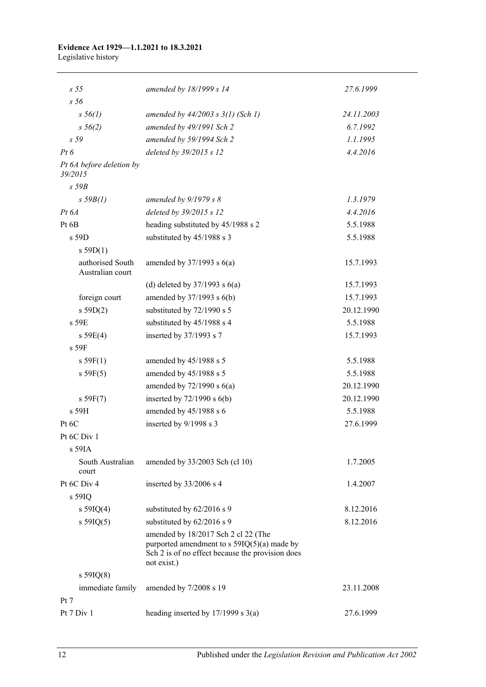#### **Evidence Act 1929—1.1.2021 to 18.3.2021** Legislative history

| s <sub>55</sub>                      | amended by 18/1999 s 14                                                                                                                                 | 27.6.1999  |
|--------------------------------------|---------------------------------------------------------------------------------------------------------------------------------------------------------|------------|
| s, 56                                |                                                                                                                                                         |            |
| $s\,56(1)$                           | amended by $44/2003$ s $3(1)$ (Sch 1)                                                                                                                   | 24.11.2003 |
| $s\,56(2)$                           | amended by 49/1991 Sch 2                                                                                                                                | 6.7.1992   |
| s <sub>59</sub>                      | amended by 59/1994 Sch 2                                                                                                                                | 1.1.1995   |
| $Pt\,6$                              | deleted by 39/2015 s 12                                                                                                                                 | 4.4.2016   |
| Pt 6A before deletion by<br>39/2015  |                                                                                                                                                         |            |
| $s$ 59 $B$                           |                                                                                                                                                         |            |
| $s$ 59 $B(1)$                        | amended by $9/1979 s 8$                                                                                                                                 | 1.3.1979   |
| $Pt\,6A$                             | deleted by 39/2015 s 12                                                                                                                                 | 4.4.2016   |
| Pt 6B                                | heading substituted by 45/1988 s 2                                                                                                                      | 5.5.1988   |
| s 59D                                | substituted by 45/1988 s 3                                                                                                                              | 5.5.1988   |
| $s$ 59D(1)                           |                                                                                                                                                         |            |
| authorised South<br>Australian court | amended by $37/1993$ s $6(a)$                                                                                                                           | 15.7.1993  |
|                                      | (d) deleted by $37/1993$ s $6(a)$                                                                                                                       | 15.7.1993  |
| foreign court                        | amended by $37/1993$ s $6(b)$                                                                                                                           | 15.7.1993  |
| s 59D(2)                             | substituted by 72/1990 s 5                                                                                                                              | 20.12.1990 |
| s 59E                                | substituted by 45/1988 s 4                                                                                                                              | 5.5.1988   |
| s 59E(4)                             | inserted by 37/1993 s 7                                                                                                                                 | 15.7.1993  |
| s 59F                                |                                                                                                                                                         |            |
| s 59F(1)                             | amended by 45/1988 s 5                                                                                                                                  | 5.5.1988   |
| s 59F(5)                             | amended by 45/1988 s 5                                                                                                                                  | 5.5.1988   |
|                                      | amended by $72/1990$ s $6(a)$                                                                                                                           | 20.12.1990 |
| s 59F(7)                             | inserted by $72/1990$ s $6(b)$                                                                                                                          | 20.12.1990 |
| s 59H                                | amended by 45/1988 s 6                                                                                                                                  | 5.5.1988   |
| Pt $6C$                              | inserted by 9/1998 s 3                                                                                                                                  | 27.6.1999  |
| Pt 6C Div 1                          |                                                                                                                                                         |            |
| $s$ 59IA                             |                                                                                                                                                         |            |
| South Australian<br>court            | amended by 33/2003 Sch (cl 10)                                                                                                                          | 1.7.2005   |
| Pt 6C Div 4                          | inserted by 33/2006 s 4                                                                                                                                 | 1.4.2007   |
| s 59IQ                               |                                                                                                                                                         |            |
| s $59IQ(4)$                          | substituted by 62/2016 s 9                                                                                                                              | 8.12.2016  |
| s $59IQ(5)$                          | substituted by 62/2016 s 9                                                                                                                              | 8.12.2016  |
|                                      | amended by 18/2017 Sch 2 cl 22 (The<br>purported amendment to $s$ 59IQ(5)(a) made by<br>Sch 2 is of no effect because the provision does<br>not exist.) |            |
| $s$ 59IQ(8)                          |                                                                                                                                                         |            |
| immediate family<br>Pt 7             | amended by 7/2008 s 19                                                                                                                                  | 23.11.2008 |
| Pt 7 Div 1                           | heading inserted by $17/1999$ s $3(a)$                                                                                                                  | 27.6.1999  |
|                                      |                                                                                                                                                         |            |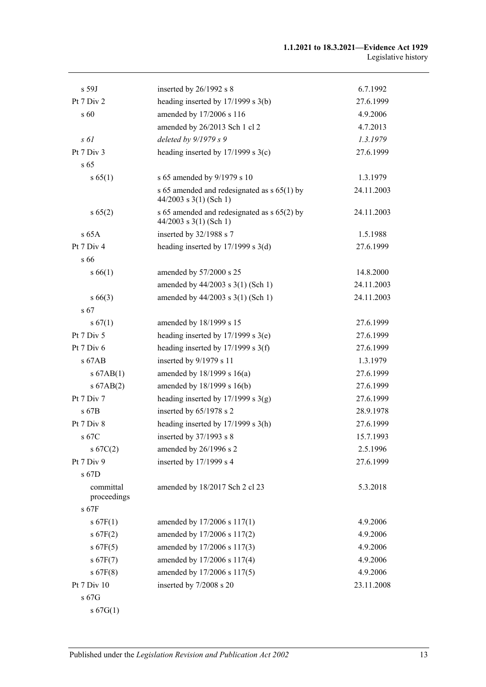| s 59J                    | inserted by $26/1992$ s 8                                                 | 6.7.1992   |
|--------------------------|---------------------------------------------------------------------------|------------|
| Pt 7 Div 2               | heading inserted by $17/1999$ s $3(b)$                                    | 27.6.1999  |
| $s\,60$                  | amended by 17/2006 s 116                                                  | 4.9.2006   |
|                          | amended by 26/2013 Sch 1 cl 2                                             | 4.7.2013   |
| $s \delta l$             | deleted by $9/1979 s 9$                                                   | 1.3.1979   |
| Pt 7 Div 3               | heading inserted by $17/1999$ s $3(c)$                                    | 27.6.1999  |
| $s\,65$                  |                                                                           |            |
| s 65(1)                  | s 65 amended by 9/1979 s 10                                               | 1.3.1979   |
|                          | s 65 amended and redesignated as $s$ 65(1) by<br>$44/2003$ s 3(1) (Sch 1) | 24.11.2003 |
| s 65(2)                  | s 65 amended and redesignated as $s$ 65(2) by<br>$44/2003$ s 3(1) (Sch 1) | 24.11.2003 |
| $s$ 65A                  | inserted by 32/1988 s 7                                                   | 1.5.1988   |
| Pt 7 Div 4               | heading inserted by $17/1999$ s $3(d)$                                    | 27.6.1999  |
| s 66                     |                                                                           |            |
| s 66(1)                  | amended by 57/2000 s 25                                                   | 14.8.2000  |
|                          | amended by 44/2003 s 3(1) (Sch 1)                                         | 24.11.2003 |
| $s\,66(3)$               | amended by 44/2003 s 3(1) (Sch 1)                                         | 24.11.2003 |
| $\sqrt{67}$              |                                                                           |            |
| s 67(1)                  | amended by 18/1999 s 15                                                   | 27.6.1999  |
| Pt $7$ Div $5$           | heading inserted by $17/1999$ s $3(e)$                                    | 27.6.1999  |
| Pt $7$ Div $6$           | heading inserted by $17/1999$ s $3(f)$                                    | 27.6.1999  |
| $\rm s67AB$              | inserted by 9/1979 s 11                                                   | 1.3.1979   |
| $s$ 67AB(1)              | amended by 18/1999 s 16(a)                                                | 27.6.1999  |
| s 67AB(2)                | amended by 18/1999 s 16(b)                                                | 27.6.1999  |
| Pt $7$ Div $7$           | heading inserted by $17/1999$ s $3(g)$                                    | 27.6.1999  |
| $s$ 67B                  | inserted by 65/1978 s 2                                                   | 28.9.1978  |
| Pt 7 Div 8               | heading inserted by 17/1999 s 3(h)                                        | 27.6.1999  |
| s 67C                    | inserted by $37/1993$ s 8                                                 | 15.7.1993  |
| s 67C(2)                 | amended by 26/1996 s 2                                                    | 2.5.1996   |
| Pt 7 Div 9               | inserted by 17/1999 s 4                                                   | 27.6.1999  |
| s 67D                    |                                                                           |            |
| committal<br>proceedings | amended by 18/2017 Sch 2 cl 23                                            | 5.3.2018   |
| s 67F                    |                                                                           |            |
| s 67F(1)                 | amended by 17/2006 s 117(1)                                               | 4.9.2006   |
| s 67F(2)                 | amended by 17/2006 s 117(2)                                               | 4.9.2006   |
| s 67F(5)                 | amended by 17/2006 s 117(3)                                               | 4.9.2006   |
| s 67F(7)                 | amended by 17/2006 s 117(4)                                               | 4.9.2006   |
| s 67F(8)                 | amended by 17/2006 s 117(5)                                               | 4.9.2006   |
| Pt 7 Div 10              | inserted by 7/2008 s 20                                                   | 23.11.2008 |
| s 67G                    |                                                                           |            |

s 67G(1)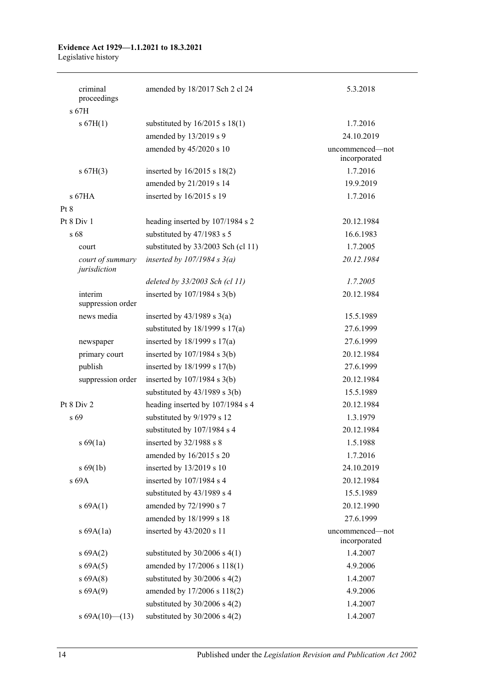#### **Evidence Act 1929—1.1.2021 to 18.3.2021** Legislative history

| criminal<br>proceedings          | amended by 18/2017 Sch 2 cl 24     | 5.3.2018                        |
|----------------------------------|------------------------------------|---------------------------------|
| s 67H                            |                                    |                                 |
| s 67H(1)                         | substituted by $16/2015$ s $18(1)$ | 1.7.2016                        |
|                                  | amended by 13/2019 s 9             | 24.10.2019                      |
|                                  | amended by 45/2020 s 10            | uncommenced—not<br>incorporated |
| s 67H(3)                         | inserted by $16/2015$ s $18(2)$    | 1.7.2016                        |
|                                  | amended by 21/2019 s 14            | 19.9.2019                       |
| $s$ 67HA                         | inserted by 16/2015 s 19           | 1.7.2016                        |
| Pt 8                             |                                    |                                 |
| Pt 8 Div 1                       | heading inserted by 107/1984 s 2   | 20.12.1984                      |
| s 68                             | substituted by 47/1983 s 5         | 16.6.1983                       |
| court                            | substituted by 33/2003 Sch (cl 11) | 1.7.2005                        |
| court of summary<br>jurisdiction | inserted by $107/1984 s 3(a)$      | 20.12.1984                      |
|                                  | deleted by 33/2003 Sch (cl 11)     | 1.7.2005                        |
| interim<br>suppression order     | inserted by $107/1984$ s $3(b)$    | 20.12.1984                      |
| news media                       | inserted by $43/1989$ s $3(a)$     | 15.5.1989                       |
|                                  | substituted by $18/1999$ s $17(a)$ | 27.6.1999                       |
| newspaper                        | inserted by $18/1999$ s $17(a)$    | 27.6.1999                       |
| primary court                    | inserted by $107/1984$ s $3(b)$    | 20.12.1984                      |
| publish                          | inserted by 18/1999 s 17(b)        | 27.6.1999                       |
| suppression order                | inserted by $107/1984$ s $3(b)$    | 20.12.1984                      |
|                                  | substituted by $43/1989$ s $3(b)$  | 15.5.1989                       |
| Pt 8 Div 2                       | heading inserted by 107/1984 s 4   | 20.12.1984                      |
| s 69                             | substituted by 9/1979 s 12         | 1.3.1979                        |
|                                  | substituted by 107/1984 s 4        | 20.12.1984                      |
| $s\,69(1a)$                      | inserted by 32/1988 s 8            | 1.5.1988                        |
|                                  | amended by 16/2015 s 20            | 1.7.2016                        |
| $s\,69(1b)$                      | inserted by 13/2019 s 10           | 24.10.2019                      |
| s 69A                            | inserted by 107/1984 s 4           | 20.12.1984                      |
|                                  | substituted by 43/1989 s 4         | 15.5.1989                       |
| s 69A(1)                         | amended by 72/1990 s 7             | 20.12.1990                      |
|                                  | amended by 18/1999 s 18            | 27.6.1999                       |
| s $69A(1a)$                      | inserted by 43/2020 s 11           | uncommenced-not<br>incorporated |
| s 69A(2)                         | substituted by $30/2006$ s 4(1)    | 1.4.2007                        |
| s 69A(5)                         | amended by 17/2006 s 118(1)        | 4.9.2006                        |
| s 69A(8)                         | substituted by $30/2006$ s $4(2)$  | 1.4.2007                        |
| s 69A(9)                         | amended by 17/2006 s 118(2)        | 4.9.2006                        |
|                                  | substituted by $30/2006$ s $4(2)$  | 1.4.2007                        |
| s $69A(10)$ (13)                 | substituted by $30/2006$ s $4(2)$  | 1.4.2007                        |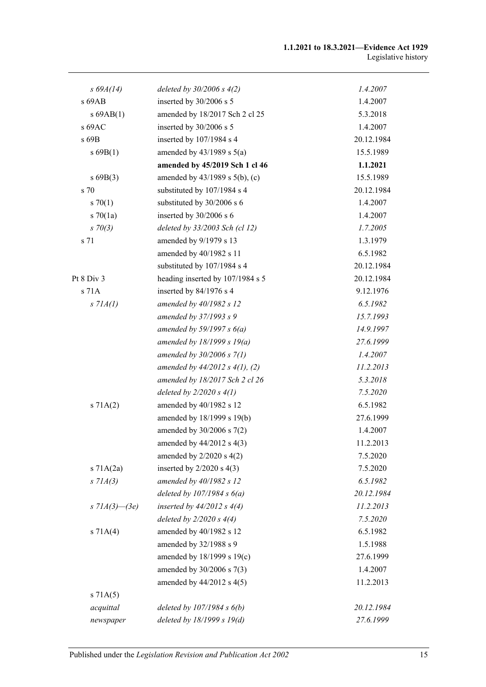| $s\,69A(14)$     | deleted by $30/2006 s 4(2)$         | 1.4.2007   |
|------------------|-------------------------------------|------------|
| s 69AB           | inserted by 30/2006 s 5             | 1.4.2007   |
| $s$ 69AB(1)      | amended by 18/2017 Sch 2 cl 25      | 5.3.2018   |
| s 69AC           | inserted by 30/2006 s 5             | 1.4.2007   |
| s 69B            | inserted by 107/1984 s 4            | 20.12.1984 |
| s 69B(1)         | amended by $43/1989$ s $5(a)$       | 15.5.1989  |
|                  | amended by 45/2019 Sch 1 cl 46      | 1.1.2021   |
| s69B(3)          | amended by $43/1989$ s $5(b)$ , (c) | 15.5.1989  |
| s 70             | substituted by 107/1984 s 4         | 20.12.1984 |
| 570(1)           | substituted by 30/2006 s 6          | 1.4.2007   |
| $s \, 70(1a)$    | inserted by 30/2006 s 6             | 1.4.2007   |
| 570(3)           | deleted by 33/2003 Sch (cl 12)      | 1.7.2005   |
| s 71             | amended by 9/1979 s 13              | 1.3.1979   |
|                  | amended by 40/1982 s 11             | 6.5.1982   |
|                  | substituted by 107/1984 s 4         | 20.12.1984 |
| Pt $8$ Div $3$   | heading inserted by 107/1984 s 5    | 20.12.1984 |
| s 71A            | inserted by 84/1976 s 4             | 9.12.1976  |
| $s$ 71 $A(1)$    | amended by 40/1982 s 12             | 6.5.1982   |
|                  | amended by 37/1993 s 9              | 15.7.1993  |
|                  | amended by $59/1997 s 6(a)$         | 14.9.1997  |
|                  | amended by $18/1999 s 19(a)$        | 27.6.1999  |
|                  | amended by $30/2006 s 7(1)$         | 1.4.2007   |
|                  | amended by $44/2012$ s $4(1)$ , (2) | 11.2.2013  |
|                  | amended by 18/2017 Sch 2 cl 26      | 5.3.2018   |
|                  | deleted by $2/2020 s 4(1)$          | 7.5.2020   |
| s 71A(2)         | amended by 40/1982 s 12             | 6.5.1982   |
|                  | amended by 18/1999 s 19(b)          | 27.6.1999  |
|                  | amended by $30/2006$ s $7(2)$       | 1.4.2007   |
|                  | amended by $44/2012$ s $4(3)$       | 11.2.2013  |
|                  | amended by $2/2020$ s $4(2)$        | 7.5.2020   |
| $s$ 71A $(2a)$   | inserted by $2/2020$ s $4(3)$       | 7.5.2020   |
| $S$ 71 $A(3)$    | amended by $40/1982$ s 12           | 6.5.1982   |
|                  | deleted by $107/1984 s 6(a)$        | 20.12.1984 |
| s $71A(3)$ —(3e) | inserted by $44/2012$ s $4(4)$      | 11.2.2013  |
|                  | deleted by $2/2020 s 4(4)$          | 7.5.2020   |
| s $71A(4)$       | amended by 40/1982 s 12             | 6.5.1982   |
|                  | amended by 32/1988 s 9              | 1.5.1988   |
|                  | amended by 18/1999 s 19(c)          | 27.6.1999  |
|                  | amended by 30/2006 s 7(3)           | 1.4.2007   |
|                  | amended by $44/2012$ s $4(5)$       | 11.2.2013  |
| s 71A(5)         |                                     |            |
| acquittal        | deleted by $107/1984 s 6(b)$        | 20.12.1984 |
| newspaper        | deleted by $18/1999 s 19(d)$        | 27.6.1999  |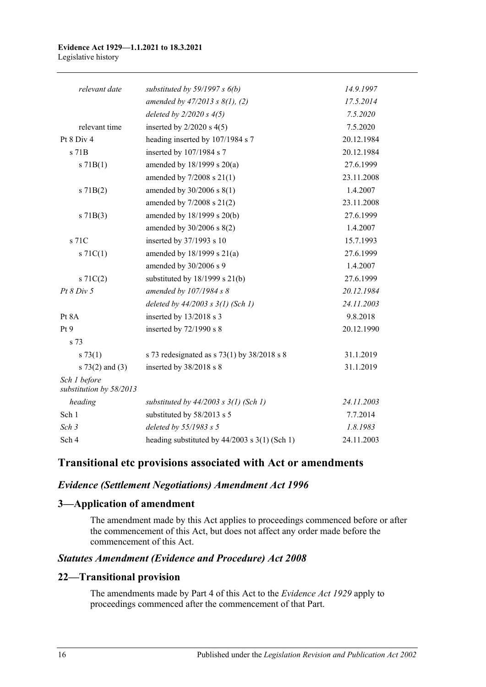# **Evidence Act 1929—1.1.2021 to 18.3.2021**

| Legislative history |  |
|---------------------|--|
|---------------------|--|

| relevant date                           | substituted by $59/1997 s 6(b)$                   | 14.9.1997  |
|-----------------------------------------|---------------------------------------------------|------------|
|                                         | amended by $47/2013$ s $8(1)$ , (2)               | 17.5.2014  |
|                                         | deleted by $2/2020 s 4(5)$                        | 7.5.2020   |
| relevant time                           | inserted by $2/2020$ s $4(5)$                     | 7.5.2020   |
| Pt 8 Div 4                              | heading inserted by 107/1984 s 7                  | 20.12.1984 |
| s 71 <sub>B</sub>                       | inserted by 107/1984 s 7                          | 20.12.1984 |
| s 71B(1)                                | amended by 18/1999 s 20(a)                        | 27.6.1999  |
|                                         | amended by 7/2008 s 21(1)                         | 23.11.2008 |
| $s$ 71B(2)                              | amended by 30/2006 s 8(1)                         | 1.4.2007   |
|                                         | amended by 7/2008 s 21(2)                         | 23.11.2008 |
| $s$ 71B(3)                              | amended by 18/1999 s 20(b)                        | 27.6.1999  |
|                                         | amended by 30/2006 s 8(2)                         | 1.4.2007   |
| s 71C                                   | inserted by 37/1993 s 10                          | 15.7.1993  |
| $s \, 71C(1)$                           | amended by 18/1999 s 21(a)                        | 27.6.1999  |
|                                         | amended by 30/2006 s 9                            | 1.4.2007   |
| $s \, 71C(2)$                           | substituted by $18/1999$ s $21(b)$                | 27.6.1999  |
| Pt 8 Div 5                              | amended by 107/1984 s 8                           | 20.12.1984 |
|                                         | deleted by 44/2003 s 3(1) (Sch 1)                 | 24.11.2003 |
| Pt 8A                                   | inserted by 13/2018 s 3                           | 9.8.2018   |
| Pt 9                                    | inserted by 72/1990 s 8                           | 20.12.1990 |
| s 73                                    |                                                   |            |
| s 73(1)                                 | s 73 redesignated as s 73(1) by $38/2018$ s 8     | 31.1.2019  |
| $s \, 73(2)$ and (3)                    | inserted by 38/2018 s 8                           | 31.1.2019  |
| Sch 1 before<br>substitution by 58/2013 |                                                   |            |
| heading                                 | substituted by $44/2003$ s $3(1)$ (Sch 1)         | 24.11.2003 |
| Sch 1                                   | substituted by 58/2013 s 5                        | 7.7.2014   |
| Sch <sub>3</sub>                        | deleted by 55/1983 s 5                            | 1.8.1983   |
| Sch 4                                   | heading substituted by $44/2003$ s $3(1)$ (Sch 1) | 24.11.2003 |

# **Transitional etc provisions associated with Act or amendments**

## *Evidence (Settlement Negotiations) Amendment Act 1996*

### **3—Application of amendment**

The amendment made by this Act applies to proceedings commenced before or after the commencement of this Act, but does not affect any order made before the commencement of this Act.

### *Statutes Amendment (Evidence and Procedure) Act 2008*

## **22—Transitional provision**

The amendments made by Part 4 of this Act to the *[Evidence Act](http://www.legislation.sa.gov.au/index.aspx?action=legref&type=act&legtitle=Evidence%20Act%201929) 1929* apply to proceedings commenced after the commencement of that Part.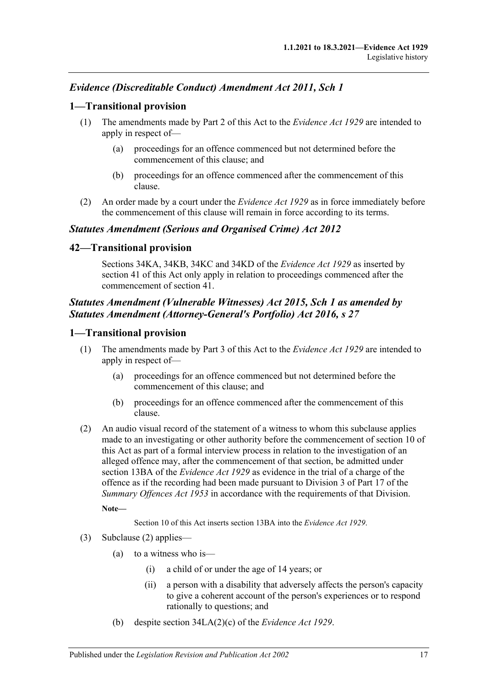# *Evidence (Discreditable Conduct) Amendment Act 2011, Sch 1*

### **1—Transitional provision**

- (1) The amendments made by Part 2 of this Act to the *[Evidence Act](http://www.legislation.sa.gov.au/index.aspx?action=legref&type=act&legtitle=Evidence%20Act%201929) 1929* are intended to apply in respect of—
	- (a) proceedings for an offence commenced but not determined before the commencement of this clause; and
	- (b) proceedings for an offence commenced after the commencement of this clause.
- (2) An order made by a court under the *[Evidence Act](http://www.legislation.sa.gov.au/index.aspx?action=legref&type=act&legtitle=Evidence%20Act%201929) 1929* as in force immediately before the commencement of this clause will remain in force according to its terms.

### *Statutes Amendment (Serious and Organised Crime) Act 2012*

#### **42—Transitional provision**

Sections 34KA, 34KB, 34KC and 34KD of the *[Evidence Act](http://www.legislation.sa.gov.au/index.aspx?action=legref&type=act&legtitle=Evidence%20Act%201929) 1929* as inserted by section 41 of this Act only apply in relation to proceedings commenced after the commencement of section 41.

## *Statutes Amendment (Vulnerable Witnesses) Act 2015, Sch 1 as amended by Statutes Amendment (Attorney-General's Portfolio) Act 2016, s 27*

#### **1—Transitional provision**

- (1) The amendments made by Part 3 of this Act to the *[Evidence Act](http://www.legislation.sa.gov.au/index.aspx?action=legref&type=act&legtitle=Evidence%20Act%201929) 1929* are intended to apply in respect of—
	- (a) proceedings for an offence commenced but not determined before the commencement of this clause; and
	- (b) proceedings for an offence commenced after the commencement of this clause.
- <span id="page-114-0"></span>(2) An audio visual record of the statement of a witness to whom this subclause applies made to an investigating or other authority before the commencement of section 10 of this Act as part of a formal interview process in relation to the investigation of an alleged offence may, after the commencement of that section, be admitted under section 13BA of the *[Evidence Act](http://www.legislation.sa.gov.au/index.aspx?action=legref&type=act&legtitle=Evidence%20Act%201929) 1929* as evidence in the trial of a charge of the offence as if the recording had been made pursuant to Division 3 of Part 17 of the *[Summary Offences Act](http://www.legislation.sa.gov.au/index.aspx?action=legref&type=act&legtitle=Summary%20Offences%20Act%201953) 1953* in accordance with the requirements of that Division.

**Note—**

Section 10 of this Act inserts section 13BA into the *[Evidence Act](http://www.legislation.sa.gov.au/index.aspx?action=legref&type=act&legtitle=Evidence%20Act%201929) 1929*.

- (3) [Subclause \(2\)](#page-114-0) applies—
	- (a) to a witness who is—
		- (i) a child of or under the age of 14 years; or
		- (ii) a person with a disability that adversely affects the person's capacity to give a coherent account of the person's experiences or to respond rationally to questions; and
	- (b) despite section 34LA(2)(c) of the *[Evidence Act](http://www.legislation.sa.gov.au/index.aspx?action=legref&type=act&legtitle=Evidence%20Act%201929) 1929*.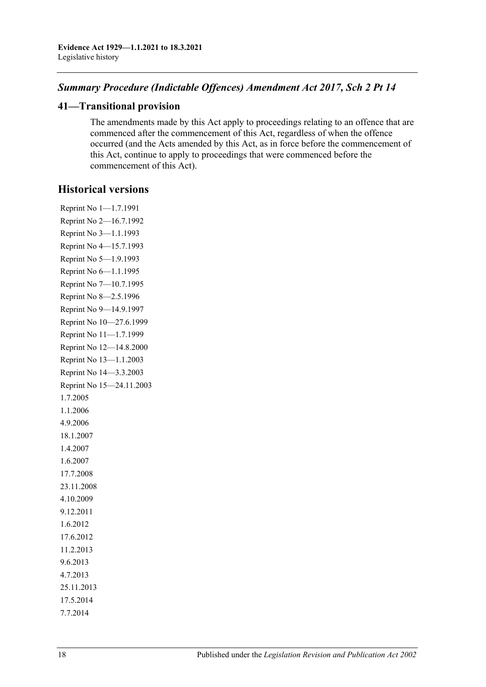# *Summary Procedure (Indictable Offences) Amendment Act 2017, Sch 2 Pt 14*

## **41—Transitional provision**

The amendments made by this Act apply to proceedings relating to an offence that are commenced after the commencement of this Act, regardless of when the offence occurred (and the Acts amended by this Act, as in force before the commencement of this Act, continue to apply to proceedings that were commenced before the commencement of this Act).

# **Historical versions**

Reprint No 1—1.7.1991 Reprint No 2—16.7.1992 Reprint No 3—1.1.1993 Reprint No 4—15.7.1993 Reprint No 5—1.9.1993 Reprint No 6—1.1.1995 Reprint No 7—10.7.1995 Reprint No 8—2.5.1996 Reprint No 9—14.9.1997 Reprint No 10—27.6.1999 Reprint No 11—1.7.1999 Reprint No 12—14.8.2000 Reprint No 13—1.1.2003 Reprint No 14—3.3.2003 Reprint No 15—24.11.2003 1.7.2005 1.1.2006 4.9.2006 18.1.2007 1.4.2007 1.6.2007 17.7.2008 23.11.2008 4.10.2009 9.12.2011 1.6.2012 17.6.2012 11.2.2013 9.6.2013 4.7.2013 25.11.2013 17.5.2014 7.7.2014